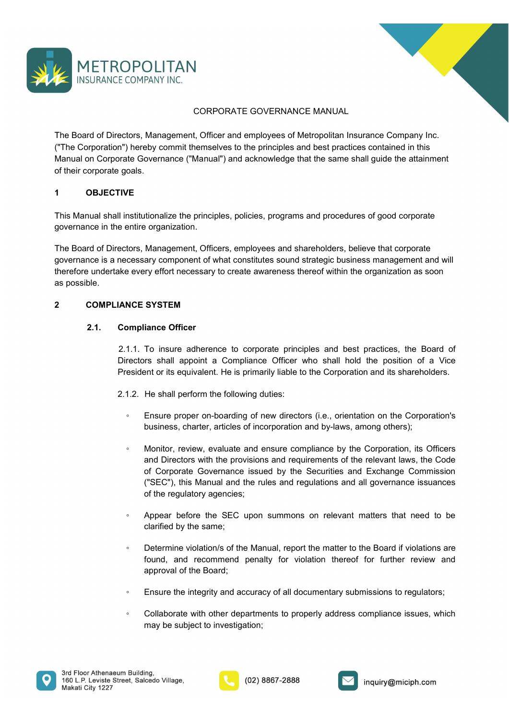



THE BOARD COMPANY INC.<br>
The Board of Directors, Management, Officer and employees of Metropolitan Insurance Company Inc.<br>
("The Corporation") hereby commit themselves to the principles and best practices contained in this<br> METROPOLITAN<br>
INSURANCE COMPANY INC.<br>
CORPORATE GOVERNANCE MANUAL<br>
The Board of Directors, Management, Officer and employees of Metropolitan Insurance Company Inc.<br>
("The Corporation") hereby commit themselves to the princ METROPOLITAN<br>
INSURANCE COMPANY INC.<br>
CORPORATE GOVERNANCE MANUAL<br>
The Board of Directors, Management, Officer and employees of Metropolitan Insurance Company Inc.<br>
("The Corporation") hereby commit themselves to the princ METROPOLITAN<br>
INSURANCE COMPANY INC.<br>
CORPORATE GOVERNANCE MANUAL<br>
The Board of Directors, Management, Officer and employees of Metropolitan Insurance Co<br>
("The Corporation") hereby commit themselves to the principles and METROPOLITAN<br>
INSURANCE COMPANY INC.<br>
CORPORATE GOVERNANCE MANUAL<br>
The Board of Directors, Management, Officer and employees of Metropolitan Insur<br>
("The Corporation") hereby commit themselves to the principles and best pr THIS INSURANCE COMPANY INC.<br>
SCORPORATE GOVERNANCE MANUAL<br>
The Board of Directors, Management, Officer and employees of Metropolitan Insurance Company Inc.<br>
("The Corporation") hereby commit themselves to the principles an METROPOLITAN<br>
INSURANCE COMPANY INC.<br>
CORPORATE GOVERNANCE MANUAL<br>
The Board of Directors, Management, Officer and employees of Metropolitan Insurance Company I<br>
("The Corporation") hereby commit themselves to the principl **THE STAGE COMPANY INC.**<br>
The Board of Directors, Management, Officer and employees of Metropolitan Insurance Company Inc.<br>
The Corporation'') hereby commit themselves to the principles and best practices contained in this METROPOLITAN<br>
SIDENTANCE COMPANY INC.<br>
CORPORATE GOVERNANCE MANUAL<br>
The Board of Directors, Management, Officer and employees of Metropolitan Insurance Company Inc.<br>
(The Corporation ") hereby commit themselves to the prin THETROPOLITAN<br>
INSURANCE COMPANY INC.<br>
CORPORATE GOVERNANCE MANUAL<br>
The Board of Directors, Management, Officer and employees of Metropolitan Insurance Company Inc.<br>
The Corporation') hereby commit themselves to the princi INSURANCE COMPANY INC.<br>
CORPORATE GOVERNANCE MANUAI<br>
The Board of Directors, Management, Officer and employees of Metropolitan<br>
("The Corporation") hereby commit themselves to the principles and best pra<br>
Manual on Corpora CORPORATE GOVERNANCE MANUAL<br>
The Board of Directors, Management, Officer and employees of Metropolitan Insurance Company<br>
("The Corporation") hereby commit themselves to the principles and best practices contained in thi<br> Incording Directors, Management, Officer and employees of Metropolitan Insurance Company Inc.<br>
Expression") hereby commit themselves to the principles and best practices contained in this<br>
on Corporate Governance ("Manual"

n") hereby commit themselves to the principles and best practices contained in this<br>state Governance ("Manual") and acknowledge that the same shall guide the attainment<br>goals.<br>
TVE<br>
I institutionalize the principles, polic by the Governance ("Manual") and acknowledge that the same shall guide the attainment<br>
states and gradis,<br>
ITVE<br>
II institutionalize the principles, policies, programs and procedures of good corporate<br>
entire organization. President or its equivalent. The is equivalent or its equivalent or its equivalent of the corporation.<br>
President or its entire organization.<br>
Hencessary component of what constitutes sound strategic business management an **IIVE**<br>
II institutionalize the principles, policies, programs and procedures of good corporate<br>
e entire organization.<br>
ectors, Management, Officers, employees and shareholders, believe that corporate<br>
mecessary component nstitutionalize the principles, policies, programs and procedures of good corporate<br>
entire organization.<br>
tors, Management, Officers, employees and shareholders, believe that corporate<br>
cessary component of what consitut

- 
- discribes of properation.<br>
Subsidiary component of what constitutes sound strategic business management and will<br>
the management of what constitutes sound strategic business management and will<br>
ty effort necessary to crea tors, Management, Officers, employees and shareholders, believe that corporate<br>
cessary component of what constitutes sound strategic business management and will<br>
every effort necessary to create awareness thereof within manugamont, omotoa, cumpopease and and methodeals, schotter dark or and to hall hand compline and compline the examples and strategic business management and will<br>ance **Officer**<br>To insure adherence to corporate principles sing component or wine constances sound stategy business management and winder<br>of Corporation and the Corporate principles and best practices, the Board of<br>or SSTEM<br>aince Officer<br>To insure adherence to corporate principles ("STEM") or the compare of the requirements of the regulations and point of the rest shall appoint a Compliance Officer To insure adherence to corporate principles and best practices, the Board of the ris shareholders.<br>To **SYSTEM**<br> **SYSTEM**<br> **To insure adherence to corporate principles and best practices, the Board of<br>
To insure adherence to corporate officier who shall hold the position of a Vice<br>
<b>Into rise explicient**. He is primarily li **Example Controllation**<br>
And To insure advertison shall popoint a Compilation Compilation of a Vice<br>
eresident or its equivalent. He is primarily liable to the Corporation and its shareholders.<br>
1.2. He shall perform the f iance Officer<br>To insure adherence to corporate principles and best practices, the Board of<br>rs shall appoint a Compliance Officer who shall hold the position of a Vice<br>ent or its equivalent. He is primarily liable to the Co 1.1. To insure adherence to corporate principles and best practices, the Board of<br>rectors shall appoint a Compliance Officer who shall hold the position of a Vice<br>esident or its equivalent. He is primarily liable to the Co Found and method coupline incompleme in the best predictions, the boath of the position of a Vice<br>ins shall appoint a Compliance Officer who shall hold the position of a Vice<br>short or its equivalent. He is primarily liable In the shall perform the Completion of the Board; the Schiffers of the Board; and a position of the Boardier Schiffers.<br>He shall perform the following duties:<br>He shall perform the following duties:<br>Ensure proper on-boardin <ul>\n<li>1.2. He shall perform the following duties: <br/>\n <ul>\n<li>Ensure proper on-boarding of new directions</li>\n<li>Unitions, character, articles of incorporation and by-laws, among others).</li>\n</ul>\n</li>\n<li>Monitor, review, evaluate and ensure compliance by the Corporation, its Officer and Director with the provisions and requirements of the relevant laws, the Code of Corporate Governmentes and Exchange Commission ("SEC") this Manual and the rules and regulations and all governance instances of the regulatory agencies;</li>\n<li>Appear before the SEC upon summons on relevant matters that need to be clarified by the same;</li>\n<li>Determine violations of the Manual, report the matter to the Board if violations are found, and recommend penalty for violation thereof for further review and approval of the Board;</li>\n<li>Ensure the integrity and accuracy of all documents with others of cryptations to regulators.</li>\n<li>Coll <p>• Ensure proper on-bcarding of new directions (i.e., orientation on the Corporation's business, charter, articles of incorporation and by-laws, among others):</p>\n<p>• Monitor, review, evaluate and ensure compliance by the Corporation, its Officers and Direction with the provision and calculations and requirements of the relevant laws, the Code of Corporate Gorenrate. Several use of the return was used by the Securities and Exchange Commission ("SEC"), this Manual and the rules and regulations and all governance issances of the regulatory agencies;</p>\n<p>• Appear before the SEC upon summons on relevant matters that need to be clarified by the same;</p>\n<p>• Determine violations of the Manual, report the matter to the Board if violations are found, and recommend penalty for violation thereof for further review and approach of the Board.</p>\n<p>• Ensure the integrity and accuracy of all documentsry submissions to regulators; Collaborate with other departments to properly address compliance issues, which may Ensure proper on-boarding or new directors (i.e., orientation on the Corporations<br>business, charter, articles of incorporation and by-laws, among others);<br>Monitor, review, evaluate and ensure compliance by the Corporation,
- 
- 
- 
- 





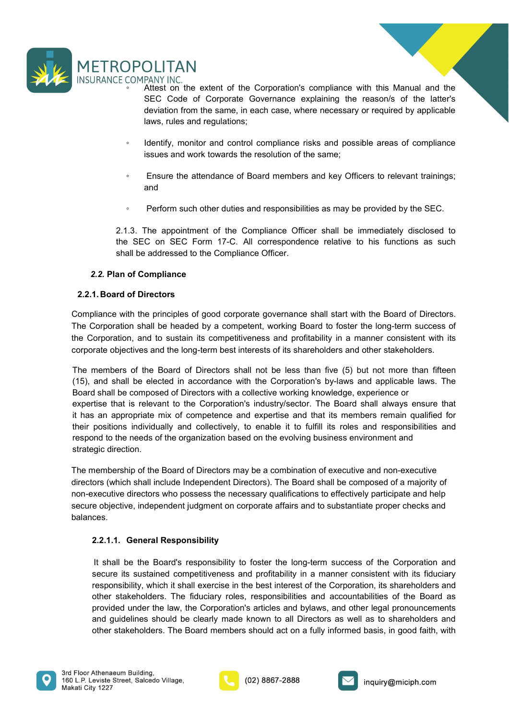

- <p>② <b>POLITAN</b></p>\n<p>COMPANY INC.</p>\n<p>Attest on the extent of the Corporation's compliance with this Manual and the <b>SEC</b> Code of Corporate Government, and the code of the later's deviation from the same, in each case, where necessary or required by applicable laws, rules and regulations;</p>\n<p>Identify, monitor and control compliance risks and possible areas of compliance issues and work towards the resolution of the same:</p> **SECT ANT ANTIFUM**<br>
FANY INC.<br>
Attest on the extent of the Corporation's compliance with this Manual and the<br>
SEC Code of Corporate Governance explaining the reason/s of the latter's<br>
deviation from the same, in each case, **DLITAN**<br>PANY INC.<br>Attest on the extent of the Corporation's compliance with this Manual and the<br>SEC Code of Corporate Governance explaining the reason's of the latter's<br>deviation from the same, in each case, where necessa **DLITAN**<br>PANY INC.<br>Attest on the extent of the Corporation's compliance with this Manual and the<br>SEC Code of Corporate Governance explaining the reason/s of the latter's<br>deviation from the same, in each case, where necessa ◦ Identify, monitor and control compliance risks and possible areas of compliance **ICTER AN**<br>ARRY INC.<br>Afterst on the extent of the Corporation's compliance with this Manual and the<br>Aftest on the same, in each case, where necessary or required by applicable<br>laws, rules and regulations;<br>Identify, monitor **ENGUITANN**<br>
ECOMPANY INC.<br>
• Attest on the extent of the Corporation's compliance with this Manual and the<br>
SEC code of Corporate Governance explaining the reason/s of the latter's<br>
deviation from the same, in each case, **EXECT THE SECT OF A SECT AND THE SECT OF A SECT OF A SECT OF A SECT Code of Corporate Governance explaining the reason's of the latter's deviation from the same, in each case, where necessary or required by applicable<br>
FO** 2.1.3. The appointment of the Compliance officer shall be immediately increased to the Compliance of Septembent of the SEC Code of Corporate Governance explaining the reason's of the latter's deviation from the same, in ea THE COMPANY INC.<br>
CE COMPANY INC.<br>
Attest on the extent of the Corporation's compliance with this Manual and the<br>
SEC Code of Corporate Governance explaining the reason's of the latter's<br>
deviation from the same, in each c SCOPOLITAN<br>
SECOMPANY INC.<br>
Aftest on the extent of the Corporation's compliance with this Manual and the<br>
SEC Code of Corporate Governance explaining the reason's of the latter's<br>
deviation from the same, in each case, wh
	-
	- and
	-

DRANCE COMPANY INC.<br>
2.2. Plan of the extent of the Corporation's compliance with this Manual SEC Code of Corporate Governance explaining the reason's of the dividuo from the same, in each case, where necessary or require SEC Code of Corporate Governance explaining the reason/s of the division from the same, in each case, where necessary or required by<br>
laws, rules and regulations;<br>
laws, rules and regulations;<br>
laws and work towards the re deviation from the same, in each case, where necessary or required by applicable<br>
leaws, rules and regulations;<br>
Essues and work towards the resolution of the same;<br>
Ensure the attendance of Board members and key Officers The Corporation shall be control compliance risks and possible areas of compliance<br>
issues and work towards the resolution of the same;<br>
Form such to attend<br>
and<br>
The attend and the divelse and responsibilities as may be p the Corporation, monitor and control compliance risks and possible areas of compliance<br>issues and work towards the resolution of the same;<br>Figure 1.3. The appointment of the Compliance Officer shall be immediately disclose

since and work towards the resolution of compliance raisks and possible areas of compliance<br>
Ensure the attendance of Board members and key Officers to relevant trainings;<br>
and<br>
Perform such other duties and responsibiliti Firsure the attendance of Board members and key Officers to relevant trainings;<br>
and<br>
9 Perform such the rduties and responsibilities as may be provided by the SEC.<br>
2.1.3. The appointment of the Compliance Officer shall b Finsure the attendance of Board members and key Officers to relevant trainings;<br>
and<br>
Perform such other duties and responsibilities as may be provided by the SEC.<br>
2.1.3. The appointment of the Compliance Officer shall be and<br>
•• Perform such other duties and responsibilities as may be provided by the SEC.<br>
2.1.3. The appointment of the Compliance Officer shall be immediately disclosed to<br>
the SEC on SEC Form 17-C. All correspondence relati experience of the Board of Directors with a collective working knowled in the membershill also and the membershill be addressed to the Compliance officer shall be immediately disclosed to the SEC on SEC Form 17-C. All corr <sup>2</sup> Perform such other duties and responsibilities as may be provided by the SEC.<br>
2.1.3. The appointment of the Compliance Officer shall be immediately disclosed to<br>
the SEC on SEC Form 17-C. All correspondence relative t 2.1.3. The appointment of the Compliance Officer shall be immediately disclosed to<br>the SEC on SEC Form 17-C. All correspondence relative to his functions as such<br>shall be addressed to the Compliance Officer.<br>2.2. **Plan of** 2.1.3. The appointment of the Compliance Officer shall be immediately disclosed to<br>the SEC on SEC Form 17-C. All correspondence relative to his functions as such<br>shall be addressed to the Compliance Officer.<br>2.2. Plan of C the SEC on SEC Form 17-C. All correspondence relative to his f<br>shall be addressed to the Compliance Officer.<br>2.2. Plan of Compliance<br>2.2.1. Board of Directors<br>Compliance with the principles of good corporate governance sha 2.2. Plan of Compliance<br>
2.2.1. Board of Directors<br>
Compliance with the principles of good corporate governance shall start with the Board of Directors.<br>
The Corporation shall be headed by a competent, working Board to fos 2.2. Plan of Compliance<br>
2.2.1.Board of Directors<br>
Compliance with the pinciples of good corporate governance shall start with the Board of Directors.<br>
Compliance with the pinciples of good corporate governance shall start 2.2.1. Board of Directors Compliance with the principles of good corporate governance shall start with the Board of Directors.<br>The Corporation shall be headed by a competent, working Board to foster the long-term success o **Example the properties** of good corporate governance shall start with the Board of Directors.<br>
Compliance with the principles of good corporate, working Board to foster the long-term success of<br>
the Corporation, and to su orporation, and to sustain its competitiveness and prominaliny in a manner consistent with a the bag-<br>translation, and to subset be located of Directors shall not be less than five (5) but not more than fifted<br>amembers of The members of the Board of Directors what hote less than five (5) but not more than fifteen<br>and shall be elected in accordance with the Corporation's by-laws and applicable laws. The<br>shall be composed of Directors with a members of the Board of Directors shall not be less than five (5) but not more than fifteen<br>
and shall be elected in accordance with the Corporation's by-laws and applicable laws. The<br>
shall be competed of Directors with a and shall be elected in accordance with the Corporation's by-laws and applicable laws. The<br>dishall be composed of Directors with a cellective working knowledge, experience or<br>diste that is networked of Directors with a cel

balances.

d shall be composed of Directors with a collective working knowledge, experience or<br>states that is relevant to the Corporator's industry/sector. The Board shall always resure that<br>tise and sponsibilities and concernation i tise that is relevant to the Corporation's industry/sector. The Board shall always ensure that<br>a an appropriate mix of competence and expertise and that its members remain qualifies for<br>positions individually and collectiv an appropriate mix of competence and expertise and that its members remain qualified for positions individually and collectively, to enable it to fulfill its roles and responsibilities and more methods of the clear of Dire positions individually and collectively, to enable it to fulfill its roles and responsibilities and<br>mond to the needs of the organization based on the evolving business environment and<br>nembership of the Board of Directors





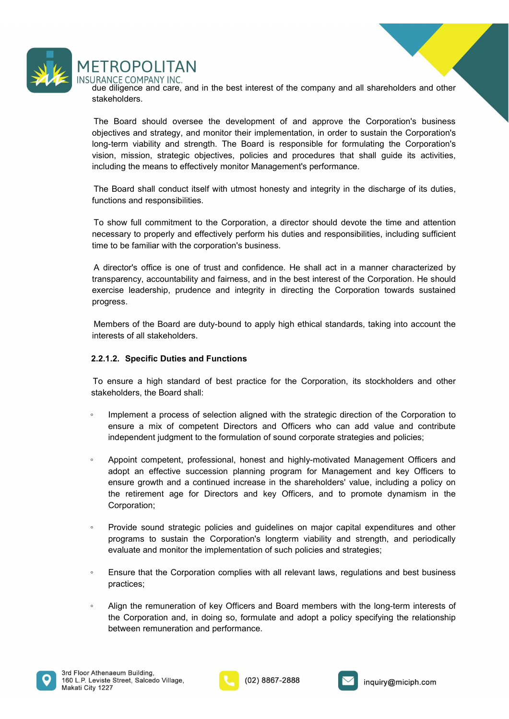

stakeholders.

ETROPOLITAN<br>DRANCE COMPANY INC.<br>due diligence and care, and in the best interest of the company and all shareholders and other<br>stakeholders.<br>The Board should oversee the development of and approve the Corporation's busines ETROPOLITAN<br>
IRANCE COMPANY INC.<br>
Idue diligence and care, and in the best interest of the company and all shareholders and other<br>
the Board should oversee the development of and approve the Corporation's business<br>
bigecti ETROPOLITAN<br>
JRANCE COMPANY INC.<br>
JRANCE COMPANY INC.<br>
due diligence and care, and in the best interest of the company and all shareholders and other<br>
stakeholders.<br>
The Board should oversee the development of and approve ETROPOLITAN<br>JRANCE COMPANY INC.<br>due diligence and care, and in the best interest of the company and all shareholders and other<br>stakeholders.<br>The Board should oversee the development of and approve the Corporation's busines ETROPOLITAN<br>Vision, mission, mission, and in the best interest of the company and all shareholders and other<br>stakeholders.<br>The Board should oversee the development of and approve the Corporation's business<br>objectives and s ETROPOLITAN<br>
ERANCE COMPANY INC.<br>
due diligence and care, and in the best interest of the company and all shareholders and other<br>
stakeholders.<br>
The Board should oversee the development of and approve the Corporation's bus ETROPOLITAN<br>ERANCE COMPANY INC.<br>Blue diligence and care, and in the best interest of the company and all shareholders and other<br>the Board should oversee the development of and approve the Corporation's business<br>bbjectives ETROPOLITAN<br>
JRANCE COMPANY INC.<br>
JRANCE COMPANY INC.<br>
JRANCE COMPANY INC.<br>
JRANCE COMPANY INC.<br>
The Board should oversee the development of and approve the Corporation's to<br>
bigetives and strategy, and monitor their imple ETROPOLITAN<br>
ERANCE COMPANY INC.<br>
SHARANCE COMPANY INC.<br>
State disperse and care, and in the best interest of the company and all shareholders and other<br>
stateholders.<br>
The Board should oversee the development of and appro ETROPOLITAN<br>DRANCE COMPANY INC.<br>due diligence and care, and in the best interest of the company and all shareholders and other<br>stakeholders.<br>Objectives and strategy, and monitor their implementation, in order to sustain th ETROPOLITAN<br>JRANCE COMPANY INC.<br>THE RORICE COMPANY INC.<br>stakeholders.<br>The Board should oversee the development of and approve the Corporation's business.<br>bothgettives and strategy, and monitor their implementation, in orde ETROPOLITAN<br>
HANCE COMPANY INC.<br>
HAR difference and care, and in the best interest of the company and all shareholders and other<br>
stakeholders.<br>
The Board should oversee the development of and approve the Corporation's bus The Transparency and file the state of the company and all shareholders and other<br>due diligence and care, and in the best interest of the company and all shareholders and other<br>stakeholders.<br>The Board should oversee the de Mixital Cominary in the best interest of the company and all shareholders and other<br>tiskeholders.<br>The Board should oversee the development of and approve the Corporation's business<br>beliefclives and strategy, and monitor th The Board should oversee the development of and approve the Corporation's business<br>conjectives and strategly, and monitor their implementation, in order to sustain the Corporation's<br>ong-term viability and stength. The Boar objectives and strategy, and monitor their implementation, in order to sustain the Corpton-<br>the iong-term viaibility and strength. The Board is responsible for formulating the Corpton, mission, strategic objectives, polici

progress. Members of the Board are duty-bound to apply high ethical stand procedures when the conportation, installing the means to effectively monitor Management's performance.<br>The Board shall conduct itself with utmost honesty and The Board shall conduct itself with utmost honesty and integrity in the discharge of its duties,<br>functions and responsibilities.<br>To show full commitment to the Corporation, a director should devote the time and attention<br>n The Board shall conduct itself with utmost honesty and integrity in the discharge of its duties,<br>
functions and responsibilities.<br>
To show full committment to the Corporation, a director should devote the time and attentio To show full commitment to the Corporation, a director should devote the time and attention<br>necessary to property and effectively perform his duties and responsibilities, including sufficient<br>time to be familiar with the c show full commitment to the Corporation, a director should devote the time and attention<br>staspy to properly and effectively perform ins duties and responsibilities, including sufficient<br>to be familiar with the corporation'

- 
- issary to properly and effectively perform his duties and responsibilities, including sufficient<br>to the familiar with the corporation's business.<br>retector's office is one of trust and confidence. He shall act in a manner c A director's office is one of trust and confidence. He shall act in a manner characterized by<br>transparency, accountability and fairness, and in the best interest of the Corporation. He should<br>exercise leadership, prudence irector's office is one of trust and confidence. He shall act in a manner characterized by<br>paparency, accountability and fairness, and in the best interest of the Corporation. He should<br>cise leadership, prudence and integr sparency, accountability and fairness, and in the best interest of the Corporation. He should<br>cise leadership, prudence and integrity in directing the Corporation towards sustained<br>reses.<br><br>
1.2. Specific Duties and Functio ricise leadership, prudence and integrity in directing the Corporation towards sustained<br>ress.<br>The retirement age for Directors and Functions<br>and the rests of all stakeholders.<br>The retirement are high standard of best prac Corporation; Members of the Board are duty-bound to apply high ethical standards, taking into account the<br>
interests of all stakeholders.<br>
2.2.1.2. Specific Duties and Functions<br>
To ensure a high standard of best practice for the Corpo ests of all stakeholders.<br>
1.2. Specific Duties and Functions<br>
ensure a high standard of best practice for the Corporation, its stockholders and other<br>
enholders, the Board shall:<br>
Implement a process of selection aligned 1.2. Specific Duties and Functions<br>
ensure a high standard of best practice for the Corporation, its stockholders and other<br>
ensure a mix of competent Directors and Officers who can did value and contribute<br>
implementation To ensure a high standard of best practice for the Corporation, its stockholders and other<br>stakeholders, the Board shall:<br>
"Implement a process of selection aligned with the strategic direction of the Corporation to<br>
ensur <p>\n Implement a process of selection aligned with the strategic direction of the Corporation to ensure a mix of competent Direction and Officer who can add value and contribute independent judgment to the formulation of sound corporate strategies and policies;\n</p>\n<p>\n Appoint computer, professional, honest and highly-motivated Management offfiers and adopt an effective successful planning program for Management and key Offífers (or further) and a continued increase in the stareholders' value, including a policy on the retirement age for Directors and key Offfers, and to promote dynamic and very offrefers (or a particular program is a sustainable, and the programs to sustain the Corporation's longer, making a strategy of the programs to sustain the Corporation's long-term liability and strength, and periodically evaluate and monitor the implementation of such policies and strategies;\n</p>\n<p>\n Ensure that the Corporation compiles with all relevant laws, regulations and best business practices;\n</p>\n<p>\n All the remuneration of key Offfers and Implement a process of selection aligned with the strategic direction of the Corporation to<br>ensure a mix of competent Directors and Officers who can add value and contribute<br>independent judgment to the formulation of sound ensure a mix of competent Directors and Officers who can add value and contribute<br>Independent judgment to the formulation of sound corporate strategies and policies;<br>Appoint competent, professional, honest and highly-motiv
- 
- practices;
- 





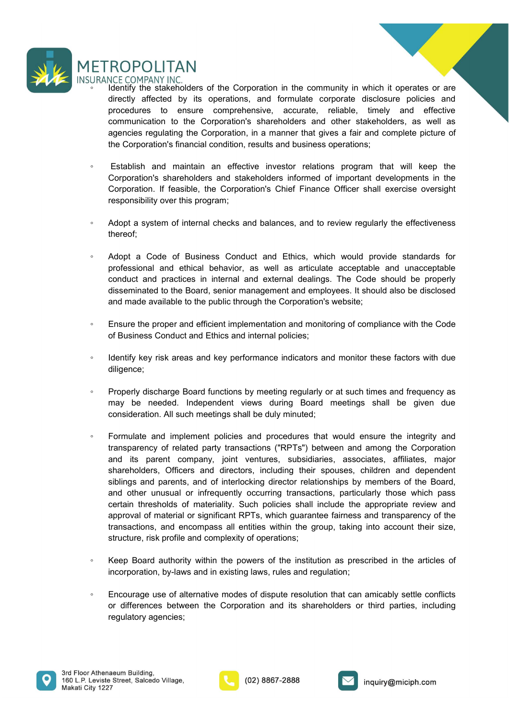

- ETROPOLITAN<br>
URANCE COMPANY INC.<br>
 Identify the stakeholders of the Corporation in the community in which it operates or are<br>
directly affected by its operations, and formulate corporate disclosure policies and<br>
procedure ROPOLITAN<br>
NCE COMPANY INC.<br>
Identify the stakeholders of the Corporation in the community in which it operates or are<br>
directly affected by its operations, and formulate corporate disclosure policies and<br>
corporations to ROPOLITAN<br>
NCE COMPANY INC.<br>
Identify the stakeholders of the Corporation in the community in which it operates or are<br>
directly affected by its operations, and formulate corporate disclosure policies and<br>
communication to **ROPOLITAN**<br>
NCE COMPANY INC.<br>
NCE COMPANY INC.<br>
directly affected by its operations, and formulate corporate disclosure policies and<br>
procedures to ensure comprehensive, accurate, reliable, timely and effective<br>
communica ROPOLITAN<br>
NCE COMPANY INC.<br>
Meentify the stakeholders of the Corporation in the community in which it operates or are<br>
directly affected by its operations, and formulate corporate disclosure policies and<br>
procedures to en ROPOLITAN<br>
VCC COMPANY INC.<br>
Weldentify the stakeholders of the Corporation in the community in which it operates or are<br>
directly affected by its operations, and formulate corporate disclosure policies and<br>
procedures to ETROPOLITAN<br>
ERANCE COMPANY INC.<br>
Constraintly the stabeholders of the Corporation in the community in which it operates or are<br>
directly affected by its operations, and formulate corporate disclosure policies and<br>
procedu ROPOLITAN<br>
RCE COMPANY INC.<br>
Identify the stakeholders of the Corporation in the community in which it operates or are<br>
directly affected by its operations, and formulate corporate disclosure policies and<br>
procedures to en ROPOLITAN<br>
REE COMPANY INC.<br>
Hierdity the stakeholders of the Corporation in the community in which it operates or are<br>
directly affected by its operations, and formulate corporate disclosure policies and<br>
procedures to en ROPOLITAN<br>RCE COMPANY INC.<br>Identify the stakeholders of the Corporation in the community in which it operates or are<br>directly affected by its operations, and formulate corporate disclosure policies and<br>procedures to ensure ETROPOLITAN<br>
URANCE COMPANY INC.<br>
Comparation is discussion of the comparation in the community in which it operates or are<br>
directly affected by its operations, and formulate corporate disclosure policies and<br>
procedures ETROPOLITAN<br>
URANCE COMPANY INC.<br>
• Identify the stakeholders of the Corporation in the community in which it operates or are<br>
directly affected by its operations, and formulate corporate disclosure policies and<br>
procedure ROPOLITAN<br>NCE COMPANY INC.<br>Metallity the stakeholders of the Corporation in the community in which it operates or are<br>directly affected by its operations, and formulate corporate disclosure policies and<br>procedures to ensur TVCF UNDET THATH (NET THATH) INCT THATH (NET THATH) INCT THATH (Here states of and diretify the states of are directly affected by its operations, and formulate corporate disclosure policies and procedures to ensure compre Nethim/Nimitative incorperation in the computity in which it operates or are<br>directivy affected by its operations, and formulate corporate disclosure policies and<br>procedures to ensure comprehensive, accurate, reliable, tim directly affected by its operations, and formulate corporate disclosure policies and<br>procedures to ensure comprehensive, accurate, reliable, timely and effective<br>communication to the Corporation; shareholders and other sta
- 
- thereof;
- communication to the Corporation's shareholders and other stakeholders, as well as<br>agencies regulating the Corporation, in a manner that gives a fair and complete picture of<br>the Corporation's financial condition, results a agencies regulating the Corporation, in a manner that gives a fair and complete picture of<br>the Corporation's financial condition, results and business operations;<br>
Establish and maintain an effective investor relations pro ◦ Identify key risk areas and key performance indicators and monitor these factors with due Corporation. If feasible, the Corporation's Chief Finance Officer shall exercise oversight<br>
esponsibility over this program;<br>
Adopt a system of internal checks and balances, and to review regularly the effectiveness<br>
there responsibility over this program;<br>
Adopt a system of internal checks and balances, and to review regularly the effectiveness<br>
thereof;<br>
Adopt a Code of Business Conduct and Ethics, which would provide standards for<br>
profes Adopt a system of internal checks and balances, and to review regularly the effectiveness<br>thereof;<br>Adopt a Code of Business Conduct and Ethics, which would provide standards for<br>professional and ethical behavior, as well a
- 
- diligence;
- 
- thereof;<br>
 Adopt a Code of Business Conduct and Ethics, which would provide standards for<br>
professional and ethical behavior, as well as articulate acceptable and unacceptable<br>
conduct and practices in internal and exte Adopt a Code of Business Conduct and Ethics, which would provide standards for<br>professional and ethical behavior, as well as articulate acceptable and unacceptable<br>conduct and practices in internal and external dealings. T Adopt a Code of Business Conduct and Ethics, which would provide standards for<br>professional and ethical behavior, as well as articulate accoptable and unacceptable<br>conduct and practices in internal and external dealings. T professional and ethical behavior, as well as articulate acceptable and unacceptable<br>conduct and practices in internal and external dealings. The Code should be properly<br>disseminated to the Board, senior management and emp conduct and practices in internal and external dealings. The Code should be properly diseareminated to the Board, senior management and employees. It should also be disclosed and made available to the public through the Co disseminated to the Board, senior management and employees. It should also be disclosed<br>and made available to the public through the Corporation's website;<br>Ensure the proper and efficient implementation and monitoring of c and made available to the public through the Corporation's website;<br>Ensure the proper and efficient implementation and monitoring of compliance with the Code<br>of Business Conduct and Ethics and internal policies;<br>ldentify k Ensure the proper and efficient implementation and monitoring of compliance with the Code<br>of Business Conduct and Ethics and internal policies;<br>ldentify key risk areas and key performance indicators and monitor these facto Ensure the proper and efficient implementation and monitoring of compliance with the Code<br>of Business Conduct and Ethics and internal policies;<br>ldentify key risk areas and key performance indicators and monitor these facto of Business Conduct and Ethics and internal policies;<br>Identify key risk areas and key performance indicators and monitor these factors with due<br>diligence;<br>Properly discharge Board functions by meeting regularly or at such <ul>\n<li>Identify key risk areas and key performance indicators and monitor these factors with due differences.</li>\n<li>Property discharge Board functions by meeting regularly or at such times and frequency as may be needed. Independent views during Board meetings shall be given due consideration. All such meetings shall be duty minutes; and procedures that would ensure the integrity and transparency of related party transactions; ("RPTs") between and among the Corporation and its parent company, joint ventures, substitutions, associations, and dependent siblings and parents, office and directory, and other unusual or infrequently occurring transactions, particularly those which pass central methods of material. This, the bad, and other unusual or infrequently occurring transactions, particularly those which pass certain thresholds of material. RPTs, which guarantee fairness and transparency of the transactions, and encompass all entities within the group, taking into account their size, structure, risk profile and complexity of operations;</li>\n<li>Keep Board authority within the powers of the instructions.</li>\n<li>Reep Board authority within the powers of the instructions.</li>\ diligence;<br>
Properly discharge Board functions by meeting regularly or at such times and frequency as<br>
may be needed. Independent views during Board meetings shall be given due<br>
consideration. All such meetings shall be du ◦ Encourage use of alternative modes of dispute resolution that can amicably settle conflicts may be needed. Independent views during Board meetings shall be given due<br>consideration. All such meetings shall be duly minuted;<br>Formulate and implement policies and procedures that would ensure the integrity and<br>Formulat consideration. All such meetings shall be duly minuted;<br>Formulate and implement policies and procedures that would ensure the integr<br>transparency of related party transactions ("RPTs") between and among the Corp<br>shareholde
- 
- 





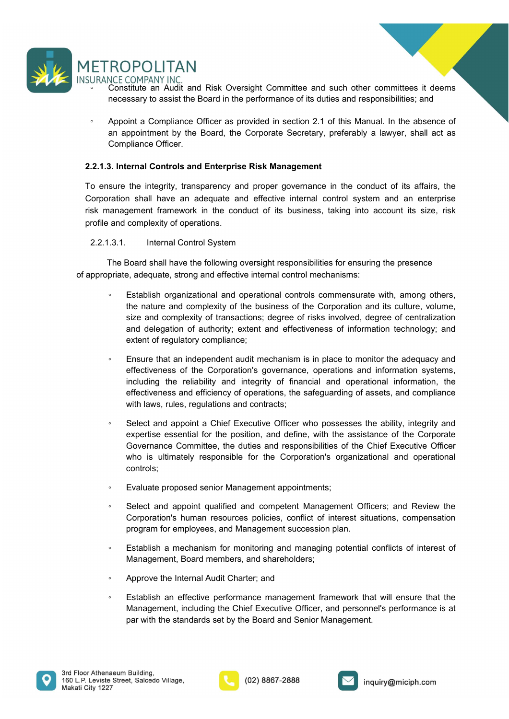

- 
- ETROPOLITAN<br>
URANCE COMPANY INC.<br>
Constitute an Audit and Risk Oversight Committee and such other committees it deems<br>
necessary to assist the Board in the performance of its duties and responsibilities; and<br>
Appoint a Com ROPOLITAN<br>
NCE COMPANY INC.<br>
Constitute an Audit and Risk Oversight Committee and such other committees it deems<br>
necessary to assist the Board in the performance of its duties and responsibilities; and<br>
Appoint a Complian ETROPOLITAN<br>
URANCE COMPANY INC.<br>
• Constitute an Audit and Risk Oversight Committee and such other committees it deems<br>
• necessary to assist the Board in the performance of its duties and responsibilities; and<br>
• Appoint **ECOMPAINT INC.**<br>Constitute an Audit and Risk Oversight Committee and such other committees it deems<br>necessary to assist the Board in the performance of its duties and responsibilities; and<br>Appoint a Compliance Officer as ROPOLITAN<br>
NCE COMPANY INC.<br>
Constitute an Audit and Risk Oversight Committee and such other committees it d<br>
necessary to assist the Board in the performance of its duties and responsibilities; and<br>
Appoint a Compliance O

THETROPOLITAN<br>
SURANCE COMPANY INC.<br>
"Constitute an Audit and Risk Oversight Committee and such other committees it deems<br>
recessary to assist the Board in the performance of its duties and responsibilities; and<br>
Appoint a THROPOLITAN<br>
SURANCE COMPANY INC.<br>
Constitute an Audit and Risk Oversight Committee and such other committees it deems<br>
necessary to assist the Board, the performance of its duties and responsibilities; and<br>
a popoint a Co **CORPOLITAN**<br>
SURANCE COMPANY INC.<br>
CORSIDED an Audit and Risk Oversight Committee and such other committees it deems<br>
necessary to assist the Board in the performance of its duties and responsibilities; and<br>
a Appoint a C THETROPOLITAN<br>
SURANCE COMPANY INC.<br>
The Constitute an Audit and Risk Oversight Committee and such other committees it deems<br>
recessary to assist the Board in the performance of its duties and responsibilities; and<br>
Appoin **ETROPOLITAN**<br>
SURANCE COMPANY INC.<br>
Constitute an Audit and Risk Oversight Committee and such other committees it deems<br>
mecessary to assist the Board in the performance of its duties and responsibilities; and<br>
Appoint a ETROPOLITAN<br>
URANCE COMPANY INC.<br>
Constitute an Audit and Risk Oversight Committee and such other committees it deems<br>
coessary to assist the Board in the performance of its duties and responsibilities; and<br>
recessary to a TROPOLITAN<br>
NCE COMPANY INC.<br>
CONFORMY INC.<br>
CONFORMY INC.<br>
CONFORMY INC.<br>
CONFORMY INC.<br>
INCE COMPANY INC.<br>
INCE COMPANY INC.<br>
INCE COMPANY INC.<br>
INCE CONFORM of BOARD in the performance of its duties and responsibilities

- of appropriate, adequate, strong and effective internal control mechanisms: Constitute an Audit and Risk Oversight Committee and such other committees it deems<br>
are cossary to assist the Board in the performance of its duties and responsibilities; and<br>
Appoint a Compliance Officer as provided in s ssary to assist the Board in the performance of its duties and responsibilities; and<br>
bint a Compliance Officer as provided in section 2.1 of this Manual. In the absence of<br>
ppliance Officer.<br> **ernal Controls and Enterpris** sint a Compliance Officer as provided in section 2.1 of this Manual. In the absence of<br>ppointment by the Board, the Corporate Secretary, preferably a lawyer, shall act as<br>pliance Officer.<br> **ernal Controls and Enterprise Ri** int a Compliance Officer as provided in section 2.1 of this Manual. In the absence of<br>popintment by the Board, the Corporate Secretary, preferably a lawyer, shall act as<br>pliance Officer.<br>**ernal Controls and Enterprise Risk** ppointment by the Board, the Corporate Secretary, preferably a lawyer, shall act as<br>pliance Officer.<br> **ernal Controls and Enterprise Risk Management**<br>
the integrity, transparency and proper governance in the conduct of its **3. Internal Controls and Enterprise Risk Management**<br>sure the integrity, transparency and proper governance in the conduct of its affairs, the<br>ration shall have an adequate and effective internal control system and an ent ernal Controls and Enterprise Risk Management<br>
the integrity, transparency and proper governance in the conduct of its affairs, the<br>
nshall have an adequate and effective internal control system and an enterprise<br>
general the integrity, transparency and proper governance in the conduct of its affairs, the<br>
In shall have an adequate and effective internal control system and an enterprise<br>
geneent framework in the conduct of its business, tak the integrity, transparency and proper governance in the conduct of its affairs, the<br>
shall have an adequate and effective internal control system and an enterprise<br>
system and a metaplete and effective internal control sy n shall have an adequate and effective internal control system and an enterprise<br>geoment framework in the conduct of its business, taking into account its size, risk<br>complexity of operations.<br>
Internal Control System<br>Board and complexity of operations.<br>
3.1. Internal Control System<br>
The Board shall have the following oversight responsibilities for ensuring the presence<br>
priate, adequate, strong and effective internal control mechanisms:<br>
Est experience of the following oversight responsibilities for ensuring the presence<br>
Board shall have the following oversight responsibilities for ensuring the presence<br>
Establish organizational and poerational controls comme Internal Control System<br>
Board shall have the following oversight responsibilities for ensuring the presence<br>
e, adequate, strong and effective internal control mechanisms:<br>
Establish organizational and operational control Board shall have the following oversight responsibilities for ensuring the presence<br>
e, adequate, strong and effective internal control mechanisms:<br>
Establish organizational and operational controls commensurate with, amon • Establish organizational and operations characteristics....<br>
Establish organizational and operations comensuate with, among others,<br>
the nature and complexity of the business of the Corporation and its culture, volume,<br>
	- Exausian or synarizon and operation and operation and the Corporation and the studing, wolume, size and complexity of transactions; degree of risks involved, degree of cnetralization and delegation of authtrolty; extent are mature and omplexity of transactions; degree of risks involved, degree of centralization<br>and delegation of authority; extent and effectiveness of information technology; and<br>extent of regulatory compliance; scentra eff size and completing or a transactions, explored or instant and delegation of authority; extert and effectiveness of information technology; and<br>extent of regulatory compliance;<br>Ensure that an independent audit mechanism is extent of regulatory compliance;<br>
	■ Ensure that an independent audit mechanism is in place to monitor the adequacy and<br>
	effectiveness of the Corporation's governance, operations and information systems,<br>
	including the re Ensure that an independent audit mechanism is in place to monitor the adequacy and<br>effectiveness of the Corporation's governance, operations and information systems,<br>fincluding the reliability and integrity of financial an
	- controls; electiveness of the Corporation's governance, operations and information systems,<br>including the reliability and integrity of financial and operational information, the<br>effectiveness and efficiency of operations, the safegu effectiveness and efficiency of operations, the safeguarding of assets, and compliance<br>with laws, rules, regulations and contracts;<br>
	Setel and appoint a Chief Executive Officer who possesses the ability, integrity and<br>
	exp with laws, rules, regulations and contracts;<br>Select and appoint a Chief Executive Officer who possesses the ability, integrity and<br>expertise essential for the position, and define, with the assistance of the Corporate<br>Gove Select and appoint a Chief Executive Officer who possesses the ability, integrity and<br>expertise essential for the position, and define, with the assistance of the Corporate<br>Governance Committee, the duties and responsibili
	-
	-
	-
	-
	-





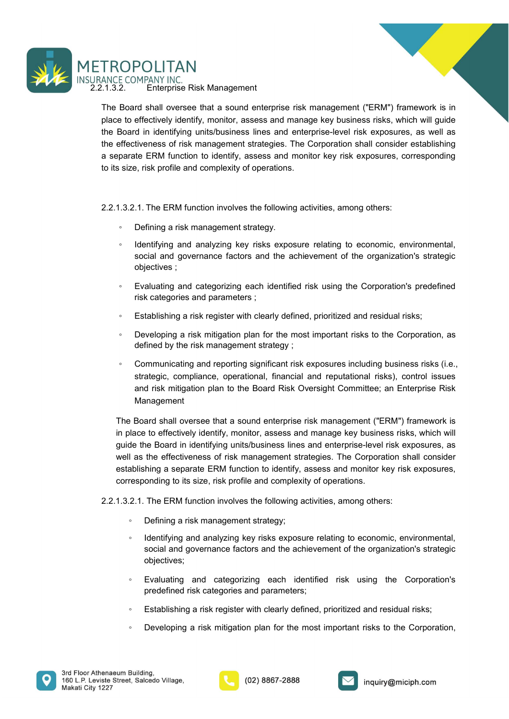



ETROPOLITAN<br>
2.2.1.3.2. Enterprise Risk Management<br>
2.2.1.3.2. Enterprise Risk Management<br>
The Board shall oversee that a sound enterprise risk management ("ERM") framework is in<br>
place to effectively identify, monitor, as TROPOLITAN<br>
ANCE COMPANY INC.<br>
..1.3.2. Enterprise Risk Management<br>
The Board shall oversee that a sound enterprise risk management ("ERM") framework is in<br>
place to effectively identify, monitor, assess and manage key bus TROPOLITAN<br>
ANCE COMPANY INC.<br>
.1.3.2. Enterprise Risk Management<br>
The Board shall oversee that a sound enterprise risk management ("ERM") framework is in<br>
place to effectively identify, monitor, assess and enterprise-leve TROPOLITAN<br>ANCE COMPANY INC.<br>The Board shall oversee that a sound enterprise risk management ("ERM") framework is in<br>place to effectively identify, monitor, assess and manage key business risks, which will guide<br>the Board TROPOLITAN<br>ANCE COMPANY INC.<br>The Board shall oversee that a sound enterprise risk management ("ERM") framework is in<br>place to effectively identify, monitor, assess and manage key business risks, which will guide<br>the Board **ERM FUNCT THE SET SET AND SEPARATE AND SEPARATE AND SEPARATE ASSESS AND SET ASSESS AN ALL SET ASSESS AND SERVE THE BOARD SHOWS IN THE BOARD SHOWS IN THE BOARD IN INCREDIBLE THE COMPOSER SO THE WAY THE SERM FUNCTION OF A S** TROPOLITAN<br>
ANCE COMPANY INC.<br>
.1.3.2. Enterprise Risk Management<br>
The Board shall oversee that a sound enterprise risk management ("ERM") framework is in<br>
place to effectively identify, monitor, assess and manage key busi TROPOLITAN<br>
ANCE COMPANY INC.<br>
2.1.3.2. Enterprise Risk Management<br>
The Board shall oversee that a sound enterprise risk management ("ERM") framework is in<br>
the Board shall oversee that a sound enterprise risk management ( **COMPANY INC.**<br>
ECOMPANY INC.<br>
2. Enterprise Risk Management<br>
Board shall oversee that a sound enterprise risk management ("ERM") framework is in<br>
Board in identifying units/business lines and enterprise-level risk exposur <p>CPDCLITAN</p>\n<p>ECOMPANY INCC.</p>\n<p>Enter of Risk Management</p>\n<p>Board shall over the data sound enterprise risk management ("ERM") framework is in the effective identity, monthly, monitors, assessed management strategies. The Corporation shall consider establishing pareERM function to identify, assays and monkey between the first frequency size, risk, which will guide the first frequency size, risk profile and complexity of operations.</p>\n<p>size, risk profile and complexity of operations.</p>\n<p>3.2.1. The ERM function involves the following activities, among others:</p>\n<ul>\n<li>Defining a risk management strategy.</li>\n<li>Refining an isk management strategy.</li>\n<li>Refining an isk management strategy.</li>\n<li>Refining an isk management strategy.</li>\n</ul>\n<p>Equating and analyzing key risks exposure relating to economic, environmental, social and governance factors and the achievement of **Social And Society**<br>Social and a social and anomeration of the achievement ("ERM") framework is in<br>effectively identify, monitor, assess and manage key business risks, which will guide<br>din identifying units/business lines **POLITAN**<br>
IMPANY INC.<br>
Interprise Risk Management<br>
Interprise Risk Management<br>
Interprise Risk Management<br>
Interprise Risk Management<br>
Interprise Risk management ("ERM") framework is ir<br>
interprise Risk (including in this COMPANY INC.<br>
ECOMPANY INC.<br>
ECOMPANY INC. THE RISK Management<br>
Board shall oversee that a sound enterprise risk management ("ERM") framework is in<br>
the to effectively identify, monitor, assess and anearge key business ri Enterprise Kisk Management<br>
and all oversee that a sound enterprise risk management ("ERM") framework is in<br>
dreflectively identifying units/business lines and enterprise-level risk exposures, as well as<br>
di in identifying beat shall owerse that a sound enterprise risk management ("ENW") rramework is not defined by defictively identify, monitor, assess and manage key business risks, which will glude<br>
Board in identifying units/business line Soard in identifying units/business lines and enterprise-level risk exposures, as well as<br>
so frisk management strategies. The Corporation shall consider establishing<br>
size, risk profile and complexity of operations.<br>
3.2

- 
- 
- 
- 
- 
- tiveness of risk management strategies. The Corporation shall consider establishing<br>the ERM function to identify, assess and monitor key risk exposures, corresponding<br>r, risk profile and complexity of operations.<br>1. The ER parate ERM function to identify, assess and monitor key risk exposures, corresponding<br>
size, risk profile and complexity of operations.<br>
3.2.1. The ERM function involves the following activities, among others:<br>
• Defining strategic and complexity of operations.<br>
1. The ERM function involves the following activities, among others:<br>
Defining a risk management strategy.<br>
Identifying and analyzing key risks exposure relating to economic, enviro 1. The ERM function involves the following activities, among others:<br>
Defining a risk management strategy.<br>
Identifying and analyzing key risks exposure relating to economic, environmental,<br>
social and governance factors a Management

The Board shall oversee that a sound enterprise risk management ("ERM") framework is stategic objectives and governance factors and the achievement of the organization's strategic objectives ;<br>
Similarly and categorizing e <ul>\n<li> Defining a risk management strategy.</li>\n<li>Identifying and analyzing key risks exposure relating to economic, environmental, social and governance factors and the achievement of the organization's strategic objectives;</li>\n<li>Evaluating and categorizing each identified risk using the Corporation's predefined risk categories and parameters;</li>\n<li>Estabilishing a risk register with clearly defined, prioritized and residual risks;</li>\n<li>Developing a risk mitigation plan for the most important risks to the Corporation, as defined by the risk management strategy;</li>\n<li>Commutating and reporting significant risk exposures including business risks (i.e., strategic, compliance, operational, financial and reputational risks), control issues and risk mitigation plan to the Board. financial that the population of the board Risk Oversight Committee; an Enterprise Risk Management.</li>\n<li>The Board shall oversee that a sound enterprise risk management ("ERM") framework is a good to effectively identify, individuals in the same step key business risks, which will guide the Board in identifying unitst Identifying and analyzing key risks exposure relating to economic, environmental,<br>social and governance factors and the achievement of the organization's strategic<br>objectives;<br>Fraulating and categorizing each identified ri well as the effective of the board is the effective of restaining the corporation's strategic<br>
social and governance factors and the achievement of the organization's strategic<br>
strategining a risk register with clearly de establishing and categorizing each identified risk using the Corporation's predefined<br>
risk categories and parameters ;<br>
Establishing a risk register with clearly defined, prioritized and residual risks;<br>
9. Developing a r Fivaluating and categorizing each identified risk using the Corporation's predefined<br>
risk categories and parameters ;<br>
Establishing a risk register with clearly defined, prioritized and residual risks;<br>
Developing a risk risk categories and parameters ;<br>
2.2.1.3.2.1. The ERM function involves the following activities of the corporation, as<br>
4.2.2.1.1.2.1.1.2.1.1.2.1.1.2.1.1.2.1.1.2.1.1.2.1.1.2.1.1.2.1.1.2.1.1.2.1.1.1.2.1.1.1.1.1.1.1.1.1.1. Establishing a risk register with clearly defined, prioritized and residual risks;<br>
Developing a risk mitigation plan for the most important risks to the Corporation, as<br>
defined by the risk management strategy;<br>
Communica Developing a risk mitigation plan for the most important risks to the Corporation, as<br>
defined by the risk management strategy;<br>
Communicating and reporting significant risk exposures including business risks (i.e.,<br>
Commu fined by the risk management strategy;<br>
sommunicating and reporting significant risk exposures including business risks (i.e.,<br>
atelegic, compliance, operational, financial and reputational risks), control issues<br>
d risk m strategic, compliance, operational, financial and reputational risks), control issues<br>
and risk mitigation plan to the Board Risk Oversight Committee; an Enterprise Risk<br>
Management<br>
Board shall oversee that a sound enterp d risk mitigation plan to the Board Risk Oversight Committee; an Enterprise Risk<br>anagement<br>ard shall oversee that a sound enterprise risk management ("ERM") framework is<br>to to effectively identify, monitor, assess and mana Management<br>
Board shall oversee that a sound enterprise risk management ("ERM") framework is<br>
lace to effectively identify, monitor, assess and manage key business risks, which will<br>
de the Board in identifying units/busin Board shall oversee that a sound enterprise risk management ("ERM") framework is<br>take to effectively identify, monitor, assess and manage key business risks, which will<br>de the Board in identifying units/business lines and

- 
- objectives;
- 
- 
- 





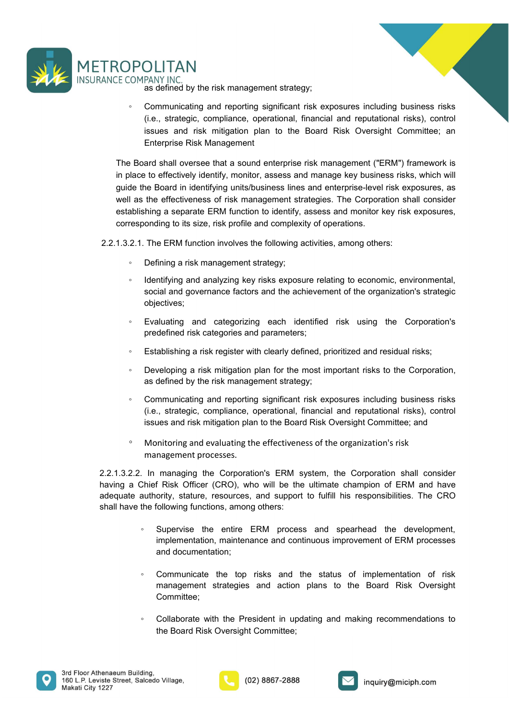



**COLITAN**<br>FANY INC.<br>as defined by the risk management strategy;<br>Communicating and reporting significant risk exposures including business risks<br>(i.e., strategic, compliance, operational, financial and reputational risks), FOLITAN<br>
SERVING ANTIAC ASSOCIATED AND A SURFAINTING as defined by the risk management strategy;<br>
Communicating and reporting significant risk exposures including business risks<br>
(i.e., strategic, compliance, operational, COMBANY INC.<br>
THE TRANY INC.<br>
Sa defined by the risk management strategy;<br>
Communicating and reporting significant risk exposures including business risks<br>
(i.e., strategic, compliance, operational, financial and reputatio **ICTAN**<br>FANY INC.<br>Sa defined by the risk management strategy;<br>Communicating and reporting significant risk exposures including business risks<br>(i.e., strategic, compliance, operational, financial and reputational risks), co

**ENTER AN**<br>
FANY INC.<br>
THE SERVIE AND TRISK Management strategy;<br>
Communicating and reporting significant risk exposures including business risks<br>
(i.e., strategic, compliance, operational, financial and reputational risks THE COMPANY INC.<br>
THE COMPANY INC.<br>
THE BOARD SALL OF THE SALL OF THE SALL OF THE SALL OF THE SALL OF THE SALL OF THE SALL OF THE SURVEY (i.e., strategic, compliance, operational, financial and reputational risks), control **ECOMPLITAIN**<br>
IF COMPANY INC.<br>
INCECTIVE TO A SURFALL AND A SURFALL AND A SURFALL AND A SURFALL AND A SURFALL AND A SURFALL A SURFALL AND INCELL STAT THE BOAT STAK Management<br>
IF THE BOAT SHAK INTEGRATION plan to the BOar ROPOLITAN<br>ECOMPANY INC.<br>
as defined by the risk management strategy;<br>
. Communicating and reporting significant risk exposures including business risks<br>
(i.e., strategic, compliance, operational, financial and reputational WELLTAN<br>
WELGOMPANY INC.<br>
So defined by the risk management strategy;<br>
Communicating and reporting significant risk exposures including business risks<br>
(i.e., strategic, compilance, operational, financial and reputational establishing a separate through the separate through the separate through the separate of the stategic, compliance, operational, financial and reputational risks), control<br>issues and risk mitigation plan to the Board Risk COPOLITAN<br>
CECOMPANY INC.<br>
as defined by the risk management strategy;<br>
communicating and reporting significant risk exposures including business risks<br>
(i.e., strategic, complinace, operational, financial and reputational TROPOLITAN<br>
ANCE COMPANY INC.<br>
as defined by the risk management strategy;<br>
communicating and reporting significant risk exposures including business risks<br>
(i.e., stategic, compilance, operational, financial and reputatio **EXECT AN AN**<br>
COMPANY INC.<br>
as defined by the risk management strategy;<br>
communicating and reporting significant risk exposures including business risks<br>
(i.e., strategic, compliance, operational, financial and reputation ◦ Identifying and analyzing key risks exposure relating to economic, environmental, social and governance factors and the achievement of the comporations of the complete compliance, operational, financial and reputational risks), control (i.e., strategic, compliance, operational, financial and reputationa (i.e., strategic, compliance, operational, financial and reputational risks), control<br>
issues and risk mitagation plan to the Board Risk Oversight Committee; an<br>
Enterprise Risk Management<br>
Board shall oversee that a sou issues and risk mitigation plan to the Board Risk Oversight Committee; an Enterprise Risk Management<br>Enterprise Risk Management<br>ard shall oversee that a sound enterprise risk management ("ERM") framework is<br>to effectively Enterprise Risk Management<br>
Board shall oversee that a sound enterprise risk management ("ERM") framework is<br>
lace to effectively identify, monitor, assess and manage key business risks, which will<br>
de the Board in identi Board shall oversee that a sound enterprise risk management ("ERM") framework is<br>lace to effectively identify, monitor, assess and manage key business risks, which will<br>de the Board in identifying units/business lines and to the effectively identify, monitor, assess and manage key business risks, which will<br>abe Board in identifying unita/business lines and enterprise-level risk exposures, as<br>the effectiveness of risk management strategies. • Leader Communication and reportion is a the effectiveness of risk management strategies. The Corporation shall consider<br>abilishing a separate ERM function to identify, assess and monitor key risk exposures,<br>responding t

- 
- objectives; The ERM functions of the interaction is discussed. The Supplication is the proportion is the size, risk profile and complexity of operations.<br>The ERM function involves the following activities, among others:<br>Defining a ris inning a separate Livit unitation to userinty, assess and internal resy instructionally of the ERM function involves the following activities, among others:<br>The ERM function involves the following activities, among others:
- 
- 
- 
- 
- 

2.1. The ERM function involves the following activities, among others:<br>
• Defining an ist management strategy;<br>
• Identifying and analyzing key risks exposure relating to economic, environmental,<br>
social and governance fa The Extivi tunction involves the blowwing activities, anilong orders.<br>
Defining a risk management strategy;<br>
Identifying and analyzing key risks exposure relating to economic, environmental,<br>
social and governance factors Leminig a risk management stategy,<br>
a lemitifying and analyzing key risk exposure relating to economic, environmental,<br>
social and governance factors and the achievement of the organization's strategic<br>
objectives;<br>
Eval A dentifying and analyzing key risks exposure relating to economic, environmental,<br>social and governance factors and the achievement of the organization's strategic<br>objectives;<br>Favorities and categorizing each identified r social and governance factors and the achievement of the organization's strategic<br>cobjectives;<br>
Exaluating and categorizing each identified risk using the Corporation's<br>
predefined risk categories and parameters;<br>
Establis bijectives;<br>
• Evaluating and categorizing each identified risk using the Corporation's<br>
predefined risk categories and parameters;<br>
• Establishing a risk register with clearly defined, prioritized and residual risks;<br>
• D Evaluating and categorizing each identified risk using the Corporation's<br>
predefined risk categories and parameters;<br>
Establishing a risk register with clearly defined, prioritized and residual risks;<br>
Developing a risk mi defined risk categories and parameters;<br>ablishing a risk register with clearly defined, prioritized and residual risks;<br>veloping a risk mitigation plan for the most important risks to the Corporation,<br>defined by the risk m ablishing a risk register with clearly defined, prioritized and residual risks;<br>veloping a risk mitigation plan for the most important risks to the Corporation<br>defined by the risk management strategy;<br>mmunicating and repor Developing a risk mitigation plan for the most important risks to the Corporation,<br>as defined by the risk management strategy;<br>Communicating and reporting significant risk exposures including business risks<br>(i.e., strategi defined by the risk management strategy;<br>mmunicating and reporting significant risk exposures including business risks<br>on the same strategic, compliance, operational, financial and reputational risks), control<br>the same dis (i.e., strateginc, compliance, operational, financial and reputational rass), control<br>issues and risk mitigation plan to the Board Risk Oversight Committee; and<br>Monitoring and evaluating the effectiveness of the organizati the Sand risk mitigation pian to the Board Risk Oversight Committee; and<br>
mintoring and evaluating the effectiveness of the organization's risk<br>
magement processes.<br>
managing the Corporation's ERM system, the Corporation s

- 
- Committee;
- 





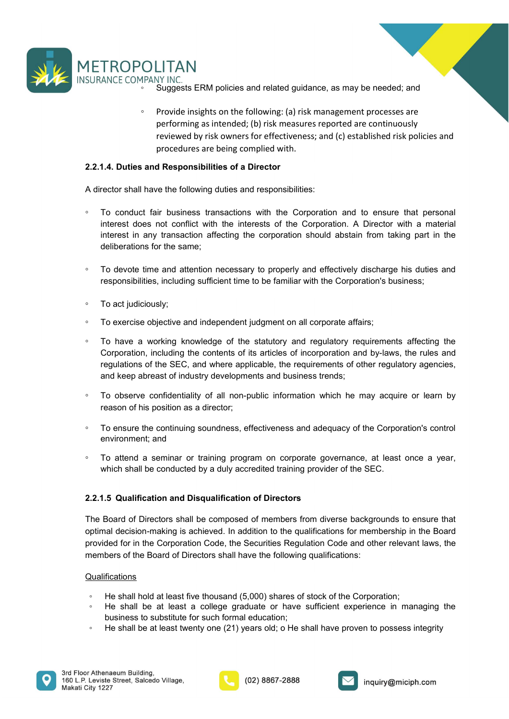

- 
- **OLITAN**<br>
<sup>MPANY INC.<br>
 Suggests ERM policies and related guidance, as may be needed; and<br>
 Provide insights on the following: (a) risk management processes are<br>
performing as intended; (b) risk measures reported are con</sup> **OLITAN**<br>
PRANY INC.<br>
Suggests ERM policies and related guidance, as may be needed; and<br>
Provide insights on the following: (a) risk management processes are<br>
performing as intended; (b) risk measures reported are continuo LITAN<br>
NY INC.<br>
Suggests ERM policies and related guidance, as may be needed; and<br>
Provide insights on the following: (a) risk management processes are<br>
performing as intended; (b) risk measures reported are continuously<br> LITAN<br>Suggests ERM policies and related guidance, as may be needed; and<br>Provide insights on the following: (a) risk management processes are<br>performing as intended; (b) risk measures reported are continuously<br>reviewed by r LITAN<br>
WY INC.<br>
Suggests ERM policies and related guidance, as may be needed; and<br>
Provide insights on the following: (a) risk management processes are<br>
performing as intended; (b) risk measures reported are continuously<br> THETROPOLITAN<br>
SURANCE COMPANY INC.<br>
Suggests ERM policies and related guidance, as may be needed; and<br>
Provide insights on the following: (a) risk management processes are<br>
performing as intended; (b) irsk measures report

- A director shall have the following duties and related guidance, as may be needed; and<br>
Supposes FRM policies and related guidance, as may be needed; and<br>
Provide insights on the following (a) risk management processes ar TROPOLITAN<br>
ANCE COMPANY INC.<br>
• Suggests ERM policies and related guidance, as may be needed; and<br>
• Provide insights on the following: (a) risk management processes are<br>
performing as intended; (b) risk massures reported TROPOLITAN<br>
ANCE COMPANY INC.<br>
Suggests ERM policies and related guidance, as may be needed; and<br>
Provide insights on the following: (a) risk management processes are<br>
performing as intended; (b) risk measures reported are deliberations for the same; and attentions for the same of the same of the same of the same of the same of the same of the same of the same of the same of the same of the same of the same of the same of the same of the sa
- 
- 
- 
- SURANCE COMPANY INC<sup>25</sup><br>
SURANCE COMPANY INC<sup>25</sup><br>
SURGIVER SERIM policies and related guidance, as may be needed; and<br>
Provide insights on the following: (a) risk management processes are<br>
performing as intended; (b) risk procedures are being complied with.<br> **1.4. Duties and Responsibilities of a Director**<br>
rector shall have the following duties and responsibilities:<br>
To conduct fair business transactions with the Corporation and to ensure **1.4. Duties and Responsibilities of a Director**<br>To conduct fair business transactions with the Corporation and to ensure that personal<br>interest does not conflict with the interests of the Corporation. A Director with a ma 2.2.1.4. Duttes and Kesponsibilities or a Director<br>
To conduct fair business transactions with the Corporation and to ensure that personal<br>
interest obes on to conflict with the interests of the Corporation. A Director wi For conduct fair business transactions with the Corporation and to ensure that personal<br>interest does not conflict with the interests of the Corporation. A Director with a material<br>interest in any transaction affecting t interest in any transaction affecting the corporation should abstain from taking part<br>deliberations for the same;<br>To devote time and attention necessary to properly and effectively discharge his dutie<br>responsibilities, inc ■ To devote time and attention necessary to properly and effectively discharge his duties and<br>
responsibilities, including sufficient time to be familiar with the Corporation's business;<br>
To act judiciously;<br>
To actercise To devote time and attention necessary to properly and effectively discharge his duties and<br>responsibilities, including sufficient time to be familiar with the Corporation's business;<br>To act judiciously;<br>To exercise object
- 
- 
- 

<p>\n• To act judiciously;<br/>\n• To exercise objective and independent judgment on all corporate affairs;<br/>\n• To have a working knowledge of the statutory and regulatory requirements, filtering the<br/>\n Corportation, including the contents of its articles of incorporating relationships<br/>\n Copration, including the other applications of other regulatory agencies,<br/>\n and keep abreak of industry developments and business trends;<br/>\n To observe confidentiality of all non-public information which he may acquire or learn by<br/>\n reason of his position as a directory;<br/>\n To ensure the continuing soundness, effectiveness and adequacy of the Corporation's control<br/>\n environment, and<br/>\n For user, we continue the writing program on corporate governance, at least once a year,<br/>\n which shall be conducted by a duty accretited training provider of the SEC.<br/>\n2.2.1.5 Qualification and Disqualification of To exercise objective and independent judgment on all corporate affairs;<br>
To have a working knowledge of the statutory and regulatory requirements affecting the<br>
Corporation, including the contents of its articles of incor The David Constraine of the station of Directors and requirements affecting the Corporation, including the contents of its articles of incorporation and by-laws, the rules and regulations of the SEC, and where applicable, <p>\n• To have a working knowledge of the statutory and regulatory requirements affecting the<br/>\n Corputation, including the contents of the series of incorporating the<br/>\n regulations of the SEC, and where applicable, the requirements of other regulatory agencies, and keep the<br/>\n and keep the the objects of industry developments and business trends; \n</p>\n<p>\n• To observe confidentiality of all non-public information which he may acquire or learn by reason of his position as a director; \n</p>\n<p>\n• To ensure the continuing soundness, effectiveness and adequacy of the Corporations control environment, and \n</p>\n<p>\n• To attend a seminar or training program on corporate governance, at least once a year, which shall be conducted by a duty accretited training provider of the SEC.\n</p>\n<p>\n<b>2.2.1.5 Qualification and Disqualification of Directors</b>\n</p>\n<p>\ Corporation, including the contents of its articles of incorporation and by-laws, the rules and<br>regulations of the SEC, and where applicable, the requirements of other regulatory agencies,<br>and keep abreast of industry deve To observe confidentiality of all non-public information which he may acquire or learn by<br>
reason of his position as a director;<br>
To ensure the continuing soundness, effectiveness and adequacy of the Corporation's control<br> From this position as a director;<br>
To ensure the continuing soundness, effectiveness and adequacy of the Corporation's control<br>
environment; and<br>
To attend a seminar or training program on corporate governance, at least on bestorion in its position as a directior;<br>
o ensure the continuing soundness, effectiveness and adequacy of the Corporation's control<br>
o virtuo montent; and<br>
content a seminar or training program on corporate governance, a To ensure the continuing soundness, effectiveness and adequacy of the Corporation's control<br>
environment; and<br>
To attend a seminar or training program on corporate governance, at least once a year,<br>
which shall be conduct

### **Qualifications**

- 
- 
- 





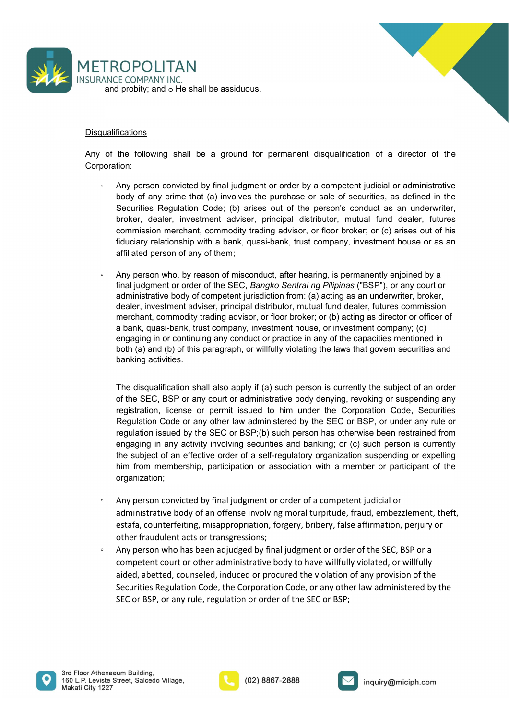



## **Disqualifications**

Corporation:

- SURANCF COMPANY INC.<br>
SURANCF COMPANY INC.<br>
and probity; and o He shall be assiduous.<br>
Any of the following shall be a ground for permanent disqualification of a director of the<br>
Corporation:<br>
 Any person convicted by fin TROPOLITAN<br>
ANCE COMPANY INC.<br>
and probity; and ⊙ He shall be assiduous.<br>
utalifications<br>
of the following shall be a ground for permanent disqualification of a director of the<br>
poration:<br>
• Any person convicted by final COPOLITAN<br>
ECOMPANY INC.<br>
Frequency and  $\circ$  He shall be assiduous.<br>
the following shall be a ground for permanent disqualification of a director of the<br>
thor,<br>
Any person convicted by final judgment or order by a competen Security and the shall be a ground for permanent disqualification of a director of the following shall be a ground for permanent disqualification of a director of the tion:<br>Any person convicted by final judgment or order b **ECOMPANY INC.**<br>The COMPANY INC.<br>The probity, and o He shall be assiduous.<br>The following shall be a ground for permanent disqualification of a director of the<br>tion:<br>Any person convicted by final judgment or order by a comp RCPOLITAN<br>
fications<br>
fications<br>
the following shall be a ground for permanent disqualification of a director of the<br>
tion:<br>
Any person convicted by final judgment or order by a competent judicial or administrative<br>
booty Fig. COPOLITAN<br>Fig. 15 COMPANY INC.<br>Fig. 2010 and order the shall be a strategy and for permanent disqualification of a director of the<br>tion:<br>Any person convicted by final judgment or order by a competent judicial or admin ROPOLITAN<br>
E.E.COMPANY INC.<br>
Firstnows and or be shall be assiduous.<br>
fications<br>
the following shall be a ground for permanent disqualification of a director of the<br>
tion:<br>
Any person convided by final judgment or order by **FICPULIT ANY**<br>
ANCE COMPANY INC.<br> **ANCE COMPANY INC.**<br> **ANCE COMPANY INC.**<br> **Any person convicted by final judgment or order by a competent judicial or administrative<br>
boy of any crime that (a) involves the purchase or s** 
	- E COMPANY INC.<br>
	fications<br>
	the following shall be a ground for permanent disqualification of a director of the<br>
	tion:<br>
	the following shall be a ground for order by a competent judicial or administrative<br>
	Any person convict ficaltions<br>ficaltions<br>the following shall be a ground for permanent disqualification of a director of the<br>tion:<br>Any person convicted by final judgment or order by a competent judicial or administrative<br>body of any crime th dicalions<br>tions<br>the following shall be a ground for permanent disqualification of a director of the<br>Any person convicted by final judgment or order by a competent judicial or administrative<br>body of any crime that (a) invol fications<br>the following shall be a ground for permanent disqualification of a director of the<br>boot)<br>common dark (a) involves the purchase or sale of securities, as defined in the<br>Securities Regulation Code; (b) arises out <u>fications</u><br>the following shall be a ground for permanent disqualification of a director of the<br>tion:<br>then the propose on convicted by final judgment or order by a competent judicial or administrative<br>body of any crime tha ficaltions<br>the following shall be a ground for permanent disqualification of a director of the<br>boot)<br>of any person convicted by final judgment or order by a competent judicial or administrative<br>booty of any crime that (a) the following shall be a ground for permanent disqualification of a director of the<br>tion:<br>Any person convicted by final judgment or order by a competent judicial or administrative<br>body of any crime that (a) involves the pu the following shall be a ground for permanent disqualification of a director<br>tion:<br>My person convicted by final judgment or order by a competent judicial or adminited<br>boty of any crime that (a) involves the purchase or sal Any person convicted by final judgment or order by a competent judicial or administrative<br>bedy of any crime that (a) involves the purchase or sale of securities, as defined in the<br>Securities Regulation Code; (b) arises out body of any crime that (a) involves the purchase or sale of securities, as defined in the procedited Regulation Code; (b) arises ut of the person's conduct as an underwriter, Secciarties Regulation Code; (b) arises ut of t

Securities Regulation Code; (b) arises out of the person's conduct as an underwriter,<br>broker, dealer, mvestment adviser, principal distributor, mutual fund dealer, futures<br>commission merchant, commodity trading advisor, or broker, dealer, investment adviser, principal distributor, mutual fund dealer, futures<br>commission merchant, commodity trading advisor, or floor broker; or (c) arises out of his<br>flouciary relationship with a bank, quasi-ban commission merchant, commodity trading advisor, or floor broker; or (c) arises out of his diduciary relationship with a bank, quasi-bank, trust company, investment house or as an affiliated person of any of them;<br>diffuciar fiduciary relationship with a bank, quasi-bank, trust company, investment house or as an affiliated person of any of them;<br>Any person who, by reason of misconduct, after hearing, is permanently enjoined by a<br>final judgment affiliated person of any of them;<br>Any person who, by reason of misconduct, after hearing, is permanently enjoined by a<br>final judgment or order of the SEC, *Bangko* Sentral ng Pilipinas ("BSP"), or any court or<br>administrati Any person who, by reason of misconduct, after hearing, is permanently enjoined by a<br>final judgment or order of the SEC, *Bangko Sentral ng Pilipina*s ("BSP"), or any court or<br>deninistrative body of competent jurisdiction organization; administrative body of competent jurisdiction from: (a) acting as an underwriter, broker,<br>
dealer, investment adviser, principal distributor, mutual fund dealer, futures commission<br>
merchant, commodity trading advisor, or dealer, investment adviser, principal distributor, mutual fund dealer, futures commission<br>merchant, commodity trading advisor, or floor broker; or (b) acing as director or offerer of<br>a bank, quasi-bank, trust company, inve menchant, commodity trading advisor, or floor broker; or (b) acting as director or officer of mengaging in or continuing any conduct or practice in any of the capacities mentioned in engaging in or continuing any conduct o other, quash-many, must company, measurent nouse, or muestment company; (c)<br>engaging in or continuing any conduct or practice in any of the apacities mentioned in<br>both (a) and (b) of this paragraph, or will fully violating both the discompete of the SEC, estimated and the subject of an order of the SEC, BSP or any court or administrative body denying, revoking or suspending any registration, license or permit issued to him under the Corporat The disqualification shall also apply if (a) such person is currently the subject of an order of the SEC, BSP o rany count or administrative body denying, revoking or suspending any registration, license or permit issued t The disqualification shall also apply if (a) such person is currently the subject of an order<br>of the SEC, BSP or any court or administrative body denying, revoking or suspending any<br>registration, license or permit issued t The usqualinctator shan as o apply it (a) studi person is callenged to an order of the SEC, BSP or any court or administrative body denying, revoking or suspending any registration, license or permit issued to him under th

- 
- 



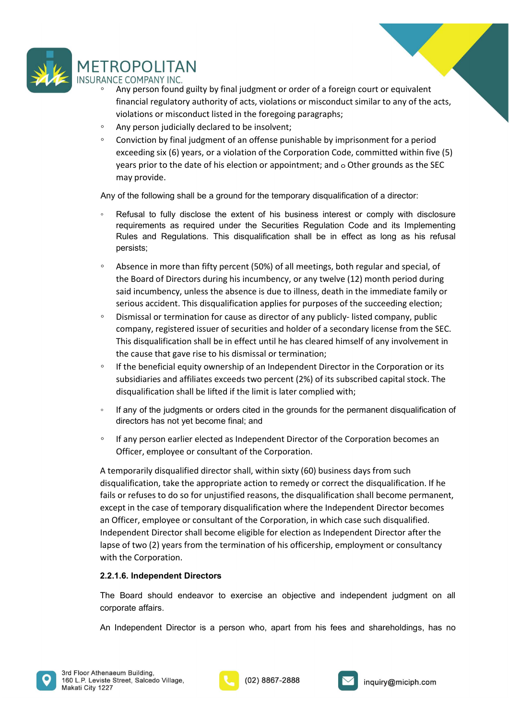

- TROPOLITAN<br>
ANCE COMPANY INC.<br>
↑ Any person found guilty by final judgment or order of a foreign court or equivalent<br>
financial regulatory authority of acts, violations or misconduct similar to any of the acts,<br>
violation Fig. (COPOLITAN)<br>Fig. 2011 CE COMPANY INC.<br>Any person found guilty by final judgment or order of a foreign court or equivalent<br>financial regulatory authority of acts, violations or misconduct similar to any of the acts,<br>vi
- 
- TROPOLITAN<br>
<sup>•</sup> Any person found guilty by final judgment or order of a foreign court or equivalent<br>
financial regulatory authority of acts, violations or misconduct similar to any of the acts,<br>
 violations or misconduct Reference Many INC.<br>
Sece COMPANY INC.<br>
Secenced are alternated are alternated are alternated are alternated financial regulatory authority of acts, violations or misconduct similar to any of the acts,<br>
sivilations or misc XCPOLITAN<br>
ECOMPANY INC.<br>
ECOMPANY INC.<br>
Any person found guilty by final judgment or order of a foreign court or equivalent<br>
financial regulatory authority of acts, violations or misconduct similar to any of the acts,<br>
vi ROPOLITAN<br>
The COMPANY INC.<br>
Any person found guilty by final judgment or order of a foreign court or equivar<br>
financial regulatory authority of acts, violations or misconduct similar to any o<br>
violations or misconduct sim TROPOLITAN<br>
ANCE COMPANY INC.<br>
<sup>e</sup> Any person found guilty by final judgment or order of a foreign court or equivalent<br>
financial regulatory authority of acts, violations or misconduct similar to any of the acts,<br>
violatio TROPOLITAN<br>
ANCE COMPANY INC.<br>
"Any person found guilty by final judgment or order of a foreign court or equivalent<br>
"financial regulatory authority of acts, violations or misconduct similar to any of the acts,<br>
"Any pers ROPOLITAN<br>F.E.COMPANY INC.<br>The COMPANY INC.<br>Any person found guilty by final judgment or order of a foreign court or equivalent<br>financial regulatory authority of acts, violations or misconduct similar to any of the acts,<br>c ROPOLITAN<br>
SE COMPANY INC.<br>
EE COMPANY INC.<br>
Any person found guilty by final judgment or order of a foreign court or equivalent<br>
financial regulatory authority of acts, violations or misconduct similar to any of the acts,

- persists;
- TROPOLITAN<br>
ANCE COMPANY INC.<br>
"Any person found guilty by final judgment or order of a foreign court or equivalent<br>
financial regulatory authority of acts, violations or misconduct similar to any of the acts,<br>
violations TO LET THET WANT THET THET IT ANTEND CONSIDED THE CALC COMPANY INC.<br>
ELECOMPANY INC.<br>
Any person found guilty by final judgment or order of a foreign court or equivalent<br>
frinancial regulatory autothrity of acts, violation Econtrinoint Inc.<br>
Encomparison found guilty by final judgment or order of a foreign count or equivalent<br>
financial regulatory authority of acts, violations or misconduct similar to any of the acts,<br>
wholy person joulicial financial regulatory authority of acts, violations or misconduct similar to any of the acts, violations or misconduct listed in the foregoing paragraphs;<br>
"Any person judicially declared to be insiblent;<br>
"Conviction by Any person judicially declared to be insolvent;<br>Conviction by final judgment of an offense punishable by imprisonment for a period<br>exceeding six (6) years, or a violation of the Corporation Code, committed within five (5)<br> Conviction by final judgment of an offense punishable by imprisonment for a period<br>exceeding six (6) years, or a violation of the Corporation Code, committed within five (5)<br>exers prior to the date of his election or appoi the following that gave rise to his decreased by many contribute or the corporation Code, committed within five (5)<br>years prior to the date of his election or appointment; and a Other grounds as the SEC<br>may provide.<br>AAny may provide.<br>
In the following shall be a ground for the temporary disqualification of a director:<br>
Refusal to fully disclose the extent of his business interest or comply with disclosure<br>
requirements as required under th The presention of a lifted in the temperary disqualification of a director:<br>
different the following shall be a ground for the temporary disqualification of a director:<br>
Refusal to fully disclose the extent of his business Fraction to the grounds for this business interest or comply with disclosure<br>
requirements as required under the Securities Regulation Code and its Implementing<br>
Rules and Regulations. This disqualification shall be in eff Refusal to fully disclose the extert of his business interest or comply with disclosure<br>requirements as required under the Securities Regulation Code and its Implementing<br>Rules and Regulations. This disqualification shall Fraismannia correlation and interaction and interaction and interaction and perfect as long as his refusal<br>
Phales and Regulations. This disqualification shall be in effect as long as his refusal<br>
persists;<br>
• Absence in
- 
- 
- 
- 

persists;<br>
Absence in more than fifty percent (50%) of all meetings, both regular and special, of<br>
Absence in more than fifty percent (50%) of all meetings, death in the grand special, of<br>
the Board of Directos during<br>
sta • Absence in more than fifty percent (50%) of all meetings, both regular and special, of<br>the Board of Directors during his incumbency, or any twelve (12) month period during<br>said incumbency, unless the absence is due to i the Board of Directors during his incumbency, or any twelve (12) month period during<br>said incumbency, unless the absence is due to illness, death in the immediate family or<br>serious accident. This disqualification applies f said incumbency, unless the absence is due to illness, death in the immediate family or<br>serious accident. This disqualification applies for purposes of the succeeding election;<br>Dismissal or termination for cause as direct serious accident. This disqualification applies for purposes of the succeeding election;<br>
bismissal or termination for cause as director of any publicly-listed company, public<br>
company, registered issuer of securities and • Dismissal or termination for cause as director of any publicly- listed company, public<br>company, registered issuer of securities and holder of a secondary license from the SEC.<br>This disqualification shall be in effect unt company, registered issuer of securities and holder of a secondary license from the SEC.<br>This disqualification shall be in effect until he has cleared himself of any involvement in<br>the cause that gave rise to his dissinusa This disqualification shall be in effect until he has cleared himself of any involvement in<br>
the cause that gave rise to his dismissal or termination;<br>
If the beneficial equity ownership of an Independent Director in the the cause that gave rise to his dismissal or termination;<br>
If the beneficial equity ownership of an Independent Director in the Corporati<br>
subsidiaries and affiliates exceeds two percent (2%) of its subscribed capital st<br> subsidiaries and affiliates exceeds two percent (2%) of its subscribed capital stock. The disqualification shall be lifted if the limit is later complied with;<br>
If any of the judgments or orders cited in the grounds for th disqualification shall be lifted if the limit is later complied with;<br>
First ray of the judgments or orders cited in the grounds for the permanent disqualification of<br>
directors has not yet become final; and<br>
First presson If any of the judgments or orders cited in the grounds for the permanent disqual<br>directors has not yet become final; and<br>
If any person earlier elected as Independent Director of the Corporation becom<br>
Officer, employee or directors has not yet become final; and<br>
• If any person earlier elected as Independent Director of the Corporation becomes an<br>
• Officer, employee or consultant of the Corporation.<br>
A temporarily disqualified director sha





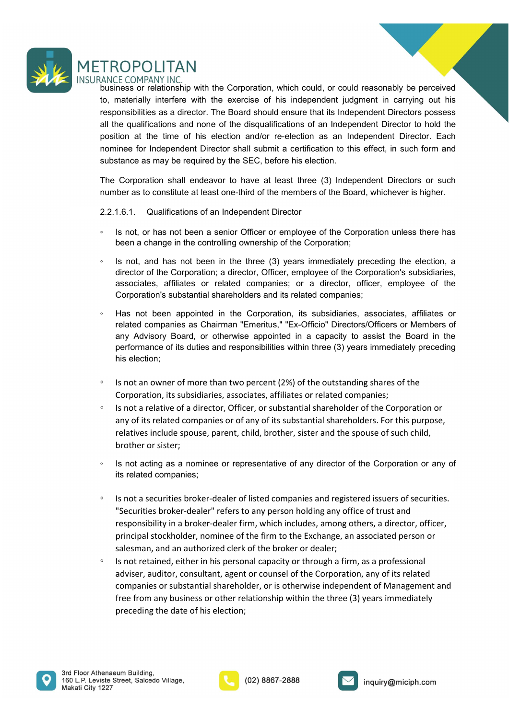

TROPOLITAN<br>ANCE COMPANY INC.<br>business or relationship with the Corporation, which could, or could reasonably be perceived<br>to, materially interfere with the exercise of his independent judgment in carrying out his<br>responsib TROPOLITAN<br>
ANCE COMPANY INC.<br>
business or relationship with the Corporation, which could, or could reasonably be perceived<br>
to, materially interfere with the exercise of his independent judgment in carrying out his<br>
respo TROPOLITAN<br>
ANCE COMPANY INC.<br>
business or relationship with the Corporation, which could, or could reasonably be perceived<br>
to, materially interfere with the exercise of his independent judgment in carrying out his<br>
respo TROPOLITAN<br>ANCE COMPANY INC.<br>business or relationship with the Corporation, which could, or could reasonably be perceived<br>to, materially interfere with the exercise of his independent judgment in carrying out his<br>responsib TROPOLITAN<br>ANCE COMPANY INC.<br>
ANGE COMPANY INC.<br>
business or relationship with the Corporation, which could, or could reasonably be perceived<br>
to, materially interfere with the exercise of his independent judgment in carry TROPOLITAN<br>ANEC COMPANY INC.<br>Business or relationship with the Corporation, which could, or could reasonably be perceived<br>to, materially interfere with the exercise of his independent judgment in carrying out his<br>responsib TROPOLITAN<br>
SINGTOM THE TROPOLITAN<br>
business or relationship with the Corporation, which could, or could reasonably be perceived<br>
to, materially interfere with the exercise of his independent judgment in carrying out his<br> TROPOLITAN<br>
INCE COMPANY INC.<br>
business or relationship with the Corporation, which could, or could reasonably be perceived<br>
to, materially interfere with the vercise of his independent judgment in carrying out his<br>
respon TROPOLITAN<br>ANCE COMPANY INC.<br>Dustriess or relationship with the Corporation, which could, or could reasonably be perceived<br>to, materially interfere with the exercise of his independent judgment in carrying out his<br>respons TROPOLITAN<br>
MACE COMPANY INC.<br>
Notheries or relationship with the Corporation, which could, or could reasonably be perceived<br>
business or relations and none of the disqualifications of an Independent Director sposses<br>
In t TROPOLITAN<br>
AMCE COMPANY INC.<br>
AMCE COMPANY INC.<br>
to, materially interfere with the corporation, which could, or could reasonably be perceived<br>
to, materially interfere with the exercise of his independent judgment in carr ROPOLITAN<br>
F.E.COMPANY INC.<br>
F.E.COMPANY INC.<br>
measor relationship with the Corporation, which could, or could reasonably be perceived<br>
materially interfere with the exercise of his independent judgment in carrying out his TROPOLITAN<br>
ANCE COMPANY INC.<br>
business or relationship with the Corporation, which could, or could reasonably be perceived<br>
business or relationship with the exercise of his independent judgment in carrying out his<br>
tresp COPOLITAN<br>
FECOMPANY INC.<br>
FECOMPANY INC.<br>
FECOMPANY INC. THE SCRIEG of his independent judgment in craring out his<br>
materially interfere with the exercise of his independent digrend in craring out his<br>
oronsider is a dire TECOMPANY INC.<br>TECOMPANY INCENT INTERNATION (are colld reasonably be perceived<br>materially interfere with the exercise of his independent judgment in carrying out his<br>monsibilities as a director. The Board should ensure tha ness or relationship with the Corporation, which could, or could reasonably be perceived<br>materially interfere with the exercise of his independent judgment in carrying out his<br>materially instere with the exercise of the di responsibilities as a director. The Board should ensure that its Independent Directors possess<br>all the qualifications and none of the disqualifications of an Independent Director to hold the<br>position at the time of his ele

- 
- 
- related companies associates as matterial in a certification in the Companies of the disqualifications of an independent Director to hold the tion at the time of his election and/or re-election as an independent Director. <sup>2</sup> of mathemology and the Corporation and the Corporation at the there of his election and/or re-election as an Independent Director. Each<br>inne for Independent Director shall submit a certification to this effect, in such wine to the transmission and solution and the section as an inseperator a become a for independent Director shall submit a certification to this effect, in such form and stance as may be required by the SEC, before his ele His is not an outstand in a continuous of minding and the control of minding and the corporation and the corporation and the corporation shall endeavor to have at least three (3) Independent Directors or such number as to In the state of a constitute at least one-third of the members of the Board, whichever is higher.<br>
2.2.1.6.1. Qualifications of an Independent Director<br>
• Is not, or has not been a senior Officer or employee of the Corpor 1.6.1. Qualifications of an Independent Director<br>
Is not, or has not been a senior Officer or employee of the Corporation unless there has<br>
Is not, and has not been in the companies of the Corporation;<br>
Is incl, and has no is not, or has not been a senior Officer or employee of the Corporation unless there has<br>been a change in the controlling ownership of the Corporation;<br>is not, and has not been in the three (3) years immediately preceding been a change in the controlling ownership of the Corporation;<br>been a change in the controlling ownership of the Corporation;<br>Is not, and has not been in the three (3) years immediately preceding the electic<br>director of th ◦ Is not acting as a nominee or representative of any director of the Corporation or any of
- 
- 
- 
- director of the Corporation; a director, Officer, employee of the Corporation's substidiaries, ansociates, affiliates or columents; or a director, officer, employee of the Corporation's substidiaries;  $\cdot$  Has not been app Has not been appointed in the Corporation, its subsidiaries, associates, affiliates or<br>related companies as Chairman "Emeritus," "Ex-Officio" Directors/Officers or Members of<br>performance of its duties and responsibilities Has not been appointed in in e Corporation, its substaines, associates, antillates or the endotion and the corporation, its substaines, and the Board in the Breat of the Board, or otherwise appointed in a capacity to assis related companies as columinal enterious, exa-collocity discussionlicels in the Board in the performance of its duties and responsibilities within three (3) years immediately preceding his election;<br>the performance of its
- sales may house or dealer; in control and an authorized clerk of the broker or dealer or dealers of the single price or dealer or dealer or dealers of the comparison, it susbstained, associates, affiliates or related compa Is not an owner of more than two percent (2%) of the outstanding shares of the Corporation, its subsidiaries, associates, affiliates or related companies;<br>Is not a relative of a director, Officer, or substantial shareholde Is not an owner of more than two percent (2%) of the outstanding shares of the Corporation, its subsidiaries, associates, affiliates or related companies;<br>Is not a relative of a director, Officer, or substantial shareholde Corporation, its subsidiaries, associates, affiliates or related companies;<br>Is not a relative of a director, Officer, or substantial shareholder of the Corporation or<br>any of its related companies or of any of its substanti Is not a relative of a director, Officer, or substantial shareholder of the Corporation or<br>any of its related companies or of any of its substantial shareholders. For this purpose,<br>relatives include spouse, parent, child,



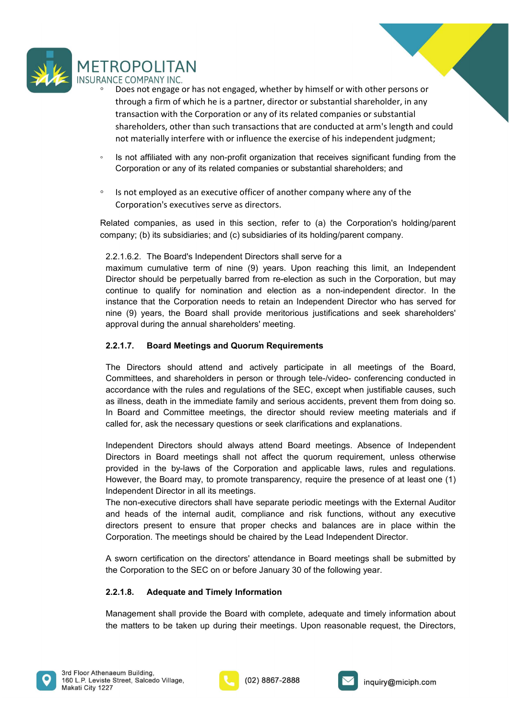

- TROPOLITAN<br>
"Sample COMPANY INC.<br>
"Does not engage or has not engaged, whether by himself or with other persons or<br>
"trough a firm of which he is a partner, director or substantial shareholder, in any<br>
transaction with the ROPOLITAN<br>
LE COMPANY INC.<br>
Does not engage or has not engaged, whether by himself or with other persons or<br>
through a firm of which he is a partner, director or substantial shareholder, in any<br>
transaction with the Corpor TRANS TRANS WINC.<br>THE COMPANY INC.<br>Does not engage or has not engaged, whether by himself or with other persons or<br>through a firm of which he is a partner, director or substantial shareholder, in any<br>transaction with the C Supposes not engage or has not engaged, whether by himself or with other persons or<br>Does not engage or has not engaged, whether by himself or with other persons or<br>through a firm of which he is a partner, director or subst ROPOLITAN<br>Decompary INC.<br>Does not engage or has not engaged, whether by himself or with other persons or<br>through a firm of which he is a partner, director or substantial shareholder, in any<br>transaction with the Corporation FROPOLITAN<br>
ANGE COMPANY INC.<br>
• Does not engage or has not engaged, whether by himself or with other persons or<br>
through a firm of which he is a partner, director or substantial shareholder, in any<br>
transaction with the C COPOLITAN<br>
ECOMPANY INC.<br>
ECOMPANY INC.<br>
ECOMPANY INC.<br>
ECOMPANY INC.<br>
EDOES not emgage or has not engaged, whether by himself or with other persons or<br>
through a firm of which he is a partner, director or substantial shar TROPOLITAN<br>
"SANCE COMPANY INC.<br>
"Obes not empage or has not empaged, whether by himself or with other persons or<br>
through a firm of which he is a partner, director or substantial shareholder, in any<br>
transaction with the ROPOLITAN<br>
CECOMPANY INC.<br>
Does not engage or has not engaged, whether by himself or with other persons or<br>
through a firm of which he is a partner, director or substantial shareholder, in any<br>
transaction with the Corpora  $\begin{array}{l} \text{TROPOL} \text{ITAN} \\ \text{PODEL} \text{ITAN} \\ \text{PODES} \text{ is not engage or has not engaged, whether by himself or with other persons or through a firm of which he is a parent, directory of its related companies or substantial sharedholders, other than such transactions that are conducted at arm's length and could not materially interfere with or influence the exercise of his independent judgment. \\ \text{For particular, the first is not affiliated with any non-profit organization that receives significant funding from the Corporation or any of its related companies or substantial starehoders, and a test is not employed as an executive officer of another company where any of the Corporation's executes serve as directory. \\ \text{The Conparity (b) its subsidiary, the first is used in this section, refer to (a) the Corporation's holdingparent company. \\ \text{The Board's independent Directory shall serve for a maximum cumulative term of nine$ TROPOLITAN<br>
<sup>e</sup> Does not engage or has not engaged, whether by himself or with other persons or<br>
through a firm of which he is a partner, director or substantial shareholder, in any<br>
transaction with the Corporation or any
- 
- 

ROPOLITAN<br>
NCE COMPANY INC.<br>
Does not engage or has not engaged, whether by himself or with other persons or<br>
through a firm of which he is a partner, director or substantial shareholder, in any<br>
transaction with the Corpo TROPOLITAN<br>
NCE COMPANY INC.<br>
COMPANY INC.<br>
COMPANY INC.<br>
COMES COMPANY INC.<br>
through a firm of which he is a partner, director or substantial shareholder, in any<br>
transaction with the Corporation or any of its related com INCE COMPANY INC.<br>
Does not engage of has not engaged, whether by himself or with other persons or<br>
Does not engage of has not engaged, whether by himself or with other persons or<br>
transaction with the Corporation or any o Context Trefection and the comparison of threat in a parameter of the best and the persons of through a firm of which he is a partner, director or substantial shareholder, in any transaction with the Corporation or any of increase that the Corporation is the Corporation or any of the Corporation in the Corporation with the Is a partner, director or substantial shareholder, in any transaction with the Corporation or any of its related compan In the Comparison of which in the Comparison of the Comparison of the Comparison of the Comparison of the seercise of his independent judgment;<br>
In shareholders, other than such transactions that are conducted at arm's len anachology and the comporation and election and election and ending the Board of an action where the based of the SEC, except with provide accelers and accelerate in a condicted at a mini-slength and could not materially i Is not affiliated with any non-profit organization that receives significant funding from the<br>Corporation or any of its related companies or substantial shareholders; and<br>Is not employed as an executive officer of another

Is not all mused wat any for-point organization tract everes signimicant truiting that a corporation or any of its related companies or substantial shareholders; and<br>Is not employed as an executive officer of another compa Corporation or any or its lenated comparies or substantial shareholders, and<br>
Is not employed as an executive officer of another company where any of the<br>
Corporation's executives serve as directions.<br>
Informality companie Is not employed as an executive officer of another company where any of the<br>
Corporation's executives serve as directors.<br>
Lelated companies, as used in this section, refer to (a) the Corporation's holding/parent<br>
mmamum c is not employed as in executive criteral or another company where any or the<br>corporation's executives serve as directors.<br>
elated companies, as used in this section, refer to (a) the Corporation's holding/parent<br>
sumpary, Corporation's executives serve as directors.<br>
elated companies, as used in this section, refer to (a) the Corporation's holding/parent<br>
2.2.1.6.2. The Board's independent Directors shall serve for a<br>
2.2.1.6.2. The Board's elated companies, as used in this section, refer to (a) the Corporation's holding/parent<br>ompany; (b) its subsidiaries; and (c) subsidiaries of its holding/parent company.<br>2.2.1.6.2. The Board's Independent Directors shall Solution and the state of the SEC, except the present of the Board meetings.<br>
2.2.1.6.2. The Board's independent Directors shall serve for a<br>maximum cumulative term of nine (9) years. Upon reaching this limit, an Independe 2.2.1.6.2. The Board's Independent Directors shall serve for a<br>maximum cunulative term of nine (9) years. Upon reaching this limit, an Independent<br>maximum cunulative term of nine (9) years, the port acching from the Corpor Extriction:<br>
The botanic manufal the prediutibly aread for ne-election as such in the Corporation, but may<br>
Direction structure to qualify for nomination and election as a non-independent director. In the<br>
Direction struct mammature current of the presence of at least one (1) and the propertion, but may in the Corporation, but may<br>ochilitate to quality for nomination and election as a non-independent director. In the<br>instance that the Corpor motion to the perpendent and election as a non-independent director. In the oristomal election as a non-independent director. In the instance that the Corporation needs to retain an Independent Director who has served for Continuo to drain the non-executive and solution and solution and the scheme of the scheme of the scheme of the separate that the Corporation needs to retain an Independent Director who has served for approval during the a manne (9) years, the Board shall provide mentionizus justifications and seek shareholders'<br>approval during the annual shareholders' meeting.<br>and the internal and actively participate in all meetings of the Board,<br>committee may yout the annual staneholders' meeting.<br>
approval during the annual staneholders' meeting.<br>
2.2.1.7. Board Meetings and Quorum Requirements<br>
The Directors should attend and actively participate in all meetings of the Bo **Example 12 The Directors** and Quorum Requirements<br>
The Directors should attend and actively participate in all meetings of the Board,<br>
Committees, and shareholders in person or through tele--Video- conferencing conducted The Directors should attend and actively participate in all meetings of the Board,<br>The Directors should attend and actively participate in all meetings conducted in<br>accordance with the rules and regulations of the SEC, exc The Directors should attend and actively participate in all meetings of the Board, Committees, and stareholders in person or through tele-Vildeo- conferencing conducted in accordance with the rules and regulations of the S

accordance win in er luses are regulations of the SEC, except when Justimate causes, such that the minimal care is the Sect. except when Justimate causes, and for the Sectember of the Sectember of the dieled for, ask the n In Board and Committee meetings, the director should review meeting materials and if called for, ask the necessary questions or seek darifications and explanations.<br>Independent Directors should always attend Board meetings called for, ask the necessary questions or seek clarifications and explanations.<br>
Independent Directors should always attend Board meetings. Absence of Independent<br>
Directors in Board meetings shall not affect the quorum r





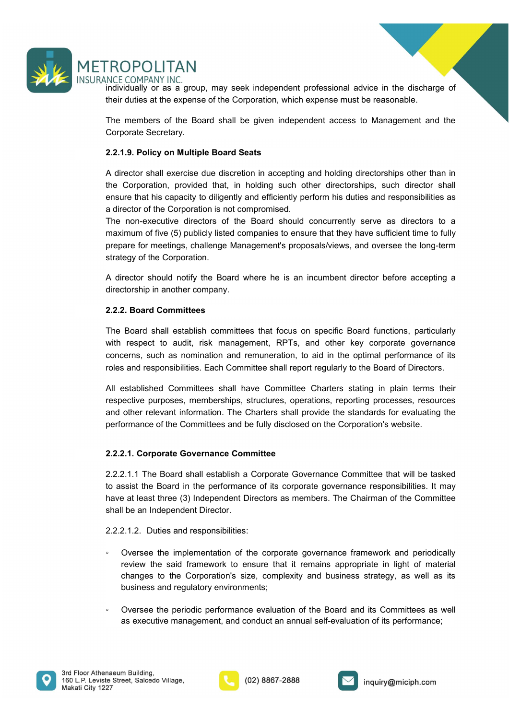

**individually or as a group, may seek independent professional advice in the discharge of**<br>individually or as a group, may seek independent professional advice in the discharge of<br>their duties at the expense of the Corpora TROPOLITAN<br>
INCE COMPANY INC.<br>
Individually or as a group, may seek independent professional advice in the discharge of<br>
their duties at the expense of the Corporation, which expense must be reasonable.<br>
The members of the

THE MORT COMPANY INC.<br>Individually or as a group, may seek independent professional advice in the discharge of<br>their duties at the expense of the Corporation, which expense must be reasonable.<br>The members of the Board shal **CORPOLITAN**<br>
INCE COMPANY INC.<br>
INCE COMPANY INC.<br>
Individually or as a group, may seek independent professional advice in the disc<br>
their duties at the expense of the Corporation, which expense must be reasonable.<br>
The m ROPOLITAN<br>
RCE COMPANY INC<br>
INCE COMPANY INC<br>
individually or as a group, may seek independent professional advice in the discharge of<br>
their duties at the expense of the Corporation, which expense must be reasonable.<br>
The ROPOLITAN<br>
NCF COMPANY INC.<br>
Individually or as a group, may seek independent professional advice in the discharge of<br>
their duties at the expense of the Corporation, which expense must be reasonable.<br>
The members of the B TROPOLITAN<br>
RCE COMPANY INC.<br>
Individually or as a group, may seek independent professional advice in the discharge of<br>
their duties at the expense of the Corporation, which expense must be reasonable.<br>
Corporate Secretary

FROPOLITAN<br>Individually or as a group, may seek independent professional advice in the discharge of<br>their duties at the expense of the Corporation, which expense must be reasonable.<br>The members of the Board shall be given FROPOLITAN<br>
INCE COMPANY INC.<br>
INCE COMPANY INC.<br>
Individually or as a group, may seek independent professional advice in the discharge of<br>
their duties at the expense of the Corporation, which expense must be reasonable.<br> TROPOLITAN<br>
Individually or as a group, may seek independent professional advice in the discharge of<br>
their duties at the expense of the Corporation, which expense must be reasonable.<br>
The members of the Board shall be giv **EROPOLITAN**<br>
INCRECOMPANY INC.<br>
Individually or as a group, may seek independent professional advice in the discharge of<br>
their duties at the expense of the Corporation, which expense must be reasonable.<br>
The members of t **FROPOLITAN**<br>
INCECOMPANY INC.<br>
Individually or as a group, may seek independent professional advice in the discharge of<br>
Interi duties at the expense of the Corporation, which expense must be reasonable.<br>
The members of t FROPOLITAN<br>
NCE COMPANY INC.<br>
NCE COMPANY INC.<br>
Individually or as a group, may seek independent professional advice in the discharge<br>
their duties at the expense of the Corporation, which expense must be reasonable.<br>
The THOT OLETT HAT THAT THAT THAT THAT THAT INCT THAT INCT THAT INCT THAT INCT THAT INCT INCTIVITY ON as a group, may seek independent professional advice in the discharge of the Corporation and shall be given independent acce We Compare in the sample of the Comparisonal advice in the discharge of<br>individually or as a group, may seek independent professional advice in the discharge of<br>their duties at the expense of the Corporation, which expense The members of the Board shall be given independent access to Management and<br>Corporate Secretary.<br>
2.2.1.9. Policy on Multiple Board Seats<br>
A director shall exercise due discretion in accepting and holding directorships ot The members of the board shall be given independent access to wantagement and the Corporate Secretary.<br>
2.2.1.9. Policy on Multiple Board Seats<br>
A director shall exercise due discretion in accepting and holding directorshi Conportate Secterary.<br>
2.2.1.9. Policy on Multiple Board Seats<br>
A director shall exercise due discretion in accepting and holding directorships, such director shall<br>
the Corporation, provided that, in holding such other di **2.2.1.9. Policy on Multiple Board Seats**<br>
A director shall exercise due discretion in accepting and holding directorships other than in<br>
the Corporation, provided that, in holding such other directorships, such director s A director shall exercise due discretion in accepting and holding directorships other than in<br>the Corporation, provided that, in holding such other directorships, such director shall<br>ensure that his capacity to diligently the Corporation, provided that, in holding such other directorships, such director shall ensure that his capacity to diligently and efficiently perform his duties and responsibilities as a director of the Corporation is no ensure that his capacity to diligently and efficiently perform his duties and responsibilities as director of the Corporation is not compromised.<br>The non-executive directors of the Board should concurrently serve as direct a director of the Corporation is not compromised.<br>The non-executive directors of the Board should concurrently serve as directors to a<br>The maximum of five (5) publicly listed companies to ensure that they have sufficient t The non-executive directors of the Board should concurrently serve as directors to a<br>maximum of free (5) publicly listed companies to ensure that they have sufficient time to fully<br>prepare for meetings, challenge Managemen

strategy of the Corporation.<br>
A director should notify the Board where he is an incumbent director before accepting a<br>
directorship in another company.<br>
2.2.2. Board Committees<br>
The Board shall establish committees that fo A director should notify the Board where he is an incumbent director before accepting a directorship in another company.<br>
2.2.2. Board Committees<br>
The Board shall establish committees that focus on specific Board functions A director should notly the Board where he is an incumbent director before accepting a<br>directorship in another company.<br>2.2.2. Board Committees that focus on specific Board functions, particularly<br>The Board shall establish directorship in another company.<br>
2.2.2. Board Committees<br>
The Board shall establish committees that focus on specific Board functions, particularly<br>
with respect to audit, risk management, RPTs, and other key corporate go **2.2.2. Board Committees**<br>
The Board shall establish committees that focus on specific Board functions, particularly<br>
with respect to audit, risk management, RPTs, and other key corporate governance<br>
concerns, such as nomi The Board shall establish committees that focus on specific Board functions, particularly<br>with respect to audit, risk management, RPTs, and other key corporate governance<br>concerns, such as nomination and remuneration, to a

which respect to atomi, risk finalisigementi, rich is, ally other key corporate governance of its<br>concerns, such as nomination and remuneration, to aid in the optimal performance of its<br>roles and responsibilities. Each Com remis, such as nomination and remuneration, to all on the optimal performance of transmit presents and responsibilities. Each Committee shall nepot regularly to the Board of Directors.<br>
Sestablished Committees shall have C s and responsibilities. Each Committee shall report regularly to the Board of Directors.<br>
Sestablished Committees shall have Committee Charters stating in plain terms their<br>
serbectre purposes, memberships, structures, ope established Committees shall have Committee Charters stating in plain terms their ecocitive purposes, memberships, structures, operations, reporting processes, resources other relevant information. The Charters shall provi

respective purposes, memorismos, structures, operations, reporting processes, resources<br>
and other relevant information. The Charlest shall provide the standards for evaluating the<br>
performance of the Committee<br>
2.2.2.1.1 other relevant information. The Charters shall provide the standards for evaluating the ormance of the Committees and be fully disclosed on the Corporation's website.<br> **2.1. Corporate Governance Committee**<br> **2.1.1. The Boa** 

- 
- 





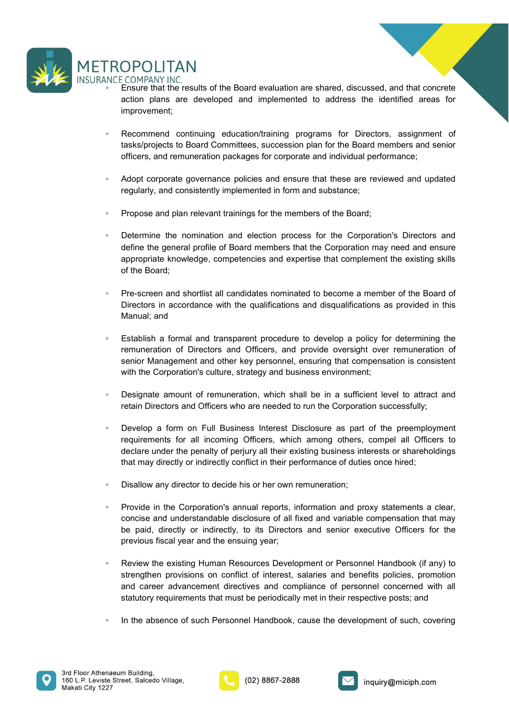

- **FROPOLITAN**<br>
NCE COMPANY INC.<br>
Ensure that the results of the Board evaluation are shared, discussed, and that concrete<br>
action plans are developed and implemented to address the identified areas for<br>
improvement;<br>
Reco **COMPANY INC.**<br>
FIGOMPANY INC.<br>
Ensure that the results of the Board evaluation are shared, discussed, and that concrete<br>
action plans are developed and implemented to address the identified areas for<br>
improvement;<br>
Recomm improvement; **FROPOLITAN**<br>
INCE COMPANY INC.<br>
• Ensure that the results of the Board evaluation are shared, discussed, and that concrete<br>
• Ensure that the results of the Board emplemented to address the identified areas for<br>
• Recomme **CPOLITAN**<br>
COMPANY INC.<br>
COMPANY INC.<br>
COMPANY INC.<br>
Ensure that the results of the Board evaluation are shared, discussed, and that concrete<br>
action plans are developed and implemented to address the identified areas for **OPOLITAN**<br>
COMPANY INC.<br>
Ensure that the results of the Board evaluation are shared, discussed, and that concrete<br>
action plans are developed and implemented to address the identified areas for<br>
Recommend continuing educa **FOPOLITAN**<br>
SECOMPANY INC.<br>
SERIGNET TO EXECUTE SERIGN CONDUCT TO EXECUTE SERIGN CONDUCT SERIGN CONDUCT SERIGN CONDUCT SERIGNET AND RESPONSE ARE INTERNATION CONDUCT SERIGN AND SERVED SERIGN CONDUCT SERIGN AND SERVED SERIG COMPANY INC.<br>
COMPANY INC.<br>
Ensure that the results of the Board evaluation are shared, discussed, and that concrete<br>
Ensure that the results of the Board evaluation are shared, discussed, and that concrete<br>
improvement;<br>
- 
- 
- 
- TROPOLITAN<br>
NCE COMPANY INC<br>
"Ensure that the results of the Board evaluation are shared, discussed, and that concrete<br>
extern that the results of the Board evaluation are shared, discussed, and that concrete<br>
externey an <table>\n<tbody>\n<tr>\n<th>ROPOLITAN</th>\n</tr>\n<tr>\n<td>INCF COMPANY INIC</td>\n<td>•</td>\n</tr>\n<tr>\n<td>•</td>\n<td>Ensure that the results of the Board evaluation are shared, discussed, and that concrete action plans are developed and implemented to address the identified areas for improvement;</td>\n</tr>\n<tr>\n<td>•</td>\n<td>Recommed continuum</td>\n</tr>\n<tr>\n<td>•</td>\n<td>Recommed continuum</td>\n</tr>\n<tr>\n<td>•</td>\n<td>Recommed continuum</td>\n</tr>\n<tr>\n<td>•</td>\n<td>haksfypolets to Board Committee, succession plan for the Board members and senior officers, and remuneration packages for corporate and individual performance;</td>\n</tr>\n **COMPANY INC.**<br>
COMPANY INC.<br>
Ensure that the results of the Board evaluation are shared, discussed, and that concrete<br>
Ensure that the results of the Board complemented to address the identified areas for<br>
Inprovement;<br>
R **EXEMPENT TO SET ANT ANT ANT ANT ANT ANT ANT ANT ANTENT ANTENT ANTENT ANTENT ANTENT ANTENT ANTENT ANTENT ANTENT ANTENT ANTENT ANTENT ANTENT ANTENT ANTENT ANTENT ANTENT ANTENT AND MONTION ANTENT AND ANTENT AND ANTENT AND AN COMPANY INC.**<br>COMPANY INC.<br>COMPANY INC.<br>Ensure that the results of the Board evaluation are shared, discussed, and that<br>action plans are developed and implemented to address the identified a<br>improvement;<br>Recommend continu <p>• Ensure that the results of the Board evaluation are shared, discussed, and that concrete action plans are developed and implemented to address the identified areas for improvement.</p>\n<p>• Recommend continuing education/training programs for Directors, assignment of tasksfprojects to Board Committee, succession plan for the Board members and senior officers, and remuneration packages for corporate and individual performance.</p>\n<p>• Adot torque for a good performance, and the second result, and consistently implemented in form and substance.</p>\n<p>• Theorem in the nonimation and election process for the Corporation. Dierectors and define the general profile of Board members that the Corporation may need and ensure appropriate knowledge, completeness and expertise that complement the existing skills of the Board.</p>\n<p>• Theorem and short. The second method is also the more than the second method. The second method is the second method of the Board of the Board.</p>\n<p>• The second method is the final to determine the original information of the second action plans are developed and implemented to address the identified areas for<br>
Improvement;<br>
Improvement,<br>
decommental continuing education/training programs for Directors, assignment of<br>
tasks/projects to Board Committee improvement;<br>
Recommend continuing education/training programs for Directors, assignme<br>
tasks/projects to Board Committees, succession plan for the Board members and<br>
officers, and remuneration packages for corporate and i Fraction endication and Continuing education/training programs for Directors, assignment of distriguencies to Board Committees, succession plan for the Board members and senior endicatively and consistently implemented in tasks/projects to Board Committees, succession plan for the Board members and senior<br>officers, and remuneration packages for corporate and individual performance;<br>Adopt corporate governance policies and ensure that these a officers, and remuneration packages for corporate and individual performance;<br>Adopt corporate governance policies and ensure that these are reviewed and updated<br>regularly, and consistently implemented in form and substance Adopt corporate governance policies and ensure that these are reviewed and updated<br>regularly, and consistently implemented in form and substance;<br>Propose and plan relevant trainings for the members of the Board;<br>Determine Frame the moment of the moment of the members of the Corporation's Directors and<br>
Propose and plan relevant trainings for the members of the Corporation's Directors and<br>
define the general profile of Board members that the Propose and plan relevant trainings for the members of the Board;<br>Determine the nomination and election process for the Corporation's Directors and<br>define the general profile of Board members that the Corporation may need <p>\n Determine the nonimation and election process for the Corporation's Directory. Dierctors and define the general profile of Board members that the Corporation may need and ensure appropriate knowledge, completeness and expertise that complement the existing skills of the Board.\n</p>\n<p>\n Per-screen and shortlist all candidates nominal to become a member of the Board of Direction. The use of the Journal, the realifications and disqualifications as provided in this Manual; and\n</p>\n<p>\n Establish a formal and transparent procedure to develop a policy for determining the remuneration of Dierctors and Officer, and provide oversight over remuneration of senior Management and other key personnel, ensuring that compensation is consistent with the Corporation's culture, strategy and business microments.\n</p>\n<p>\n Design the amount of remuneration, which shall be in a sufficient level to attract and retain Direectors and Officer who are needed to run the Corporation successfully.\n</p>\n<p>\n Develop a form on Full Determine the nomination and election process for the Corporation's Directors and<br>eaptroptiate the general profile of Board members that the Corporation may need and ensure<br>depropriate knowledge, competencies and expertise
- 
- define the general profile of Board members that the Corporation may need and ensure<br>appropriate knowledge, competencies and expertise that complement the existing skills<br>of the Board;<br>Pre-screen and shortlist all candidat appropriate knowledge, competencies and expertise that complement the existing skills<br>of the Board;<br>Pre-screen and shortlist all candidates nominated to become a member of the Board of<br>Directors in accordance with the qual
- 
- 
- 
- Disallow any director to decide his or her own remuneration; Directors in accordance with the qualifications and disqualifications as provided in this<br>
Manual; and<br>
Establish a formal and transparent procedure to develop a policy for determining the<br>
remuneration of Directors and Of Manual; and<br>
Establish a formal and transparent procedure to develop a policy for determining the<br>
remuneration of Directors and Officers, and provide oversight over remuneration of<br>
serion Management and other key personn Establish a formal and transparent procedure to develop a policy for determining the<br>remuneration of Directors and Officers, and provide oversight over remuneration of<br>senior Management and other key personnel, ensuring th
- Establish a formal and transparent procedure to develop a policy for determining the remuneration of Directors and Officers, and provide oversight over remuneration of ensuing the members and Officers, and provide oversigh senior Management and other key personnel, ensuring that compensation is consistent<br>with the Corporation's culture, strategy and business environment;<br>
Consignate amount of remuneration, which shall be in a sufficient leve with the Corporation's culture, strategy and business environment;<br>Designate amount of remuneration, which shall be in a sufficient level to attract and<br>retain Directors and Officers who are needed to run the Corporation s Designate amount of remuneration, which shall be in a sufficient level to attract and<br>retain Directors and Officers who are needed to run the Corporation successfully;<br>Develop a form on Full Business Interest Disclosure as Designate amount of remuneration, which shall be in a sufficient level to attract and<br>retain Directors and Officers who are needed to run the Corporation successfully;<br>Develop a form on Full Business interest Disclosure as <p>\n Develop a form on Full Business Interest Disclosure as part of the preemptyment requirements for all incoming Offices, which among others, complex components to declare under the penalty of perjury all their existing business interests or sharedholders that may directly or indirectly conflict in their performance of duties once hired; \n</p>\n<p>\n Povide in the Corporation's annual reports, information and proxy statements a clear, concise in the Corporation's annual reports, information and proxy statements a clear, concise and understand the discussion of all fixed and variable compensation that may directly or indirectly, to its Directors and senior executive Offices for the previous fiscal year and the ensuing year; \n</p>\n<p>\n Review the existing Human Resources Development or Personal Handbook (if any) to strength provisions on conflict of interest, salaries and benefits policies, promotion and career advanced uncertainties of personnel connecting with all structure of the performance of such Personal Another respective posts; and \n</p>\n<p>\n In the absence of such Personal Handbook, cause the
- 





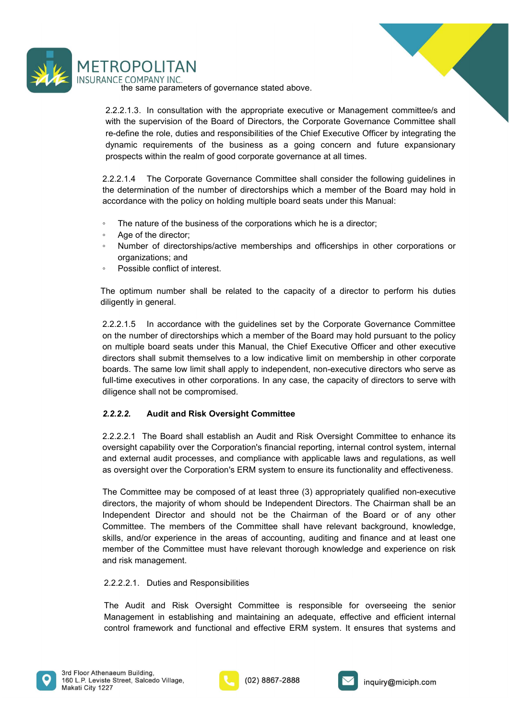



**OPOLITAN**<br>
ECOMPANY INC.<br>
ECOMPANY INC.<br>
2.1.3. In consultation with the appropriate executive or Management committee/s and<br>
the supervision of the Board of Directors, the Corporate Governance Committee shall<br>
efine the **EXECT THE SECT AND SECT AND SECT AND SECT AND SECT AND SECT AND SECT AND SECT AND SECT AND SECT AND SECT AND SECT AND SECT AND SECT AND SECT AND SECT AND SERVED AND SERVED AND SERVED AND THE SUPERSTANDING SHOW AND SERVED EXECT THE SUBLEM WE**<br>WE COMPANY INC. the same parameters of governance stated above.<br>2.2.2.1.3. In consultation with the appropriate executive or Management committee/s and<br>with the supervision of the Board of Directors, **ROPOLITAN**<br>
INCE COMPANY INC.<br>
the same parameters of governance stated above.<br>
2.2.2.1.3. In consultation with the appropriate executive or Management committee/s and<br>
with the supervision of the Board of Directors, the **ENTE COMPANY INC.**<br>
INCE COMPANY INC.<br>
THE COMPANY INC.<br>
2.2.2.1.3. In consultation with the appropriate executive or Management committee/s and<br>
with the supervision of the Board of Directors, the Corporate Governance Co **PROPOLITAN**<br>
INCE COMPANY INC.<br>
The same parameters of governance stated above.<br>
2.2.2.1.3. In consultation with the appropriate executive or Management committee/s and<br>
with the supervision of the Board of Directors, the **EROPOLITAN**<br>
ANCE COMPANY INC.<br>
the same parameters of governance stated above.<br>
2.2.2.1.3. In consultation with the appropriate executive or Management committee/s and<br>
with the supervision of the Board of Directors, the TROPOLITAN<br>
SINCE COMPANY INC.<br>
the same parameters of governance stated above.<br>
22.2.1.3. In consultation with the appropriate vecetive or Management committee's and<br>
with the supervision of the Board of Directors, the Co TROPOLITAN<br>
ANCF COMPANY INC<br>
the same parameters of governance stated above.<br>
2.2.2.1.3. In consultation with the appropriate executive or Management committee/s and<br>
with the supervision of the Board of Directors, the Co TROPOLITAN<br>
ANCE COMPANY INC.<br>
the same parameters of governance stated above.<br>
2.2.2.1.3. In consultation with the appropriate executive or Management committee/s and<br>
with the supervision of the Board of Directors; the C TROPOLITAN<br>
ANCE COMPANY INC<br>
the same parameters of governance stated above.<br>
2.2.2.1.3. In consultation with the appropriate executive or Management committee/s<br>
with the supervision of the Board of Directors, the Corpor **TROPOLITAN**<br>
<sup>the</sup> same parameters of governance stated above.<br>
<sup>22.2.1.3. In consultation with the appropriate executive or Management committee's and<br>
with the supervision of the Board of Directors, the Corporate Gover</sup> COPOLITAN<br>
ECOMPANY INC.<br>
The same parameters of governance stated above.<br>
2.1.3. In consultation with the appropriate executive or Management committee/s and<br>
the supervision of the Board of Directors, the Corporate Gover TROPOLITAN<br>
ANCE COMPANY INC.<br>
the same parameters of governance stated above.<br>
2.2.2.1.3. In consultation with the appropriate executive or Management committee/s and<br>
with the supervision of the Board of Directors, the C The same parameters of governance stated above.<br>
The same parameters of governance stated above.<br>
2.2.2.1.3. In consultation with the appropriate executive or Management committee/s and<br>
with the supervision of the Board o 2.2.2.1.3. In consultation with the appropriate executive or Management committed with the supervision of the Board of Directors, the Corporate Governance Committer-define the role, duties and responsibilities of the Chie

- 
- 
- 
- 

with the supervision of the Board of Directors, the Corporate Governance Committee shall<br>
re-define the role, duties and responsibilites of the Colief Executive Officer by integrating the<br>
dynamic requirements of the busin re-define the role, duties and responsibilities of the Chief Executive Officer by integrating the<br>dynamic requirements of the business as a going concern and tuture expansionary<br>prospects within the realm of good corporate dynamic requirements of the business as a going concern and future expansionary<br>prospects within the realm of good corporate governance at all times.<br>2.2.2.1.4 The Corporate Governance Committee shall consider the followin prospects within the realm of good corporate governance at all times.<br>
2.2.2.1.4 The Corporate Governance Committee shall consider the following guidelines in<br>
the determination of the number of directorships which a membe 2.2.2.1.4 The Corporate Governance Committee shall consider the following guidelines in<br>2.2.2.1.4 The Corporate Governance Committee shall consider the following guidelines in<br>the determination of the number of directorshi 2.2.2.1.4 The Corporate Governance Committee shall consider the following guidelines in<br>the determination of the number of directorships which a member of the Board may hold in<br>accordance with the policy on holding multipl The determination of the number of directorships which a member of the Board may hold in<br>
accordance with the policy on holding multiple board seats under this Manual:<br>
<sup>•</sup> The nature of the business of the corporations wh <sup>2</sup> The nature of the business of the corporations which he is a director;<br>
<sup>2</sup> Age of the director;<br>
<sup>2</sup> Number of directorships/active memberships and officerships in other corporations or<br>
<sup>2</sup> Organizations; and<br>
<sup>2</sup> Po end the directors and the directors of the comparison of the components of directors of place or an experiment of directorships and officerships in other corporations or an exposible conflict of interest.<br>The optimum numbe • Number of directorships/active memberships and officerships in other corporations or<br>
• Possible contrict of interest.<br>
The optimum number shall be related to the capacity of a director to perform his duties<br>
differently external and the complete the method of the complete the method of the complise original automometers.<br>The optimum number shall be related to the capacity of a director to perform his duties<br>diligently in general.<br>2.2.2.1. <sup>2</sup> Possible conflict of interest.<br>The optimum number shall be related to the capacity of a director to perform his duties<br>diligently in general.<br>2.2.2.1.5 In accordance with the guidelines set by the Corporate Governance The optimum number shall be related to the capacity of a director to perform his duties<br>diligently in general.<br>2.2.2.1.5 In accordance with the guidelines set by the Corporate Governance Committee<br>on the number of director

methem than the major state of the major state of the Comparate and the major state of the matter of the matter on the number of directorships which a member of the Board may hold pursuant to the policy<br>on multiple board s 2.2.2.1.5 In accordance with the guidelines set by the Corporate Governance Committee<br>
2.2.2.1.5 In accordance with the member of the Board may hold pursuant to the policy<br>
on multiple board seats under this Manual, the Ch 2.2.2.1.5 In accordance with the guidelines set by the Corporate Governance Committee<br>on the number of directorships which a member of the Board may hold pursuant to the policy<br>on multiple board seals under this Manual, th on the number of directorships which a member of the Board may hold pursuant to the policy<br>on multiple board seals under this Manual, the Chief Executive Officer and other executive<br>directors shall submit themselves to a l on multiple board seats under this Manual, the Chief Executive Officer and other executive<br>directors shall submit themselves to a low indicative limit on membership in other corporate<br>boards. The same low limit shall apply directors shall submit themselves to a low indicative limit on membership in othe<br>boards. The same low limit shall apply to independent, non-executive directors wf<br>full-lime executives in other corporations. In any case, t iull-time executives in other corporations. In any case, the capacity of directors to serve with<br>diligence shall not be compromised.<br>2.2.2.2.1. The Board shall establish an Audit and Risk Oversight Committee to enhance its 2.2.2.2. **Audit and Risk Oversight Committee**<br>2.2.2.2.1 The Board shall establish an Audit and Risk Oversight Committee to enhance its<br>2.2.2.2.1 The Board shall establish an Audit and Risk Oversight Committee to enhance it 2.2.2.2.<br> **Audit and Risk Oversight Committee**<br>
2.2.2.2.1 The Board shall establish an Audit and Risk Oversight Committee to enhance its<br>
bowersight capability over the Corporation's financial reporting, internal control s 2.2.2.2.1 The Board shall establish an Audit and Risk Oversight Committee to enhance its<br>oversight capability over the Corporation's financial reporting, internal control system, internal<br>and external audit processes, and





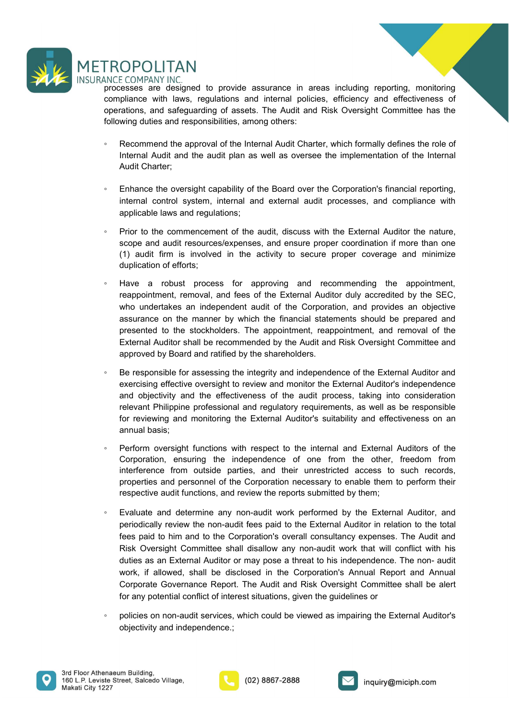

FROPOLITAN<br>
INCE COMPANY INC.<br>
processes are designed to provide assurance in areas including reporting, monitoring<br>
compliance with laws, regulations and internal policies, efficiency and effectiveness of<br>
operations, and FROPOLITAN<br>
INCE COMPANY INC.<br>
processes are designed to provide assurance in areas including reporting, monitoring<br>
compliance with laws, regulations and internal policies, efficiency and effectiveness of<br>
following dutie **EXECT COMPANY INC.**<br>
INCE COMPANY INC.<br>
processes are designed to provide assurance in areas including reporting, monitoring<br>
compliance with laws, regulations and internal policies, efficiency and effectiveness of<br>
follo FROPOLITAN<br>
INCE COMPANY INC.<br>
INCES COMPANY INC.<br>
INCES COMPANY INC.<br>
Compliance with laws, regulations and internal policies, efficiency and effectiveness of<br>
operations, and safeguarding of assets. The Audit and Risk Ov <table>\n<tbody>\n<tr>\n<th>ROPOLITAN</th>\n</tr>\n<tr>\n<td>INCC EOPALITAN</td>\n</tr>\n<tr>\n<td>INCCESERS are designed to provide assurance in areas including reporting, monitoring<br/>compliance with laws, regulations and internal policies, efficiency and effectiveness of<br/>operations, and safeguarding of assets. The Audi and Risk Oversjight Committee has the<br/>following duties and responsibilities, among others.</td>\n</tr>\n<tr>\n<td>Recommand and the approval of the Internal Audi Charter, which formally defines the role of<br/>Internal Audit Charter;<br/></td>\n</tr>\n<tr>\n<td>Enhance the oversight capability of the Board over the Corporation's financial reporting,<br/>internal control system, internal and external audit processes, and compliance with<br/>enplinchle lava and gravitational and external audit processes, and compliance with</td>\n</tr>\n **CPOLITAN**<br> **ECOMPANY INC.**<br>
ECOMPANY INC.<br>
ESSES are designed to provide assurance in areas including reporting, monitoring<br>
plance with laws, regulations and internal policies, efficiency and effectiveness of<br>
primary du **COMPANY INC.**<br>
ECOMPANY INC.<br>
ECOMPANY INC.<br>
ECOMPANY INC.<br>
Sesses are designed to provide assurance in areas including reporting, measures<br>
ppliance with laws, regulations and internal policies, efficiency and effective<br> **FROPOLITAN**<br>
INCE COMPANY INC.<br>
INCE COMPANY INC.<br>
INCE COMPANY INC.<br>
Compliance with laws, regulations and internal policies, efficiency and effectiveness of<br>
operations, and safeguarding of assets. The Audit and Risk Ov **CPOLITAN**<br> **COMPANY INC.**<br>
ECOMPANY INC.<br>
ECOMPANY INC.<br>
Igniance with laws, regulations and internal policies, efficiency and effectiveness of<br>
rations, and safeguarding of assets. The Audit and Risk Oversight Committee

- 
- 
- CPOLITAN<br>
ECOMPANY INC.<br>
ECOMPANY INC.<br>
ECOMPANY INC.<br>
ECOMPANY INC.<br>
Insieme designed to provide assurance in areas including reporting, monitoring<br>
plinance with laws, regulations and internal policies, efficiency and ef **FROPOLITAN**<br>
INCE COMPANY INC.<br>
INCE COMPANY INCE TO THOM PROGRESS are designed to provide assurance in areas including reporting, monitoring<br>
compliance with laws, regulations and internal policies, efficiency and effect COMPANY INC.<br>
FCOMPANY INC.<br>
FEOMPANY INC.<br>
FEOMPANY INC.<br>
FIGURE TO provide assurance in areas including reporting, monitoring<br>
phiance with laws, regulations and internal policies, efficiency and effectiveness of<br>
Recomm
- CDPOLITAN<br>
FCOMPANY INC.<br>
FCOMPANY INC.<br>
essess are designed to provide assurance in areas including reporting, monitoring<br>
plaince with laws, regulations and internal policies, efficiency and effectiveness of<br>
rations, an **COMPANY INC.**<br>
ECOMPANY INC.<br>
ECOMPANY INC.<br>
ESSES are designed to provide assurance in areas including reporting, monitoring<br>
pliance with laws, regulations and internal policies, efficiency and effectiveness c<br>
rations, NOC COMPANY INC.<br>
INCE COMPANY INCE COMPARY TREST AND approximation and an internal policies, efficiency and effectiveness of<br>
operations, and stafeguarding of assets. The Audit and Risk Oversight Committee has the<br>
follow esses are designed to provide assumance in areas including reporting, monitoring<br>pliance with laws, regulations and internal policies, efficiency and effectiveness of<br>rations, and safeguarding of assets. The Audit and Risk plaince with laws, regulations and internal policies, efficiency and effectiveness of<br>values, and safeguarding of assets. The Audit and Risk Oversight Committee has the<br>wing duties and responsibilities, among others:<br>Recom rations, and rasteguaring of assets. The Audit and Kisk Oversight Committee has the Necommend the approval of the Internal Audit Charter, which formally defines the role of Recommend the approval of the Internal Audit Char Wing duties and responsibilities, among others:<br>
Recommend the approval of the Internal Audit Charter, which formally defines the role of<br>
Internal Audit Charter;<br>
Enhance the oversight capability of the Board over the Cor Recommend the approval of the Internal Audit Charter, which formally defines the role of<br>Internal Audit and the audit plan as well as oversee the implementation of the Internal<br>Audit Charter;<br>Enhance the oversight capabili Recolution the epitoval of the microlaristic controllation of the literation of the literation of the literation of the literation of the literation of the literation of the literation of the literation of the literation o Audit Charter;<br>
• Enhance the oversight capability of the Board over the Corporation's financial reporting,<br>
internal control system, internal and external audit processes, and compliance with<br>
applicable laws and regulati Enhance the oversight capability of the Board over the Corporation's financial reporting,<br>internal control system, internal and external audit processes, and compliance with<br>applicable laws and regulations;<br>Prior to the co Enhance the oversight capability of the Board over the Corporation's financial reporting.<br>
internal control system, internal and external audit processes, and compilance with<br>
intepricable laws and regulations;<br>
Prior to t internal control system, internal and external audit processes, and compliance with<br>Prior to the commencement of the audit, discuss with the External Auditor the nature,<br>Prior to the commencement of the audit, discuss with applicable laws and regulations;<br>
Prior to the commencement of the audit, discuss with the External Auditor the nature,<br>
scope and auditi resources/seyemeses, and ensure proper coordination if more than one<br>
scope and audi Prior to the commencement of the audit, discuss with the External Auditor the scope and audit resources/expenses, and ensure proper coordination if more the scont from is involved in the activity to secure proper coverage scope and audit resources/expenses, and ensure proper coordination if more than one<br>
duplication of efforts;<br>  $\blacksquare$ <br>  $\blacksquare$  and if fumours in the activity to secure proper coverage and minimize<br>  $\blacksquare$  duplication of eff (1) audit firm is involved in the activity to secure proper coverage and minimize duplication of efforts;<br>Have a robust process for approving and recommending the appointment, reappointment, removal, and fees of the Extern duplication of efforts;<br>
Have a robust process for approving and recommending the appointment,<br>
Have a robust process for approving and recommending the appointment,<br>
they undertakes an independent audit of the Corporation Have a robust process for approving and recommending the appointment,<br>reappointment, removal, and fees of the External Auditor duly accredited by the SEC,<br>who underlakes an independent audit of the Corporation, and provide reve a rootest process for approximy and recommentantly the appointment, emoval, and described the Corporation, and provides an objective sepectively the SEC, who undertakes an independent audit of the Concpration, and pro
- 
- 
- who undertakes an independent audit of the Corporation, and provides an objective<br>assurance on the manne by which the financial statements should be prepared and<br>presented to the stockholders. The appointment, reappointmen assurance on the manner by which the financial statements should be prepared and<br>presented to the stockholders. The appointment, reappointment, and removal of the<br>External Auditor shall be recommended by the Audit and Risk presented to the stockholders. The appointment, reappointment, and removal of the Acternal Auditor shall be recommended by the Audit and Risk Oversight Committee and approved by Board and ratified by the shareholders.<br>Be r External Auditor shall be recommended by the Audit and Risk Oversight Committee and<br>Be responsible for assessing the integrity and independence of the External Auditor and<br>exercising effective oversight to review and monit approved by Board and ratified by the shareholders.<br>Be responsible for assessing the integrity and independence of the External Auditor and<br>exercising effective oversight to reviewe and monitor may more mand objectivity an Be responsible for assessing the integrity and independence of the External Auditor and<br>exercising effective oversight to review and monitor the External Auditor's independence<br>enterated particular and the effectiveness of Exercising effective oversight to review and monitor the External Auditor's independence<br>exercising effective oversight to review and monitor the External Auditor's independence<br>relevant Philippine professional and regulat any domination of the and process of the and process, taking into consideration and objectivity and the effectiveness of the audit process, taking into consideration ferincevant Philippine professional and regulatory requi relevant Philippine protessional and regulatory requirements, as well as be responsible<br>for reviewing and monitoring the External Auditor's suitability and effectiveness on an<br>annual basis;<br><br>Perform oversight functions wit for revewing and monitoring the External Auditor's sultability and enectiveness on an<br>annual basis;<br>Perform oversight functions with respect to the internal and External Auditors of the<br>Corporation, ensuring the independen
- 





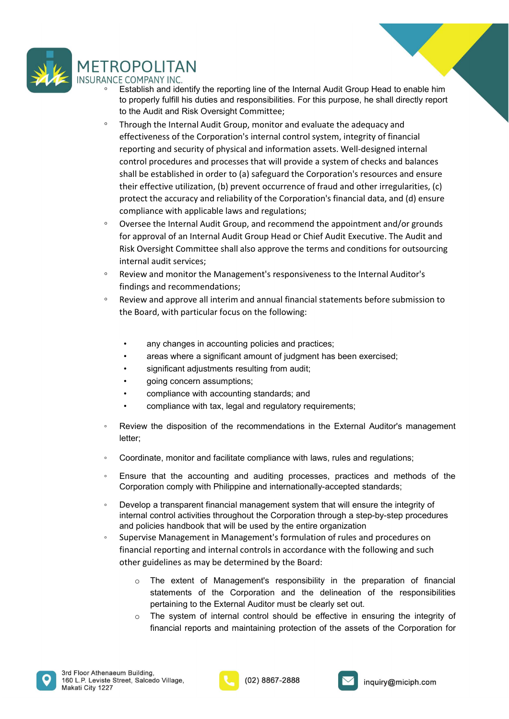

- 
- ↑ ESTABLE TAN<br>
NNCE COMPANY INC.<br>
 Establish and identify the reporting line of the Internal Audit Group Head to enable him<br>
to properly fulfill his duties and responsibilities. For this purpose, he shall directly report **OPOLITAN**<br>E COMPANY INC.<br>Establish and identify the reporting line of the Internal Audit Group Head to enable him<br>to properly fulfill his duties and responsibilities. For this purpose, he shall directly report<br>to the Audi TROPOLITAN<br>
SINCE COMPANY INC.<br>
C Establish and identify the reporting line of the Internal Audit Group Head to enable him<br>
to properly fulfill his duties and responsibilities. For this purpose, he shall directly report<br>
t **CPOLITAN**<br>ECOMPANY INC.<br>Establish and identify the reporting line of the Internal Audit Group Head to enable him<br>to properly fulfill his duties and responsibilities. For this purpose, he shall directly report<br>to the Audit **CPOLITAN**<br>Festablish and identify the reporting line of the Internal Audit Group Head to enable him<br>to properly fulfill his duties and responsibilities. For this purpose, he shall directly report<br>to the Audit and Risk Ove **COPOLITAN**<br>
ESTADIM INC.<br>
ESTADIM INC.<br>
ESTADIM INC.<br>
ESTADIM IN INC.<br>
COMPANY INTIFI INSIDE and responsibilities. For this purpose, he shall directly report<br>
to the Audit and Risk Oversight Committee;<br>
Through the Intern CPOLITAN<br>
ECOMPANY INC.<br>
Establish and identify the reporting line of the Internal Audit Group Head to enable him<br>
to properly fulfill his duties and responsibilities. For this purpose, he shall directly report<br>
to the Aud CPO LITAN<br>
ECOMPANY INC.<br>
Establish and identity the reporting line of the Internal Audit Group Head to enable him<br>
to the Audit and Risk Oversight Committee;<br>
Through the Internal Audit Group, monitor and evaluate the ade **CPOLITAN**<br>
CCMPANY INC.<br>
Establish and identify the reporting line of the Internal Audit Group Head to enable him<br>
to the Audit and Risk Oversight Committee;<br>
Through the Internal Audit Group, monitor and evaluate the ade FROPOLITAN<br>
<sup>co</sup> Establish and identify the reporting line of the Internal Audit Group Head to enable him<br>
to property fulfill his duties and responsibilities. For this purpose, he shall directly report<br>
to the Audit and R CPO LITAN<br>F. COMPANY INC.<br>Establish and identify the reporting line of the Internal Audit Group Head to enable him<br>to property futfill his duties and responsibilities. For this purpose, he shall directly report<br>to the Audi COPIOLITAN<br>
ECOMPANY INC.<br>
ESTOMBIN and Identify the reporting line of the Internal Audit Group Head to enable him<br>
Estohish and identify the reporting, monitor and evaluate the adequacy and<br>
to properly fulfill his duties IFROPOLITANN<br>
INCE COMPANY INC.<br>
IS Establish and identify the reporting line of the Internal Audit Group Head to enable him<br>
to to properly fulfill his duties and responsibilities. For this purpose, he shall directly rep INCE COMPAINY INC.<br>
INCE COMPAIN INCE COMPAIN and responsibilities. For this purpose, he shall directly report<br>
to the Audit and Risk Oversight Committee;<br>
• Through the Internal Audit Group, monitor and evaluate the adequ to the Audit and Southern's controllations. The summative propose, the shall discuss and exponential for the Audit and Risk Oversight Committee;<br>Through the Internal Audit Group, monitor and evaluate the adequacy and<br>effec ffectiveness of the Corporation's internal control system, integrity of financial<br>eporting and security of physical and information assets. Well-designed internal<br>ontrol procedues and processes that will provide a system eporting and security of physical and information assets. Well-designed internal<br>
and procedures and processes that will provide a system of checks and balances<br>
hall be established in order to (a) safeguard the Corporatio ontrol procedures and processes that will provide a system of checks and balances<br>
hall be established in order to (a) safegurad the Corporation's resources and ensure<br>
heir effective utilization, (b) prevent occurrence of
- mail be established in order to (a) safeguard the Corporation's resources and ensure<br>
enereffective utilization, (b) prevent occurrence of fraud and other irregularities, (c)<br>
rotect the accuracy and reliability of the Cor Fierdive utilization, (b) prevent occurrence of fraud and other irregularities, (c)<br>
rorectet the accuracy and reliability of the Corporation's financial data, and (d) ensure<br>
ompliance with applicable laws and regulations rotect the accuracy and reliability of the Corporation's financial data, and (d) ensure<br>
ompliance with applicable laws and regulators;<br>
by ersee the Internal Audit Group, and recommend the appointment and/or grounds<br>
or a <ul>\n<li>Oversee the Internal Audi Group, and recommend the appointment and/or grounds for approval of an internal Audi Group Head or Chief Audi Executor. The Audi and Risk Overesight Committee shall also approve the terms and conditions for outsourcing interval and their services;</li>\n<li>Review and monitor the Management's responsiveness to the Internal Audio's filtering and recommedations;</li>\n<li>Review and approach all internal financial statements before submission to the Board, with particular focus on the following;</li>\n<li>every changes in accounting policies and practices;</li>\n<li>any changes in accounting policies and practices;</li>\n<li>any changes in accounting policies and practices;</li>\n<li>significant adjustments resulting from audit;</li>\n<li>going concern assumptions;</li>\n<li>compliance with accounting standards; and</li>\n<li>compliance with the, legal and regulatory requirements;</li>\n<li>Review the disposition of the recommendations in the External Audio's management letter;</li>\n<li>Coordinate
- 
- -
	-
	-
	-
	-
	-
- letter;
- 
- 
- Nisk Wersight Committee shall also approve the terms and conditions for outsourcing<br>
■
Review and monitor the Management's responsiveness to the Internal Auditor's<br>
■
Review and monitor the Management's responsiveness to <ul>\n<li>Review and monitor the Management's responsiveness to the Internal Audio's findings and recommendations;</li>\n<li>Review and approach all internal financial statements before submission to the Board, with particular focus on the following:</li>\n<li>any changes in accounting policies and practices;</li>\n<li>array where a significant amount of judgment has been exercised;</li>\n<li>significant adjustment resulting from audit;</li>\n<li>group concern assumptions;</li>\n<li>compliance with accounting standards; and</li>\n<li>compliance with maximum standards in the External Audio's management letter;</li>\n<li>Coordinate, monitor and facilitate compliance with laws, rules and regulations;</li>\n<li>Conc dinate, monitor and facilitate compliance with laws, rules and regulations;</li>\n<li>Conc dinate, monitor and facilitate compliance with laws, rules and methods of the Exponential, processing, practices, practices, and methods of the Corporation computing and internationally-accessed standards;</li>\n<li>Develop a transparent Corporation complements of the management of the mandate internations;<br>
Review and approve all interim and annual financial statements before submission to<br>
the Board, with particular focus on the following:<br>
any changes i
- <p>\n Review and approach all internal financial statements before submission to the Board approach to the Board, with particular focus on the following:\n</p>\n<ul>\n<li>any changes in accounting policies and practices;</li>\n<li>areas where a significant amount of judgment has been exercised;</li>\n<li>significant adjustments resulting from audit;</li>\n<li>group income assumptions;</li>\n<li>compliance with tax, legal and regulatory requirements;</li>\n</ul>\n</li>\n<li>Review the disposition of the recommendations in the External Auditors management letter;</li>\n<li>Coordinate, monitor and facilitate compliance with laws, rules and regulations;</li>\n<li>Exercise that the accounting and auditing processes, practices and methods of the Corporation comply with Philippe and internationally-accepted standards;</li>\n<li>Develop a transparent financial management system that will ensure the integrity of internal control activities throughout the Corporation through a step-by-step procedures and policies handbook that will be used by the entire organization. Superwise Management in the Board, with particular focus on the following:<br>
• any changes in accounting policies and practices;<br>
• areas where a significant amount of judgment has been exercised;<br>
• significant adjustments resulting form audit;<br> any changes in accounting policies and practices;<br>
areas where a significant annount of judgment has been exercised;<br>
eignificant adjustments resulting from audit;<br>
compliance with accounting standards; and<br>
compliance wit <ul>\n<li>any changes in accounting policies and practices;</li>\n<li>areas where a significant amount of judgment has been exercised;</li>\n<li>significant adjustments resulting from audit;</li>\n<li>going concern assumptions;</li>\n<li>conpliance with tax, legal and regulatory requirements;</li>\n</ul>\n<p>Review the disposition of the recommendations in the External Auditor's management letter;</p>\n<ul>\n<li>Coordinate, monitor and facilitate compliance with laws, rules and regulations;</li>\n</ul>\n<p>Exercise that the accounting and<mark>autiting processes</p>, practices and methods of the Corporation comply with Philippine and internationally-accepted standards;</p>\n<p>Exercise that the accounting and naturalism, and the use of the original control activities throughout the Corporation through a step-by-step procedures and policies handbook that will be used by the entire organization of rules and procedures on the single application of rules and procedures.</p>\n<p>Supers Management in Management's formulation of rules and procedures on functions to</mark>
	- **Financial reportions** in accounting policies and practices;<br> **Figure and with an** significant and red judgment has been exercised;<br> **Significant adjustments resulting from andit;**<br> **Figure 2016** controls in accounting sta **Computer Constrainer and Superficent annount of judgment has been exercised;**<br>
	significant adjustments resulting from audit;<br>
	going concern assumptions;<br>
	compliance with accounting standards; and<br>
	compliance with tax, leg oging concern assumptions;<br>
	signion concern assumptions;<br>
	compliance with tax, legal and regulatory requirements;<br>
	iew the disposition of the recommendations in the External Auditor's management<br>
	if:<br>
	fr:<br>
	fr:<br>
	fr:<br>
	fr:<br>
	f For some assumptors,<br>compliance with accounting standards; and<br>compliance with tax, legal and regulatory requirements;<br>the disposition of the recommendations in the External Auditor's management<br>ate, monitor and facilitate bomplaince with tax, legal and regulatory requirements;<br>the disposition of the recommendations in the External Auditor's management<br>ate, monitor and facilitate compliance with laws, rules and regulations;<br>that the accounti complantice with tax, regar and regulatory requirements,<br>i.e.,<br>if,<br>it is the disposition of the recommendations in the External Auditor's management<br>originate, monitor and facilitate compliance with laws, rules and regulat the disposition of the recommendations in the External Auditor's management<br>ate, monitor and facilitate compliance with laws, rules and regulations;<br>that the accounting and auditing processes, practices and methods of the<br>
		-





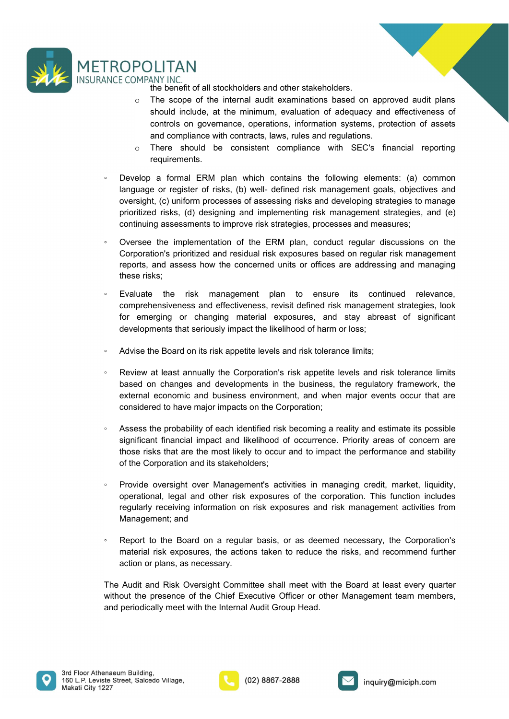



- **THEREN**<br>ANY INC.<br>The benefit of all stockholders and other stakeholders.<br>The scope of the internal audit examinations based on approved audit plans<br>should include, at the minimum, evaluation of adequacy and effectiveness **COLITAN**<br>
IMPANY INC.<br>
the benefit of all stockholders and other stakeholders.<br>
The scope of the internal audit examinations based on approved audit plans<br>
should include, at the minimum, evaluation of adequacy and effect Solid Tarry INC.<br>Show INC.<br>The scope of the internal audit examinations based on approved audit plans<br>should include, at the minimum, evaluation of adequacy and effectiveness of<br>controls on governance, operations, informat **CONTE ANTICE SET ANTIFUM ANTANT SET ANTIFUM ANTANT INC.**<br>The scope of the internal audit examinations based on approved audit plans<br>should include, at the minimum, evaluation of adequacy and effectiveness of<br>controls on g **ETTENT CONTENT CONTENT CONTENT CONTENT CONTENT CONTENT CONTENT CONTENT CONTENT CONTENT CONTENT CONTENT CONTENT CONTENT CONTENT CONTENT CONTENT CONTENT CONTENT CONTENT CONTENT CONTENT CONTENT CONTENT CONTENT CONTENT CONTEN COLITAN**<br>
IMPANY INC.<br>
In the benefit of all stockholders and other stakeholders.<br>
The scope of the internal audit examinations based on approved audit plans<br>
should include, at the minimum, evaluation of adequacy and ef
- requirements.
- FROPOLITAN<br>
WINCE COMPANY INC.<br>
The scope of the internal audit examinations based on approved audit plans<br>
should include, at the minimum, evaluation of adequacy and effectiveness of<br>
controls on governance, operations, i CPOLITAN<br>
ECOMPANY INC.<br>
The benefit of all stockholders and other stakeholders.<br>
The scope of the internal audit examinations based on approved audit plans<br>
should include, at the minimum, evaluation of adequacy and effec **CPOLITAN**<br>
COMPANY INC.<br>
the benefit of all stockholders and other stakeholders.<br>
The scope of the internal audit examinations based on approved audit plans<br>
should include, at the minimum, evaluation of adequacy and effe **COMPANY** INC.<br>
the benefit of all stockholders and other stakeholders.<br>
the benefit of all stockholders and other stakeholders.<br>
The scope of the internal audit examinations based on approved audit plans<br>
should include, COPOLITAN<br>
CCOMPANY INC.<br>
the benefit of all stockholders and other stakeholders.<br>
The scope of the internal addit examinations based on approved addit plans<br>
should include, at the minimum, evaluation of adequacy and effe **FROPOLITAN**<br>
<sup>the benefit of all stockholders and other stakeholders.<br> **the benefit of all stockholders and other stakeholders.**<br>
• The scope of the internal audit examinations based on approved audit plans<br>
should includ</sup> COMPANY INC. THE SCOMPANY INC. THE ISO STANDOM THE SCOMPANY INC. The scope of the internal and externations based on approved and the should include, at the minimum, evaluation of adequacy and effectiveness of controls on COMPANY INC.<br>
It be benefit of all stockholders and other stakeholders.<br>
The scope of the internal audit examinations based on approved audit plans<br>
should include, at the minimum, evaluation of adequacy and effectiveness COMPLIT PAIN<br>
COMPANY INC.<br>
The benefit of all stockholders and other stakeholders.<br>

The scope of the internal audit examinations based on approved au<br>

In the scope of the internal audit examinations based on approved a the benefit of all stockholders and other stakeholders.<br>
⇒ The scope of the intermal audit examinations based on approved audit plans<br>
should include, at the minimum, evaluation of adequacy and effectiveness of<br>
controls o The scope of the internal audit examinations based on approved audit plans<br>should include, at the minimum, evaluation of adequave and effectiveness of<br>controls on governance, operations, information systems, protection o should include, at the minimum, evaluation of adequacy and effectiveness of controls on governance, operations, information systems, profection of assets and compliance with contracts, laws, rules and regulations.<br>  $\circ$  Th controls on governance, operations, information systems, protection of assets<br>
and compliance with contracts, laws, rules and regulations.<br>
There should be consistent compliance with SEC's financial reporting<br>
requirements <p>\n• There should be consistent compliance with SEC's financial reporting requirements. (a) common frequency of the 16000 and a large or register of risks. (b) well-defined risk management goals, objectives and oversight, (c) uniform processes of assessing risks and developing strategies to manage prioritized risks. (d) designing and implement strategies, processes and measures; counting assessment, the same number of the EEM plan, conduct regular discussions on the Corporation's prioritized and residual risk exposures based on regular risk management reports, and assess how the concerned units or offices are addressing and managing these risks; \n</p>\n<p>\n• Evaluate the risk management plan to ensure its continued relevance, comprehensiveness and effectiveness, revisit defined risk management strategies, look for merging or changing technical exposures, and stay observed of learning materials, the case of the development is the same, and the other design of changing the trial (the likelihood of harm or loss; \n</p>\n<p>\n• Advise the Board on its risk app <p>\n Develop a formal ERM plan which contains the following elements: (a) common language or register of risks, (b) well-defined risk management goals, objectives and oversight, (c) uniform processing risk and developing strategies to manage prioritized risks, (d) designing and implementing risk management strategies, and (e) continuing assessments to improve risk strategies, processes and measures.\n</p>\n<p>\n Overse the implementation of the ERM plan, conduct regular discussions on the Corporation's prioritized and residual risk exposures based on regular risk management reports, and assess how the concerned units or offices are addressing and managing these risks;\n</p>\n<p>\n Evaluate the risk management plan to ensure its continued relevance, comprehensiveness and effectively.\n</p>\n<p>\n Evaluate the risk management signal to ensure its continued relevance, comprehensiveness, results defined risk management strategies, look for emerging or changing material exposures and stayosures, and stay agents of significant developments that seriously impact the likelihood of the same units;\ Develop a formal ERM plan which contains the following elements: (a) common development creation (b) well-defined risk management grals, objectives and almogenor register of risks, (d) designing and implementing risk manag
- 
- language or register of risks, (b) well- defined risk management goals, objectives and<br>oversight, (c) uniform processes of assessing risks and developing stategles to manage<br>prioritized risks, (d) designing and implementin
- 
- 
- oversight, (c) uniform processes of assessing risks and developing strategies to manage<br>prioritized risks, (d) designing and implementing risk management strategies, and (e)<br>continuing assessments to improve risk strategie continuing assessments to improve risk strategies, processes and measures;<br>
Coversee the implementation of the ERM plan, conduct regular discussions on the<br>
Corporation's prioritized and residual risk exposures based on re Oversee the implementation of the ERM plan, conduct regular discussions on the Corporation's prioritized and residual risk exposures based on regular risk management exports, and assess how the concerned units or offices a Oversie the implementation of the Extrim paint, contuct regular stackssions of the concerned inferentiation of the extrime paint and resided in the concerned units or offices are addressing and managing these risks;<br>Evalua Corporation's pronulate aring testical inster spots and resistant of engaginar insternal perports, and assess how the concernent units or offices are addressing and managing these risks;<br>
Evaluate the risk management plan mese risks;<br>
• Evaluate the risk management plan to ensure its continued relevance,<br>
Evaluate the comprehensiveness and effectiveness, revisit defined risk management strategies, look<br>
for emerging or changing material exp Evaluate the risk management plan to ensure its continued relevance,<br>comprehensiveness and effectiveness, revist defined risk management strategies, look<br>for emerging or changing material exposures, and stay abreast of sig comprehensiveness and effectiveness, revisit defined risk management strategies, look<br>for emerging or changing material exposures, and stay abreast of significant<br>developments that seriously impact the likelihood of harm o for emerging or changing material exposures, and stay abreast of significan<br>developments that seriously impact the likelihood of harm or loss;<br>Advise the Board on its risk appetite levels and risk tolerance limits;<br>Review • Review at least annually the Corporation's risk appetite levels and risk tolerance limits;<br>
• Review at least annually the Corporation's risk appetite levels and risk tolerance limits<br>
based on changes and developments i Advise the Board on its risk appetite levels and risk tolerance limits;<br>Review at least annually the Corporation's risk appetite levels and risk tolerance limits<br>based on changes and developments in the business, the regul Raviso and exampled the Corporation and the collabor while, the consideration and interest and the chosen limits Revented and changes and developments in the business, the pregulatory framework, the besternal economic and The Audi and Risk Oversight Committee shall meet with the Board at least every determinate conomic and business environment, and when major events occur that are considered to have major densites on the Corporation, the ac where the considered to have members and a considered to have major events occur that are considered to have major impacts on the Corporation;<br>
Assess the probability of each identified risk becoming a reality and estimate considered to have major impacts on the Corporation; under experiment and considered to have major impacts on the Corporation; uncertainty and estimate its possible significant financial impact and likelihood of occurrence
- 
- 





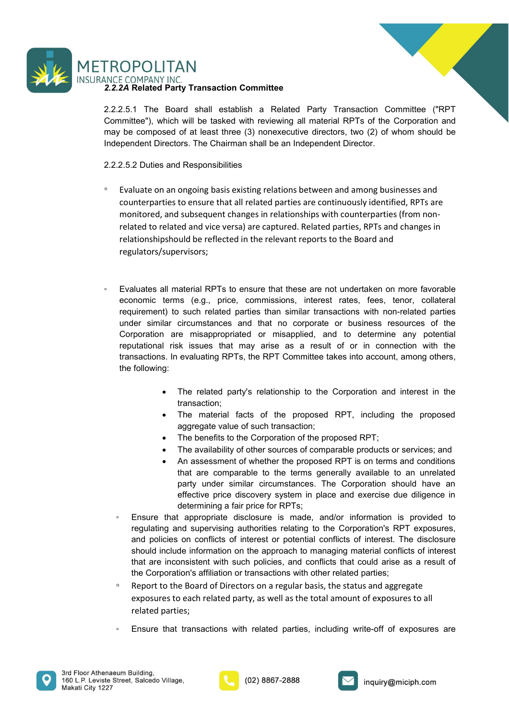



FROPOLITAN<br>
NNCE COMPANY INC.<br>
2.2.2A Related Party Transaction Committee<br>
2.2.2.5.1 The Board shall establish a Related Party Transaction Committee ("RPT<br>
Committee"), which will be tasked with reviewing all material RPTs **EXECT THE SECT AND SET ASSEM**<br>2.2.2.4 Related Party Transaction Committee<br>2.2.2.5.1 The Board shall establish a Related Party Transaction Committee ("RPT<br>2.2.2.5.1 The Board shall establish a Related Party Transaction Com FROPOLITAN<br>
SALTE COMPANY INC.<br>
SALTE COMPANY INC.<br>
SALTE COMPANY INC.<br>
SALTE Board shall establish a Related Party Transaction Committee ("RPT<br>
Committee"), which will be tasked with reviewing all material RPTs of the Cor May ACC COMPANY INC.<br>
NACE COMPANY INC.<br>
2.2.2.5.1 The Board shall establish a Related Party Transaction Committee ("RPT<br>
Committee"), which will be tasked with reviewing all material RPTs of the Corporation and<br>
may be co **INDENTAIN**<br>
INCE COMPANY INC.<br>
2.2.2.5.1 The Board shall establish a Related Party Transaction Committee ("RPT<br>
Committee"), which will be tasked with reviewing all material RPTs of the Corporation and<br>
Endependent Direct

- FROPOLITAN<br>
NNC: COMPANY INC.<br>
2.2.2.5.1 The Board shall establish a Related Party Transaction Committee ("RPT<br>
2.2.2.5.1 The Board shall establish a Related Party Transaction Committee ("RPT<br>
Committee"), which will be ta **FROPOLITAN**<br> **EVALUAT TRING TRING TRING CONTING CALC**<br> **E2.22.5.1** The Board shall establish a Related Party Transaction Committee<br>
COMPANY INC. Will be tasked with reviewing all material RPTs of the Corporation and<br>
EVA COPOLITAN<br>
COMPANY INC.<br>
ECOMPANY INC.<br>
2.5.1 The Board shall establish a Related Party Transaction Committee<br>
the composed of at least htree (3) nonexecutive directors, two (2) of whom should be<br>
pendent Directors. The Ch COMPANY INC.<br>
ECOMPANY INC.<br>
2.5.1 The Board shall establish a Related Party Transaction Committee ("RPT<br>
mittee"), which will be tasked with reviewing all material RPTs of the Corporation and<br>
be composed of at least thre CPO LITAN<br>
F. COMPANY INC.<br>
2.4 Related Party Transaction Committee<br>
mimitere"), which will be tasked with reviewing all material RPTs of the Corporation and<br>
the composed of at least three (3) nonexecutive directors, two CPO LITAN<br>
E COMPANY INC.<br>
EZA Related Party Transaction Committee<br>
2.5.1 The Board shall establish a Related Party Transaction Committee ("RPT<br>
minitee"), which will be tasked with reviewing all material RPTs of the Corpo regulators/supervisors;
- Note Compression Committete<br>
2.2.2.5.1 The Board shall establish a Related Party Transaction Committee ("RPT<br>
Committee"), which will be tasked with reviewing all material RPTs of the Corporation and<br>
Independent Directors economic terms ("FRFT" and the state of the Related Party Transaction Committee ("RPT<br>
The minitee"), which will be tasked with reviewing all material RPTs of the Corporation and<br>
the composed of at least three (3) nonexec 2.5.1 The Board shall establish a Related Party Transaction Committee ("RPT<br>mittlese"), which will be tasked with revewing all material RPTs of the Corporation and<br>pendent Directors. The Chairman shall be an Independent Di mittee"), which will be tasked with reviewing all material RPTs of the Corporation and<br>the composed of at least three (3) nonexecutive directors, two (2) of whom should be<br>pendent Directors. The Chairman shall be an Indepe be composed of at least three (3) nonexecutive directors, two (2) of whom should be<br>pendent Directors. The Chairman shall be an Independent Director.<br>2.5.2 Duties and Responsibilities<br>Evaluate on an ongoing basis existing reputational Directors. The Chairman shall be an Independent Director.<br>
2.5.2 Duties and Responsibilities<br>
Evaluate on an ongoing basis existing relations between and among businesses and<br>
counterparties to ensure that all transactions. In evaluations and more than the transaction of the commentions of the presenct and inclusion and mong businesses and conterparties (from non-<br>monitored, and subsequent changes in relationships with counterpa 2.5.2 Duties and Responsibilities<br>
Evaluate on an ongoing basis existing relations between and among businesses and<br>
counterparties to ensure that all related parties are continuously identified, RPTs are<br>
monitored, and s and subsequent changes in relationships with counterparties (from non-<br>elated and vice versa) are captured. Related partites, RPTs and changes in<br>sobsolud be reflected in the relevant reports to the Board and<br>supervisors;<br> and a diversal are the related particles, RPTs and changes in<br>should be reflected in the relevant reports to the Board and<br>supervisors;<br>
all material (e.g., price, commissions, interest rates, fees, tenor, collateral<br>
the supervisors;<br>
all material RPTs to ensure that these are not undertaken on more favorable<br>
terms (e.g., price, commissions, interest rates, fees, tenor, collateral<br>
the touch related parties than similar transactions with aterial RPTs to ensure that these are not undertaken on more favorable<br>s (e.g., price, commissions, interest rates, fees, tenor, collatral<br>such such related particles than similar transactions with non-related parties<br>oric naterial RPTs to ensure that these are not undertaken on more favorable<br>is (e.g., price, commissions, interest rates, fees, tenor, collateral<br>eicrumstances and that no corporate or business resources of the<br>eie misappropri iaterial RPTs to ensure that these are not undertaken on more favorable<br>single, price, commissions, interest rates, fees, tenor, collateral<br>such related partices and that no corporate or business resources of the<br>circumsta is (e.g., price, commissions, interest rates, fees, tenor, collateral<br>
such related parties than similar transactions with non-related parties<br>
eicrcumstances and that no corporate or business resources of the<br>
re misappro
	- transaction;
	-
	-
	-
	-
	- requirement) to such related parties than similar transactions with non-related parties<br>
	under similar circumstances and that no corporate or business resources of the<br>
	Corporation are misappropriated or misapplied, and to For similar circumstances and that no corporate or business resources of the protational are misappropriated or misapplied, and to determine any potential utational risk issues that may arise as a result of or in connectio moration are misappropriated or misapplied, and to determine any potential<br>varional risk issues that may arise as a result of or in connection with the<br>sactions. In evaluating RPTs, the RPT Committee takes into account, am drational risk issues that may arise as a result of or in connection with the stactions. In evaluating RPTs, the RPT Committee takes into account, among others,<br>
	following:<br>
	• The related party's relationship to the Corpor sactions. In evaluating RPTs, the RPT Committee takes into account, among others,<br>
	following:<br>
	The related party's relationship to the Corporation and interest in the<br>
	transaction;<br>
	The material facts of the proposed RPT, the following:<br>
	• The material facts of the proposed RPT, including the proposed<br>
	• The material facts of the proposed RPT, including the proposed<br>
	• The brenchisto the Corporation of the proposed RPT<br>
	• The brenchisto the • The related party's relationship to the Corporation and interest in the transaction;<br>
	• The material facts of the proposed RPT, including the proposed<br>
	• The henefits to the Corporation of the proposed RPT;<br>
	• The availa transaction;<br>
	• The material facts of the proposed RPT, including the proposed approaches and the material facts of the proposed RPT;<br>
	• The benefits to the Corporation of the proposed RPT;<br>
	• The availability of other sou egregate value of such transaction;<br>
	■ The benefits to the Corporation of the proposed RPT;<br>
	■ The benefits to the Corporation of the proposed RPT is on terms and conditions<br>
	that are comparable to the terms generally va
	-
	-





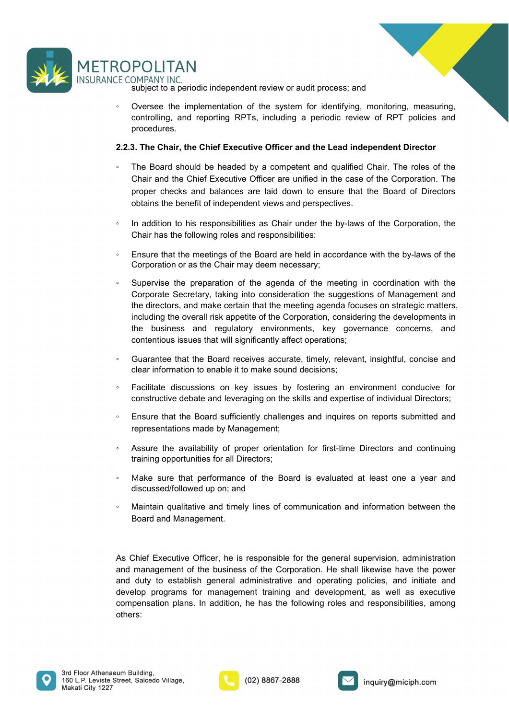



procedures.

- 2.2.3. The Chair independent review or audit process; and<br>
2.2.3. The Chair, the Chief Executive Officer and the Lead independent Director<br>
2.2.3. The Chair, the Chief Executive Officer and the Lead independent Director<br>
2 COPOLITAN<br>
E COMPANY INC.<br>
E COMPANY INC.<br>
subject to a periodic independent review or audit process; and<br>
⊙ Oversee the implementation of the system for identifying, monitoring, measuring,<br>
controlling, and reporting **COLITAN**<br>
COMPANY INC.<br>
Subject to a periodic independent review or audit process; and<br>
Coversee the implementation of the system for identifying, monitoring, measuring,<br>
concrolling, and reporting RPTs, including a perio **POLITAN**<br> **POLITAN**<br>
Subject to a periodic independent review or audit process; and<br>
Oversee the implementation of the system for identifying, monitoring, measuring,<br>
controlling, and reporting RPTs, including a periodic **POLITAN**<br>
POLITAN<br>
Subject to a periodic independent review or audit process; and<br>
Subject to a periodic independent review or audit process; and<br>
controlling, and reporting RPTs, including a periodic review of RPT polici COPOLITAN<br>
FFCOMPANY INC.<br>
Subject to a periodic independent review or audit process; and<br>
octomolling, and reporting RPTs, including a periodic review of RPT policies and<br>
procedures.<br>
2.2.3. The Chair, the Chief Executi **POLITAN**<br>
IMPANY INC.<br>
INDEXTIVITY INC.<br>
Subject to a periodic independent review or audit process; and<br>
Oversee the implementation of the system for identifying, monitoring, measuring,<br>
controlling, and reporting RPTs, i
- 
- 
- NOPOLITAN<br>
FF COMPANY INC.<br>
Subject to a periodic independent review or audit process; and<br>
 Oversee the implementation of the system for identifying, monitoring, measuring,<br>
contoilling, and reporting RPTs, including a **POLITAN**<br>
COMPANY INC<br>
COMPANY INC<br>
Course the implementation of the system for identifying, monitoring, measuring,<br>
Corrected the implementation of the system for identifying, monitoring, measuring,<br>
controlling, and rep ECOMPANY INC.<br>
subject to a periodic independent review or audit process; and<br>  $\sim$  Oversee the implementation of the system for identifying, monitoring, measuring,<br>
controlling, and reporting RPTs, including a periodic r subject to a periodic independent review or audit process; and<br>Oversee the implementation of the system for identifying, monitoring, measuring,<br>controlling, and reporting RPTs, including a periodic review of RPT policies a Oversee the implementation of the system for identifying, monitoring, measuring, controlling, and reporting RPTs, including a periodic review of RPT policies and procedures.<br>
The Board should be headed by a competent and q overage the mindenturation of the system to the development methanism and procedures.<br> **3. The Chair, the Chief Executive Officer and the Lead independent Director<br>
The Board should be headed by a competent and qualified C** by procedures.<br>
The Chair, the Chief Executive Officer and the Lead independent Director<br>
The Board should be headed by a competent and qualified Chair. The roles of the<br>
Chair and the Chief Executive Officer are unified i 3. The Chief Executive Officer and the Lead independent Director<br>The Board should be headed by a competent and qualified Chair. The roles of the<br>The Board should be headed by a competent and qualified Chair. The roles of t ◦ Guarantee that the Board receives accurate, timely, relevant, insightful, concise and The Board should be headed by a competent and qualified Chair. The roles of the Chair and the Chief Executive Officer are unified in the case of the Corporation. The char and the Chief Executive Officer are unified in the Char and the Chief Exercutive Unter are united in the case of the Corporation. Ine<br>proper checks and balances are laid down to ensure that the Board of Directors<br>obtains the benefit of independent views and perspectives.<br> proper checks and balances are laid down to ensure that the Board of Directors<br>
baradition to his responsibilities:<br>
In addition to his responsibilities:<br>
In addition to his responsibilities:<br>
Ensure that the meetings of t • In addition to his responsibilities as Chair under the by-laws of the Corporation, the Chair has the following roles and responsibilities:<br>• Ensure that the meetings of the Board are held in accordance with the by-laws In addition to his responsibilities as Chair under the by-laws of the Corporation, the<br>Chair has the following roles and responsibilities:<br>Ensure that the meetings of the Board are held in accordance with the by-laws of th <p>\n<b>•</b> Ensure that the meetings of the Board are held in accordance with the by-laws of the Corporation or as the Chair may seem necessary.\n</p>\n<p>\n<b>•</b> Suppose Secretary, taking into consideration the suggestions of Management and the directory, taking into consideration the suggests of Management and the directory, and make certain that the meeting agenda focuses on strategic matters, including the overall risk appetite of the Corporation, considering the development is in the business and regulatory environments, key governance concerns, and contents are that will significantly affect operations.\n</p>\n<p>\n<b>•</b> Gaurante that the Board receives accurate, timely, relevant, insightful, concise and clear information to enable it to make sound decisions;\n</p>\n<p>\n<b>•</b> Facliltate discussions on key issues by fostering an environment conducive for constructive debate and leveraging on the skills and expertise of individual Directors:\n</p>\n<p>\ Ensure that the meetings of the Board are held in accordance with the by-laws of the<br>
Corporation or as the Chair may deem necessary;<br>
supervise the preparation of the agenda of the meeting in coordination with the<br>
Corpo Supervise the preparation of the agenda of the meeting in coordination with the Corporate Secretary, taking into consideration the suggestions of Management and the directors, and make certain that the meeting agenda focus the directors, and make certain that the meeting agenda focuses on strategic matters,<br>including the overall risk appetite of the Corporation, considering the developments in<br>the business and regulatory environments, key g including the overall risk appetite of the Corporation, considering the developments is<br>the business and regulatory environments, key governance concerns, and<br>contentious issues that will significantly affect operations;<br>C
- 
- 
- 
- 
- 
- 

• Guarantee that the Board receives accurate, timely, relevant, insightful, concise and<br>
• Facilitate discussions on key issues by fostering an environment conducive for<br>
• Facilitate discussions on key issues by fosterin Frank the business actual receives actually, relevant, insighted, toolical other the constructive debate and leveraging on the skills and expertise of individual Directors;<br>
Facilitate discussions on key issues by fosterin and moninator to entable it to this<br>are constructive debate and leveraging on the skills and expertise of individual Directors;<br>
Ensure that the Board sufficiently challenges and inquires on reports submitted and<br>
represen Facilitate discussions on key issues by fostering an environment conducive for<br>constructive debate and leveraging on the skills and expertise of individual Directors;<br>Fenue that the Board sufficiently challenges and inquir constructive debate and leveraging on the skills and expertise of individual Directors;<br>
Ensure that the Board sufficiently challenges and inquires on reports submitted and<br>
representations made by Management;<br>
As the avai others:





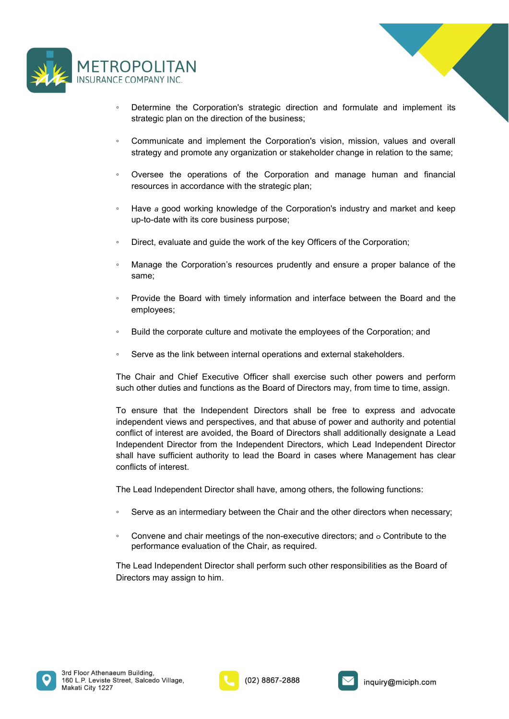



- NOPOLITAN<br>
SECOMPANY INC.<br>
 Determine the Corporation's strategic direction and formulate and implement its<br>
strategic plan on the direction of the business;<br>
 Communicate and implement the Corporation's vision, mission <p>• Determine the Corporation's strategic direction and formulate and implement its strategic plan on the direction of the business;</p>\n<p>• Communicate and implement the Corporation's vision, mission, values and overall strategy and promote any organization or stakeholder change in relation to the same;</p>\n<p>• Oversee the operations of the Corporation and manage human and financial resources in accordance with the strategic plan;</p>\n<p>• Have a good working knowledge of the Corporation's industry and market and keep up-to-date with its core business purpose;</p>\n<p>• Direct, evaluate and guide the work of the key officers of the Corporation;</p>\n<p>• Manager the Corporation's resources prudently and ensure a proper balance of the same;</p>\n<p>• Provide the Board with timely information and interface between the Board and the employees;</p>\n<p>• Build the corporate culture and motivate the employees of the Corporation; and</p>\n<p>• Serve as the link between internal operations and external stakeholders.</p>
- Communicate and implement the Corporation's vision, mission, values and overall<br>
strategy and promote any organization or stakeholder change in relation to the same;<br>
 Oversee the operations of the Corporation and manag
- 
- strategy and promote any organization or stakeholder change in relation to the same;<br>
 Oversee the operations of the Corporation and manage human and financial<br>
 Have a good working knowledge of the Corporation's industr
- 
- same;
- employees;
- 
- 

FROM Consider the operations of the Corporation and manage human and financial<br>
Frequences in accordance with the strategic plan;<br>
FROM Alays a good working knowledge of the Corporation's industry and market and keep<br>
up such the strategic plan;<br>
Surface a good working knowledge of the Corporation's industry and market and keep<br>
up-to-date with its core business purpose;<br>
Surface with its core business purpose;<br>
Direct, evaluate and guide • Have a good working knowledge of the Corporation's industry and market and keep<br>
• Direct, evaluate and guide the work of the key Officers of the Corporation;<br>
• Manage the Corporation's resources prudently and ensure a ingthala that the control of interest and the server and the server and the server and the same;<br>
Similarly and the same of the corporation's resources prudently and ensure a proper balance of the same;<br>
Provide the Board Conflict of the Board of the Board of the Key Officers of the Corporation;<br>
Manage the Corporation's resources prudently and ensure a proper balance of the<br>
same;<br>
Provide the Board with timely information and interface be • Direct, evaluate and guide the work of the key Officers of the Corporation;<br>• Manage the Corporation's resources prudently and ensure a proper balance of the<br>same;<br>• Provide the Board with timely information and interfa Manage the Corporation's resources prudently and ensure a proper balance of the<br>
same;<br>
Provide the Board with timely information and interface between the Board and the<br>
employees;<br>
• Build the corporate culture and motiv Manage the Corporation's resources prudently and ensure a proper balance of same;<br>
Provide the Board with timely information and interface between the Board and<br>
employees;<br>
Puild the corporate culture and motivate the emp <p>\nProvide the Board with timely information and interface between the Board and the employees; \n</p>\n<p>\nBuild the corporate culture and motivate the employees of the Corporation; and \n</p>\n<p>\nServe as the link between internal operations and external stakeholders.\n</p>\n<p>\nThe Chair and Chief Executive Officer shall exercise such other powers and perform \nsuch other duties and functions as the Board of Directory, from time to time, assign.\n</p>\n<p>\nTo ensure that the Independent Directors shall be free to express and advocate \nindependent inverse and perspective, and that abuse of power and authority and potential \nconflict of interest are avoided, the Board of Directory and Additionally designed a Lead \nIndependent Director from the Independent Directory, which Lead Independent Director \nconflicts of interest.\n</p>\n<p>\nThe Lead Independent Director of shall have, among others, the following functions:\n</p>\n<p>\nServe as an intermediary between the Chair and ◦ Serve as an intermediary between the Chair and the other directors when necessary; ◦ Convene and chair meetings of the non-executive directors; and <sup>๐</sup> Contribute to the Serve as the link between internal operations and external stakeholders.<br>Chair and Chief Executive Officer shall exercise such other powers and perform<br>other duties and functions as the Board of Directors may, from time to The Chair and Chair Executed Intention and Sachina Statembar of the provides and perform<br>The Chair and Chair Executive Officer shall exercise such other powers and perform<br>such other during and functions as the Board of Di The Chair and Chief Executive Officer shall exercise such other powers and perform<br>such other duties and functions as the Board of Directors may, from time to time, assign.<br>To ensure that the Independent Directors shall be

- 
- 





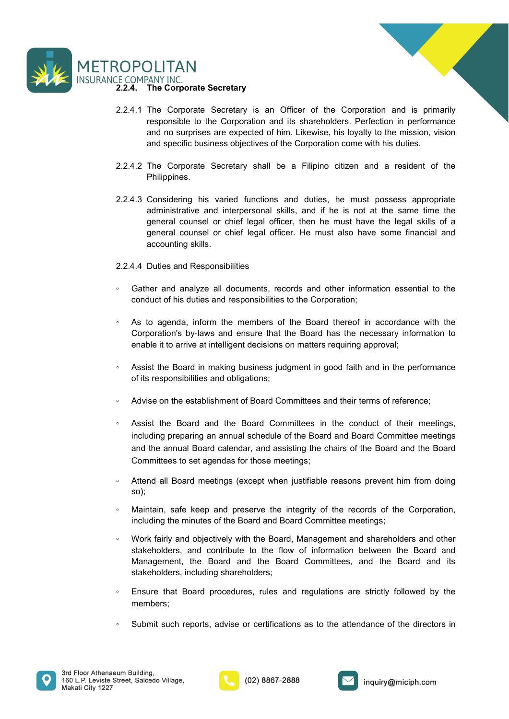



- ROPOLITAN<br>
2.2.4. The Corporate Secretary<br>
2.2.4.1 The Corporate Secretary<br>
2.2.4.1 The Corporate Secretary<br>
2.2.4.1 The Corporate Secretary<br>
2.2.4.1 The Corporate Secretary<br>
2.2.4.1 The Corporate Secretary<br>
2.2.4.1 The Co **ECOMPANY INC.**<br>2.2.4.1 The Corporate Secretary<br>2.2.4.1 The Corporate Secretary is an Officer of the Corporation and is primarily<br>responsible to the Corporation and its shareholders. Perfection in performance<br>and no surpri **SET ANTI MANY INC.**<br>The Corporate Secretary<br>The Corporate Secretary is an Officer of the Corporation and is primarily<br>responsible to the Corporation and its shareholders. Perfection in performance<br>and no surprises are exp **EXECUTE ART SECT AND MANY INC.**<br>The Corporate Secretary is an Officer of the Corporation and is primarily responsible to the Corporation and its shareholders. Perfection in performance and no surprises are expected of him **EXECUTE SPECITE SPECITE:**<br>The Corporate Secretary<br>The Corporate Secretary is an Officer of the Corporation and is primarily<br>responsible to the Corporation and its shareholders. Perfection in performance<br>and no surprises a 2.2.4.2 The Corporate Secretary<br>
2.2.4.1 The Corporate Secretary<br>
2.2.4.1 The Corporate Secretary is an Officer of the Corporation and is primarily<br>
responsible to the Corporation and its shareholders. Perfection in perfor
- Philippines.
- 2.2.4.3 The Comporate Secretary<br>2.2.4.1 The Corporate Secretary<br>2.2.4.1 The Corporate Secretary<br>2.2.4.1 The Corporation and is shareholders. Perfection in performance<br>and no surprises are expected of him. Likewise, his loy **EXECT AND THAT THAT THAT THAT THAT THE CORPORAT THE CORPORAT THE CORPORATE SECRET THE CORPORATION** THE CORPORATION and is shareholders. Perfection in performance and no surprises are expected of him. Likewise, nis loyally DLITAN<br>The Corporate Secretary<br>The Corporate Secretary<br>The Corporate Secretary is an Officer of the Corporation and is primarily<br>responsible to the Corporation and its shareholders. Perfection in performance<br>and no surpris **SCONTING THE CORPORATE SECTEMTS**<br>The Corporate Secretary<br>The Corporate Secretary is an Officer of the Corporation and is primarily<br>responsible to the Corporation and its shareholders. Perfection in performance<br>and no surp **DLITAN**<br>The Corporate Secretary is an Officer of the Corporation and is primarily<br>responsible to the Corporation and its shareholders. Perfection in performance<br>and no surprises are expected of him. Likewise, his loyalty **ECOMPANY INC.**<br>
<u>ECOMPANY INC.</u><br>
2.2.4.4 The Corporate Secretary<br>
2.2.4.1 The Corporate Secretary<br>
2.2.4.1 The Corporate Secretary is an Officer of the Corporation and is primarily<br>
ersponsible to the Corporation and its LAUMPANY INC.<br>
THE Corporate Secretary is an Officer of the Corporation and is primarily<br>
responsible to the Corporation and its shareholders. Perfection in performance<br>
and on surprises are expected of him. Likewise, his France conducts are comparing to an officer of the Corporation and is primarily responsible to the Corporation and its shareholders. Perfection in performance and no surprises are expected of him. Likewise, his loyalty to ◦ As to agenda, inform the members of the Board thereof in accordance with the readed of him. Likewise, his loyalty to the mission, vision<br>and no surprises are expected of him. Likewise, his loyalty to the mission, vision<br>and specific business objectives of the Corporation come with his duties.<br>4.2 T enable it to arrive at intelligent decisions and their terms of its real and specific business objectives of the Corporation come with his duites.<br>4.2 The Corporate Secretary shall be a Filipino citizen and a resident of t 2.2.4.2 The Corporate Secretary shall be a Filipino citizen and a resident of the<br>
Philippines.<br>
2.2.4.3 Considering his varied functions and duties, he must possess appropriate<br>
administrative and interpresonal skills, an The properties are the Board of the Board of the Board and the Board and the Board Committee methods and the Board considering its represent consisted deministrative and interpersonal skills, and if he is not at the same t 2.2.4.3 Considering his varied functions and duties, he must possess appropriate<br>
administrative and interpresonal skills, and if he is not at the same time the<br>
general counsel or chief legal officer. then he must have t

- 
- 
- 
- 
- dependent counsel or chef legal officer, then he must have the legal skills of a<br>
dependent counsel or chef legal officer. He must also have some financial and<br>
accounting skills.<br>
2.2.4.4 Duties and Responsibilities<br>
6<br> general counsel or chief legal officer. He must also have some financial and<br>accounting skills.<br>4.4 Duties and Responsibilities<br>Gather and analyze all documents, records and other information essential to the<br>conduct of hi accounting skills.<br>
4.4 Duties and Responsibilities<br>
Gather and analyze all documents, records and other information essential to the<br>
conduct of his duties and responsibilities to the Corporation;<br>
As to agenda, inform th 4.4 Duties and Responsibilities<br>Gather and analyze all documents, records and other information essential to the<br>Corporation's divies and responsibilities to the Corporation;<br>Corporation's by-laws and ensure that the Board <p>• Gather and analyze all documents, records and other information essential to the conduct of his duties and responsibilities to the Corporation.</p>\n<p>• As to agenda, inform the members of the Board thereof in accordance with the Corporation's by-laws and ensure that the Board has the necessary information to enable it to arrive at intelligent decisions on matters requiring approval.</p>\n<p>• Assist the Board in making business judgment in good faith and in the performance of its responsibilities and obligations;</p>\n<p>• Adwise on the establishment of Board Committee and their terms of reference;</p>\n<p>• Assist the Board and the Board Committee and their terms of reference;</p>\n<p>• Assist the Board and the Board Committee of the Board and Board Committee meetings and the annual Board calendar, and assigning the chairs of the Board and the Board Committee to set agendas for those meetings.</p>\n<p>• Atinal all Board meetings (except when justifiable reasons prevent him from doing so);</p>\n <p>• Ats to agenda, inform the members of the Board has the necessary information to <i>Corportorations</i> by-laws and ensure that the Board has the necessary information to enable it to arrive at intelligent decisions on matters requiring approval:</p>\n<ul>\n<li>Asist the Board in making business judgment in good faith and in the performance of its responsibilities and obligations;</li>\n<li>Asist the Board and the Board Committers and their terms of reference;</li>\n<li>Asist the Board and the Board Committers and their terms of reference;</li>\n</ul>\n<p>Asist the Board and the Board Committers in the conduct of their meetings, including preparing an annual schedule of the Board and Board Committee meetings and the annual Board elements of the Board and the Board Committers to set agendas for those meetings.</p>\n<ul>\n<li>Attend all Board meetings (except when justifiable reasons prevent him from doing so);</li>\n<li>Mantlain, safe keep and preserve As to agenda, inform the members of the Board thereof in accordance with the Corporation's by-laws and ensure that the Board has the necessary information to enable it to arrive at intelligent decisions on matters requirin Corporation's by-laws and ensure that the Board has the necessary information to<br>
enable it to arrive at intelligent decisions on matters requiring approval;<br>
Assist the Board in making business judgment in good faith and enable it to arrive at intelligent decisions on matters requiring approval;<br>Assist the Board in making business judgment in good faith and in the performance<br>of its responsibilities and obligations;<br>Advise on the establish Assist the Board in making business judgment in good faith and in the performance<br>of its responsibilities and obligations;<br>Advise on the establishment of Board Committees and their terms of reference;<br>Assist the Board and Assist the Board in making business judgment in good faith and in the performance<br>of its responsibilities and obligations;<br>Advise on the establishment of Board Committees and their terms of reference;<br>Assist the Board and ■ Advise on the establishment of Board Committees and their terms of reference;<br>
■ Assist the Board and the Board Committees in the conduct of their meetings,<br>
and the annual scheme are also are also are also are also are <p>• Asist the Board and the Board Committee in the conduct of their meetings, including preparing an annual schedule of the Board and Board Committee meetings and the annual Board cleaned and a manual of the world. Committee to be that all Board methods of the Board and the Board. It should be a useful so that all Board meetings (except when justifiable reasons prevent him from doing so);</p>\n<p>• Mintain, safe keep and preserve the integrity of the records of the Corporation, including the minutes of the Board and Board Committee meetings;</p>\n<p>• Wort fairly and objectively with the Board, Management and shareholders and other stakeholders, and contribute to the flow of information between the Board and Management, the Board and the Board Committee, and the Board and its stakeholders, including shareholders;</p>\n<p>• Ensure that Board procedures, rules and regulations are strictly followed by the members;</p>\n<p>• Submit such reports, advise or certificates as to the attendance of the directions in the building.</p
- so);
- 
- 
- members;
- 



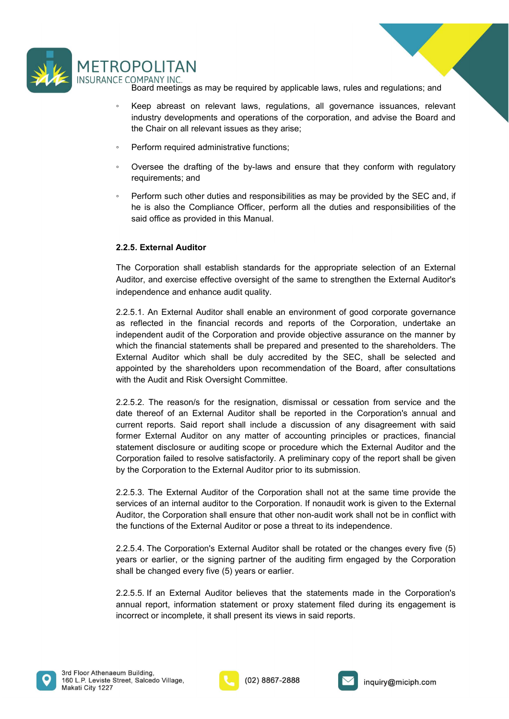

- POLITAN<br>Board meetings as may be required by applicable laws, rules and regulations; and<br>Keep abreast on relevant laws, regulations, all governance issuances, relevant<br>industry developments and operations of the corporatio COPOLITAN<br>
E COMPANY INC.<br>
Board meetings as may be required by applicable laws, rules and regulations; and<br>
∴<br>
Keep abreast on relevant laws, regulations, all governance issuances, relevant<br>
industry developments and **POLITAN**<br>
COMPANY INC.<br>
Board meetings as may be required by applicable laws, rules and regulations; and<br>
Keep abreast on relevant laws, regulations, all governance issuances, relevant<br>
industry developments and operation **POLITAN**<br>
SERVERT OMPANY INC.<br>
Board meetings as may be required by applicable laws, rules and regulations; and<br>
Keep abreast on relevant laws, regulations, all governance issuances, relevant<br>
industry developments and op ◦ Perform required administrative functions;
- 
- 
- <p>\n<b>NOTE</b> <b>CPALITAN</b> <b>INCLOMPANY</b> <b>INCLOMPANY</b> <b>INCLOMPANY</b> <b>Local</b> <b>Example</b> <b>Example</b> <b>Example</b> <b>Example</b> <b>Example</b> <b>Example</b> <b>Example</b> <b>Example</b> <b>Example</b> <b>Example</b> <b>Example</b> <b>Example</b> <b>Example</b> <b>Example</b> <b>Example</b> <b>Example</b> <b>Example</b> <b>Example</b> <b>Example</b> <b>Example</b> <b>Example</b> <b>Example</b> <b>Example</b **POLITAN**<br>
DMPANY INC.<br>
Board meetings as may be required by applicable laws, rules and regulations; and<br>
Keep abreast on relevant laws, regulations, all governance issuances, relevant<br>
industry developments and operations ◦ Perform such other duties and responsibilities as may be provided by the SEC and, if **POLITAN**<br>
DMPANY INC.<br>
Board meetings as may be required by applicable laws, rules and regulations; and<br>
Keep a breveat on relevant laws, regulations, all governance issuances, relevant<br>
industry developments and operatio **SCOLUTAN**<br>
SAMPALY INC.<br>
BOARD meetings as may be required by applicable laws, rules and regulations; and<br>
Keep abreast on relevant laws, regulations, all governance issuances, relevant<br>
industry developments and operatio

**ECOMPANY INC.**<br>
ECOMPANY INC.<br>
Board meetings as may be required by applicable laws, rules and regulations; and<br>
<sup>9</sup> Reep abreast on relevant laws, regulations, all governance issuances, relevant<br>
industry developments an The Corporative INCRET (Setably applicable laws, rules and regulations; and<br>
Shared meetings as may be required by applicable laws, rules and regulations; and<br>
Shared meetings are relevant laws, regulations of the corporat

The COMPANY INC.<br>
The COMPANY INC.<br>
The COMPANY INC.<br>
Representent assume the several terms are required by applicable laws, rules and regulations; and<br>
industry developments and operations of the corporation, and advise t in Experimential and performate and performations, and<br>
industry developments and poerations, all governance issuances, relevant<br>
industry developments and operations of the corporation, and advise the Board and<br>
the Chair External moderate and operations, all governance issuances, relevant<br>
industry developments and operations of the corporation, and advise the Board and<br>
the Chair on all relevant issues as they arise;<br>
Perform required adm industry developments and operations of the corporation, and advise the Board and<br>the Chair on all relevant issues as they arise;<br><br>• Oversee the drafting of the by-laws and ensure that they conform with regulatory<br>requirem independent and relevant issues as they arise;<br>
• Derform required administrative functions;<br>
• Oversee the drafting of the by-laws and ensure that they conform with regulatory<br>
requirements; and<br>
• Perform such other duti From required administrative functions;<br>
Cyersee the drafting of the by-laws and ensure that they conform with regulatory<br>
requirements; and<br>
Perform such other duties and responsibilities as may be provided by the SEC and Francisco method of the by-laws and ensure that they conform with regulatory<br>
Predictionent and responsibilities as may be provided by the SEC and, if<br>
the is also the Compliance Officer, perform all the duties and respons • Oversee the drafting of the by-laws and ensure that they conform with regulatory<br>
• Perform such other duties and responsibilities as may be provided by the SEC and, if<br>
he is also the Compliance Officer, perform all th requirements; and<br>
in requirements; and<br>
in the Auditor during and are sponsibilities as may be provided by the SEC and, if<br>
the is also the Compliance Officer, perform all the duties and responsibilities of the<br>
said offi From such other duties and responsibilities as may be provided by the SEC and, if<br>
the is also the Compliance Officer, perform all the duties and responsibilities of the<br>
said office as provided in this Manual.<br>
2.2.5. Ext he is also the Compliance Officer, perform all the duties and responsibilities of the<br>said office as provided in this Manual.<br>2.2.5. External Auditor<br>The Corporation shall establish standards for the appropriate selection said office as provided in this Manual.<br>
2.2.5. External Auditor<br>
The Corporation shall establish standards for the appropriate selection of an External<br>
Auditor, and exercise effective oversight of the same to strengthen **2.2.5. External Auditor**<br>The Corporation shall establish standards for the appropriate selection of an External Auditor's<br>Auditor, and exercise effective oversight of the same to strengthen the External Auditor's<br>midepend **2.2.5. External Auditor**<br>The Corporation shall establish standards for the appropriate selection of an External Auditor, and exercise effective oversight of the same to strengthen the External Auditor's<br>independence and e 2.2.5. External Addio statisfalls handards for the appropriate selection of an External Auditor, and exercise effective oversight of the same to strengthen the External Auditor's independence and enhance audit quality.<br>
2. The Corporation shall establish standards for the appropriate selection of an External Auditor's<br>Auditor, and exercise effective oversight of the same to strengthen the External Auditor's<br>
2.2.5.1. An External Auditor shal independence and enhance audif quality.<br>
2.2.5.1. An External Auditor shall enable an environment of good corporate governance<br>
as reflected in the financial records and reports of the Corporation, undertake an<br>
independen statement disclosure of an External Audio for the and the statement of spot and the corporation, such an independent audit of the Corporation and provide objective assurance on the manner by which the financial statements 2.2.5.1. An External Auditor shall enable an environment of good corporate governance as reflected in the financial records and reports of the Corporation, undertake an independent audit of the Corporation and provide obje

as reflected in the financial records and reports of the Corporation, undertake an independent audit of the Corporation and provide objective assurance on the manner by which the financial statements shall be perpared and which the financial statements shall be prepared and presented to the shareholders. The<br>External Auditor which shall be duly accredited by the SEC, shall be selected and<br>appointed by the shareholders upon recommendation of External Auditor which shall be duly accredited by the SEC, shall be selected and<br>appointed by the shareholders upon recommendation of the Board, after consultations<br>with the Audit and Risk Oversight Committee.<br>2.2.5.2. Th appointed by the shareholders upon recommendation of the Board, after consultations<br>with the Audit and Risk Oversight Committee.<br>2.2.5.2. The reason/s for the resignation, dismissal or cessation from service and the<br>date t 2.2.5.2. The reason/s for the resignation, dismissal or cessation from service and the date thereof of an External Auditor shall be reported in the Corporation's annual and current reports. Said report shall include a disc 2.2.5.2. The reason/s for the resignation, dismissal or cessation from service and the thereof of an External Auditor shall be reported in the Corporation's annual and current reports. Said report shall include a discussio date thereof of an External Auditor shall be reported in the Corporation's annual and<br>current reports. Said report shall include a discussion of any disagreement with said<br>former External Auditor on any matter of accountin





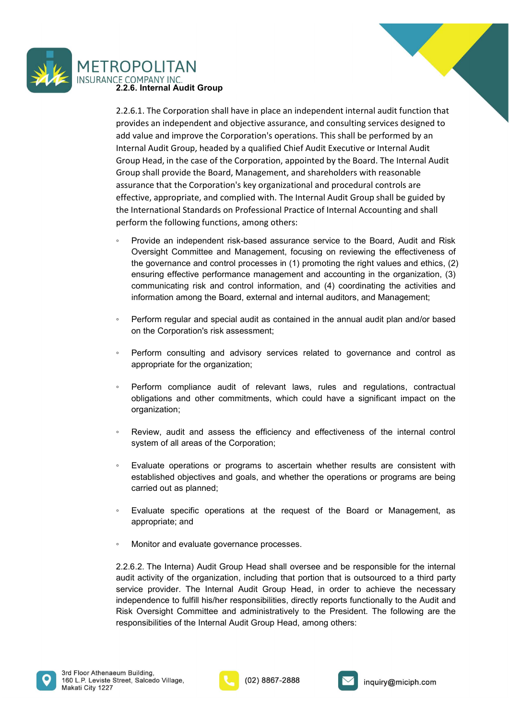

ROPOLITAN<br>2.2.6. Internal Audit Group<br>2.2.6. Internal Audit Group<br>2.2.6.1. The Corporation shall have in place an independent internal audit function that<br>provides an independent and objective assurance, and consulting ser ROPOLITAN<br>2.2.6.1. The Corporation shall have in place an independent internal audit function that<br>provides an independent and objective assurance, and consulting services designed to<br>add value and improve the Corporation' ROPOLITAN<br>
TE COMPANY INC.<br>
2.2.6.1. The Corporation shall have in place an independent internal audit function that<br>
provides an independent and objective assurance, and consulting services designed to<br>
and value and impr ROPOLITAN<br>
SE COMPANY INC.<br>
2.2.6. Internal Audit Group<br>
2.2.6.1. The Corporation shall have in place an independent internal audit function that<br>
provides an independent and objective assurance, and consulting services de ROPOLITAN<br>
E.COMPANY INC.<br>
E.2.6.1. The Corporation shall have in place an independent internal audit function that<br>
acts.1. The Corporation shall have in place an independent internal audit function that<br>
add value and im COPOLITAN<br>
E COMPANY INC.<br>
2.2.6. Internal Audit Group<br>
2.2.6.1. The Corporation shall have in place an independent internal audit function that<br>
provides an independent and objective assurance, and consulting services des COPOLITAN<br>
CE COMPANY INC.<br>
2.2.6.1. The Corporation shall have in place an independent internal audit function that<br>
provides an independent and objective assurance, and consulting services designed to<br>
add value and impr COPOLITAN<br>
2.2.6.1. The Corporation shall have in place an independent internal audit function that<br>
2.2.6.1. The Corporation shall have in place an independent internal audit function that<br>
provides an independent and obj effective, and the Completive and the internal and the internal and the complement of the Complement and the provides an independent and objective assurance, and consulting services designed to and value and improve the Co The International Standards on Professional Practice of International Standards on Provides an independent internal and function that accounting services designed to provide an independent and objective assurance, and cons ROPOLITAN<br>
TECOMPANY INC.<br>
TECOMPANY INC.<br>
TECOMPANY INC.<br>
2.2.6.1. The Corporation shall have in place an independent internal audit function that<br>
provides an independent and objective assurance, and consulting services ROPOLITAN<br>
THE COMPANY INC.<br>
2.2.6. Internal Audit Group<br>
2.2.5.6.1. The Corporation shall have in place an independent internal audit function that<br>
provides an independent and objective assurance, and consulting services **DOLITAN**<br>
SMPANY INC.<br>
S. Internal Audit Group<br>
6.1. The Corporation shall have in place an independent internal audit function that<br>
fides an independent and objective assurance, and consulting services designed to<br>
valu **POLITAN**<br>
S. Internal Audit Group<br>
S. I. The Corporation shall have in place an independent internal audit function that<br>
ordes an independent and objective assurance, and consulting services designed to<br>
value and improv PULI I ANN<br>
HOULI THE Corporation shall have in place an independent internal audit function that<br>
is.1. The Corporation shall have in place an independent internal audit function that<br>
idea an independent and objective as DMPANY INC.<br> **Show** HAC. The Corporation shall have in place an independent internal audit function that<br>
dides an independent and objective assurance, and consulting services designed to<br>
value and improve the Corporation **6.** Internal Addit Group<br>
S.1. The Corporation shall have in place an independent internal audit function that<br>
vides an independent and objective assurance, and consulting services designed to<br>
value and improve the Corp 2.2.5.1. In Ecorporatons nanil nave in piace an independent internal audit truction trate<br>
2.1. In Ecorporations and industry and infernal audit truction to the<br>
and value and improve the Corporation's operations. This sha ordes an independent and objective assurance, and consultling services designed to value and miprove the Corporation's operations. This shall be performed Audit<br>transl Audit Group, headed by a qualified Chief Audit Executi Internal Audit Group, headed by a qualified Chief Audit Executive or Internal Audit<br>
Group shall provide the Board, Management, and shareholders with reasonable<br>
Signified the Board, Management, and shareholders with reaso up Head, in the case of the Corporation, appointed by the Board. The Internal Audit<br>pus hall provide the Board, Management, and shareholders with reasonable<br>trance that the Corporation's key organizational and procedural c

- assurance that the Corporation's key organizational and procedural controls are<br>effective, appropriate, and complied with. The Internal Audit Group shall be guided by<br>the international Standards on Professional Practice of citive, appropriate, and complied with. The Internal Audit Group shall be guided by<br>International Standards on Professional Practice of Internal Accounting and shall<br>form the following functions, among others:<br>Provide an i From the lollowing unctions, among others:<br>
Provide an independent risk-bassed assurance service to the Board, Audit and Risk<br>
Oversight Committee and Management, focusing on reviewing the effectiveness of<br>
the governance Provide an independent risk-based assurance service to the Board, Audit and Risk<br>Oversight Committee and Management, foccising on reviewing the effectiveness of<br>the governance and control processes in (1) promoting the rig the governance and control processes in (1) promoting the right values and ethics, (2)<br>
ensuring effective performance management nat accounting in the organization, (3)<br>
communicating risk and control information, and (4) ensuring effective performance management and accounting in the organization, (3)<br>communicating risk and control information, and (4) coordinating the activities and<br>information among the Board, external and internal audit
- 
- 
- organization; communicating risk and control information, and (4) coordinating the activities and<br>information among the Board, external and internal auditors, and Management;<br>Perform regular and special audit as contained in the annual ◦ Evaluate specific operations at the request of the Board or Management, as Perform regular and special audit as contained in the annual audit plan and/or based<br>on the Corporation's risk assessment;<br>Perform consulting and advisory services related to governance and control as<br>appropriate for the o
- 
- 
- 
- 

<p>\n Perform consulting and advisory services related to governance and control as appropriate for the organization; \n \n Performance audit of relevant laws, rules and regulations, contractual obligations and other commitments, which could have a significant impact on the organization; \n \n \n Review, audit and assess the efficiency and effectiveness of the internal control system of all areas of the Corporation; \n \n \n Evaluate operations or programs to ascertain whether results are consistent with established objectives and goals, and whether the operations or programs are being carried out as planned; \n \n Evaluate specific operations at the request of the Board or Management, as appropriate; and \n \n Monitor and evaluate governance processes.\n</p>\n<p>\n 2.2.6.2. The internal Audio Group Head shall oversee and be responsible for the internal audit activity of the organization, including that portion that is outsource to a third party service provider. The internal Audio Group Head, in order to achieve the expression of the organization;<br>
Perform compliance audit of relevant laws, rules and regulations, contractual<br>
obligations and other commitments, which could have a significant impact on the<br>
organization;<br>
Review, audit From compliance audit of relevant laws, rules and regulations, contractual<br>
obligations and other commitments, which could have a significant impact on the<br>
organization;<br>
Review, audit and assess the efficiency and effect From compliance audit of relevant laws, rules and regulations, contractual<br>coligrations and other commitments, which could have a significant impact on the<br>reganization;<br>Review, audit and assess the efficiency and effectiv independence to fulfill and assess the efficiency and effectiveness of the internal control<br>
Sevelw, audit and assess the efficiency and effectiveness of the internal control<br>
system of all areas of the Corporation;<br>
Evalu organization;<br>
Review, audit and assess the efficiency and effectiveness of the internal control<br>
system of all areas of the Corporation;<br>
Evaluate operations or programs to ascertain whether results are consistent with<br>
e Review, audit and assess the efficiency and effectiveness of the internal control<br>system of all areas of the Corporation;<br>Evaluate operations or programs to ascertain whether results are consistent with<br>established objecti



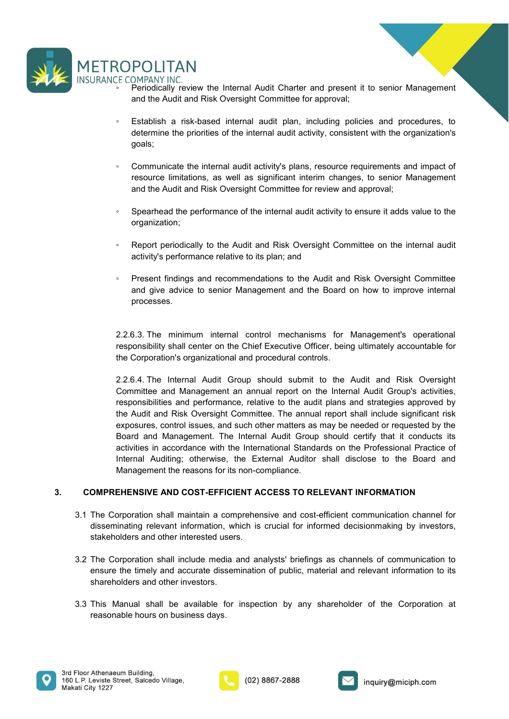

- 
- <p>\n<b>TOPOLITAN</b><br/>\n<b>CE COMPANY INC.</b><br/>\n<b>Periodically review the Internal Audi Charter and present it to senior Management and the Audi and Risk Oversight Committee for approval;<br/>\n<b>Estabilish a risk-based internal audit plan, including policies and procedures, to determine the priorities of the internal audit activity, consistent with the organization's goals; \n</p> **POLITAN**<br>
COMPANY INC.<br>
Periodically review the Internal Audit Charter and present it to senior Management<br>
and the Audit and Risk Oversight Committee for approval;<br>
Establish a risk-based internal audit plan, including p ◦ Establish a risk-based internal audit plan, including policies and procedures, to POLITAN<br>
COMPANY INC.<br>
Periodically review the Internal Audit Charter and present it to senior Management<br>
and the Audit and Risk Oversight Committee for approval;<br>
Establish a risk-based internal audit plan, including pol goals; <p>\n<b>CompOLUTION</b> <b>INCFC</b> <b>COMPAIV INCCLS</b> <b>Periodically review the Internal Audi Chapter and present it to senior Management and the Austin and Risk Oversight Committee for approval;</b>\n</p>\n<p>\n Establish a risk-based internal audit plant, including policies and procedures, to determine the priorities of the internal audit activity, consistent with the organization's goals;.\n</p>\n<p>\n Communicate the internal audit activity's plans, resource requirements and impact of resource limitations, as well as significant interim changes, to senior Management and the Audi and Risk Oversight Committee for review and approval; \n</p>\n<p>\n Separate at the performance of the internal audit activity to ensure it adds value to the organization; \n</p> **POLITAN**<br>
POLITAN<br>
Periodically review the Internal Audit Charter and present it to senior Management<br>
and the Audit and Risk Oversight Committee for approval;<br>
Establish a risk-based internal audit plan, including polici **POLITAN**<br>
POMENT INC<br>
Periodically review the Internal Audit Charter and present it to senior Management<br>
and the Audit and Risk Oversight Committee for approval;<br>
Establish a risk-based internal audit plan, including pol **SPECOMPANY INC.**<br>
SPECOMBANY Provide the Internal Audit Charter and present it to senior Management<br>
Setablish a risk-based internal audit plan, including policies and procedures, to<br>
determine the priorities of the inter <p>\n<b>ROPOLITAN</b><br/>\n F COMPANY INC.<br/>\n For Mendlally review the Internal Audi Charter and present it to senior Management and the Audi and Risk Oversight Committee for approval;<br/>\n and the Audi and Risk Oversight Committee for approval;<br/>\n determine the priorities of the internal audit activity, consistent with the organizations goals;<br/>\n communicate the internal audit activity's plans, resource requirements and impact of resource limitations, as well as significant interim changes, to senior Management and the Adult and Risk Oversight Committee for review and approval;<br/>\n separately to the Autidi and Risk Oversight Committee on the internal audit activity's performance relative to its plain; and<br/>\n activitys performance relative to its plain; and\n</p>\n<p>\n Present findings and recommendations to the Audi and Risk Oversight Committee and give advice to senior Management and the Board on how to improve internal processes.\n **POLITAN**<br>
COMPANY INC<br>
CPETORICALLY THE DETAINT COMPARY INC<br>
PETORICALLY THE PETORICALLY THE DETAINT COMPARY INC<br>
ESTABLISHS a risk-based internal audit plan, including policies and procedures, to<br>
determine the prioritie The COMPAANY INC.<br>
The COMPAANY INC.<br>
The Communicate the Internal Audit Charter and present it to senior Management<br>
and the Audit and Risk Oversight Committee for approval;<br>
and the Audit and Risk Oversight Committee for Frich intertionally review the Internal Audit Charter and present it to senior Management<br>
Periodically review the Internal audit plan, including policies and procedures, to<br>
Establish a risk-based internal audit activity,
- determine the priorities of the internal audit activity, consistent with the organization's<br>
goals;<br>
Communicate the internal audit activity's plans, resource requirements and impact of<br>
resource limitations, as well as si
- organization;
- 
- processes.

responsional center internal and the computer on the Internal center of the Computer and the Audit and Risk Oversight Committee for review and approval;<br>
Spearhead the performance of the internal audit activity to ensure i Communicate the internal audit activity's plans, resource requirements and impact of<br>
resource limitations, as well as significant interim changes, to senior Management<br>
and the Audit and Risk Oversight Committee for revie resource limitations, as well as significant interim changes, to senior Management<br>
and the Audit and Risk Oversight Committee for review and approval;<br>
<sup>2</sup>. Spearhead the performance of the internal audit activity to ensu and the Audit and Risk Oversight Committee for review and approval;<br>
Spearhead the performance of the internal audit activity to ensure it adds value to the<br>
organization;<br>
Report periodically to the Audit and Risk Oversig Fraction of the internal and a relativity to ensure it adds value to the<br>organization;<br>Report periodically to the Audit and Risk Oversight Committee on the internal audit<br>activity's performance relative to its plan; and<br>Pr Spearhead the performance of the internal audit activity to ensure it adds value to the<br>
Spearhead Spearhead Spear Committee. The Audit and Risk Oversight Committee on the internal audit<br>
The activity's performance relativ expositive issues, and the Audit and Risk Oversight Committee on the internal audit<br>activity's performance relative to its plan; and<br>exposed in the Audit and Risk Oversight Committee<br>and give advice to senior Management an • Report periodically to the Audit and Risk Oversight Committee on the internal audit<br>activity's performance relative to its plan; and<br>• Present findings and recommendations to the Audit and Risk Oversight Committee<br>and gi Fractivity's performance relative to the Audit and Risk Oversight Committee on the internal audit<br>
Present findings and recommendations to the Audit and Risk Oversight Committee<br>
and give advice to senior Management and th activity's performance relative to its plan; and<br>
• Present findings and recommendations to the Audit and Risk Oversight Committee<br>
and give advice to senior Management and the Board on how to improve internal<br>
processes.<br> Present findings and recommendations to the Audit and Risk Oversight Committee<br>and give advice to senior Management and the Board on how to improve internal<br>processes.<br>2.2.6.3. The minimum internal control mechanisms for M and give avvious many are and the board on how to improve internal<br>processes.<br>2.2.6.3. The minimum internal control mechanisms for Management's operational<br>responsibility shall center on the Chief Executive Officer, being 2.2.6.3. The minimum internal control mechanisms for Management's operational responsibility shall center on the Coincil Executive Officer, being ultimately accountable for the Corporation's organizational and procedural c 2.2.6.3. The minimum internal control mechanisms for Management's operational<br>responsibility shall center on the Chief Executive Officer, being ultimately accountable for<br>the Corporation's organizational and procedural con 2.2.6.3. The minimum internal control mechanisms for Management's operational<br>responsibility shall center on the Chief Executive Officer, being ultimately accountable for<br>the Corporation's organizational and procedural con the Corporation's organizational and procedural controls.<br>
2.2.6.4. The Internal Audit Group should submit to the Audit and Risk Oversight<br>
Committee and Management an annual report on the Internal Audit Croup's activities 2.2.6.4. The Internal Audit Group should submit to the Audit and Risk Oversight Committee and Management an annual report on the Internal Audit Groups activities, responsibilities and performance, relative to the audit pla 2.2.6.4. The Internal Audit Group should submit to the Audit and Risk Oversight<br>Committee and Management an annual report on the Internal Audit Group's activities.<br>responsibilities and performance, relative to the audit pl responsibilities and performance, relative to the audit plans and strategies approved by<br>the Audit and Risk Oversight Committee. The annual report shall include significant frisk<br>exposures, control issues, and such other m the Audit and Risk Oversight Committee. The annual report shall include significant risk<br>exposures, control issues, and such other matters as may be needed or requested by the<br>Board and Management. The Internal Audit Group

- 
- 
- 





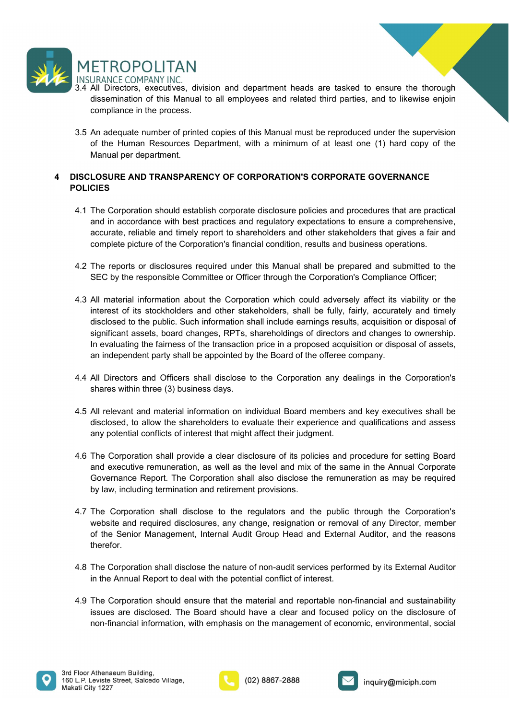

- METROPOLITAN<br>3.4 All Directors, executives, division and department heads are tasked to ensure the thorough<br>3.4 All Directors, executives, division and department heads are tasked to ensure the thorough<br>3.5 An adequate num ETROPOLITAN<br>DIRANCE COMPANY INC.<br>All Directors, executives, division and department heads are tasked to ensure the thorough<br>dissemination of this Manual to all employees and related third parties, and to likewise enjoin<br>co ETROPOLITAN<br>URANCE COMPANY INC.<br>All Directors, executives, division and department heads are tasked to ensure the thore<br>dissemination of this Manual to all employees and related third parties, and to likewise en<br>compliance METROPOLITAN<br>3.4 All Directors, executives, division and department heads are tasked to ensure the thorough<br>3.3 All Directors, executives, division and department heads are tasked to ensure the thorough<br>dissemination of th **ETROPOLITAN**<br>
URANCE COMPANY INC.<br>
All Directors, executives, division and department heads are tasked to ensure the thorough<br>
dissemination of this Manual to all employees and related third parties, and to likewise enjoi ETROPOLITAN<br>
URANCE COMPANY INC.<br>
All Directors, executives, division and department heads are tasked to ensure the<br>
dissemination of this Manual to all employees and related third parties, and to like<br>
compliance in the p
- 

# **POLICIES**

- METROPOLITAN<br>
ANDIPRODUCTANT NIC.<br>
3.4 All Directors, executives, division and department heads are tasked to ensure the thorough<br>
dissemination of this Manual to all employees and related third parties, and to likewise en METROPOLITAN<br>
INSURANCE COMPANY INC.<br>
3.4 All Directors, executives, division and department heads are tasked to ensure the thorough<br>
4.3.4 All Directors, executives, division and department heads are tasked to ensure the **ETROPOLITAN**<br>AIRANCE COMPANY INC.<br>AI Directors, executives, division and department heads are tasked to ensure the thronographiance in the process.<br>
An adequate number of printed copies of this Manual must be reproduced u ETROPOLITAN<br>
URANCE COMPANY INC.<br>
All Directors, executives, division and department heads are tasked to ensure the thorough<br>
dissemination of this Manual to all employees and related third parties, and to likewise enjoin<br> ETROPOLITAN<br>
URANCE COMPANY INC.<br>
MI Directors, executives, division and department heads are tasked to ensure the thorough<br>
distermination of this Manual to all employees and related third parties, and to likewise enjoint METROPOLITAN<br>
INSURANCE COMPANY INC.<br>
3.4 All Directors, executives, division and department heads are tasked to ensure the thorough<br>
4.3 All Directors, executives, division and department heads are tasked to ensure the th
	-
	- LET TIVUT ULT IT ANT<br>
	EVANCE COMPANY INC.<br>
	All Directors, executives, division and department heads are tasked to ensure the thorough<br>
	dissemination of this Manual to all employees and related third parties, and to likewis 4.3 All material method control which we can be the corporation of this Manual to all employees and related third parties, and to likewise enjoin compliance in the process.<br>
	3.5 An adequate number of printed copies of this **CONDIFFORE ADEAT CONDIFFORE STAKE AND ACCUPATION CONDUCT CONDUCT CONDUCT CONDUCT CONDUCT CONDUCT CONDUCT CONDUCT CONDUCT CONDUCT CONDUCT CONDUCT CONDUCT CONDUCT CONDUCT CONDUCT CONDUCT CONDUCT CONDUCT CONDUCT CONDUCT COND** An adequate in the process.<br>
	An adequate number of printed copies of this Manual must be reproduced under the supervision<br>
	of the Human Resources Department, with a minimum of at least one (1) hard copy of the<br>
	Manual per An adequate number of printed copies of this Manual must be reproduced under the supervision<br>of the Human Resources Department, with a minimum of at least one (1) hard copy of the<br>Manual per department.<br>
	LOSURE AND TRANSPA For example to the fairness of the fairness of the fairness of the control of the fairness of the Manual per department, with a minimum of at least one (1) hard copy of the Manual per department.<br>
	LOSURE AND TRANSPARENCY an in the company of the Company and the Company and the approach of the company of the Companible Preparation.<br>
	IDSURE AND TRANSPARENCY OF CORPORATION'S CORPORATE GOVERNANCE<br>
	CIES<br>
	The Corporation should establish corpora ISCLOSURE AND TRANSPARENCY OF CORPORATION'S CORPORATE GOVERNANCE<br>OLICIES<br>4.1 The Corporation should establish corporate disclosure policies and procedures that are practical<br>and in accordance with best practices and regula **CIES**<br> **CIES**<br> **CIES**<br> **CIES**<br> **CIES**<br> **CIES**<br> **CIES**<br> **CIES**<br> **CIES**<br> **CIES**<br> **CIES**<br> **COMPTENTS AND THEAT INTEREM AND THEAT INTEREM AND CONDIBERT AND CONDIBERT AND CONDIBET AND CONDIBE PICTURE of the Corporation's finan** 4.1 The Corporation should establish corporate disclosure policies and procedures that are practical<br>and in accordance with best practices and regulatory expectations to ensure a comprehensive<br>caurate, reliable and this Ma The constration of the shareholders to entered their state of the same is comprehensive, and the shareholders and constrate is complete picture of the Corporation's financial condition, results and business operations.<br>
	Sc any motion control and their spaces and conflicters and other stateholders that gives a fair and complete picture of the Corporation's financial condition, results and business operations.<br>The reports or disclosures requir 4.4 All relevant of the Corporation shall be prepared and submitted to the<br>
	4.5 The reports or disclosures required under this Manual shall be prepared and submitted to the<br>
	4.5 EC by the responsible Committee or Officer t The reports or disclosures required under this Manual shall be prepared and submitted to the SEC by the responsible Committee or Officer through the Corporation's Compliance Officer;<br>All material information about the Corp not even the consultion control and the Corporation shall also disclose the corporation is considered to the point of the Corporation schematic control and the corporation schematic and the corporation which could adversel by an entertial information about the Corporation shall be dily material information and internal information shall be fully, fairly, fairly, accurately and timely disclosed to the public. Such information shall include ea 4.7 The Corporation shall color the public. Such information shall disclosed to the public such information shall here disconsided to the public such information shall need disclosed to the public such information shall n where the public. Such information shall include earnings results, acquisition or disposal of siloscal of the public. Such information shall include earnings results, acquisition or disposal of significant assets, board ch
	-
	-
	-
	- significant assets, board changes, RPTs, shareholdings of directors and changes to ownership.<br>In evaluating the farmess of the transaction price in a proposed acquisition or disposal of assets,<br>an independent partires of t therefor. 4.8 MI Directors and Officers shall disclose to the Corporation any dealings in the Corporation's<br>4.5 All relevant and material information on individual Board members and key executives shall be<br>4.5 All relevant and mater All Directors and Officers shall disclose to the Corporation any dealings in the Corporation's<br>shares within three (3) business days.<br>All relevant and material information on individual Board members and key executives sha 4.8 All relevant and material information on individual Board members and key executives shall be disclosed, to allow the shareholders to evaluate their experience and qualifications and assess any potential conflicts of i All relevant and material information on individual Board members and key executives shall be<br>disclosed, to allow the shareholders to evaluate their experience and qualifications and assess<br>any potential conflicts of inter non-time of the Smith Highland information on the mandement of economic and the management of the management of the management of the management of the corporation shall provide a clear discolsure of its policies and proce
	-
	-





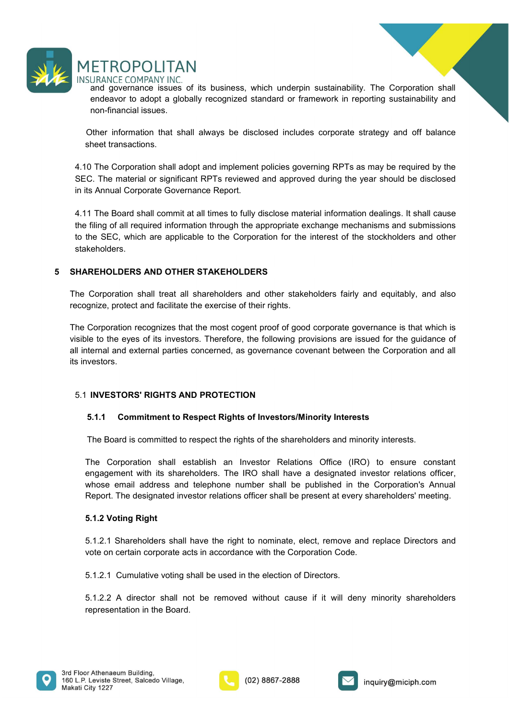

ETROPOLITAN<br>uRANCE COMPANY INC.<br>and governance issues of its business, which underpin sustainability. The Corporation shall<br>endeavor to adopt a globally recognized standard or framework in reporting sustainability and<br>non-ETROPOLITAN<br>
URANCE COMPANY INC.<br>
and governance issues of its business, which underpin sustainability. The Corporation shall<br>
endeavor to adopt a globally recognized standard or framework in reporting sustainability and<br> ETROPOLITAN<br>
URANCE COMPANY INC.<br>
and governance issues of its business, which underpin sustainability. The Corporatendeavor to adopt a globally recognized standard or framework in reporting sustaina<br>
non-financial issues.

**SET ROPOLITAN**<br>
SURANCE COMPANY INC.<br>
SURANCE COMPANY INC.<br>
and governance issues of its business, which underpin sustainability. The Corporation shall<br>
endeavor to adopt a globally recognized standard or framework in rep **SURANCE COMPANY INC.**<br>SURANCE COMPANY INC.<br>and governance issues of its business, which underpin sustainability. The<br>endeavor to adopt a globally recognized standard or framework in reporting<br>non-financial issues.<br>Other i METROPOLITAN<br>
INSURANCE COMPANY INC.<br>
and governance issues of its business, which underpin sustainability. The Corporation shall<br>
endeavor to adopt a globally recognized standard or framework in reporting sustainability a

METROPOLITAN<br>
INSURANCE COMPANY INC.<br>
and governance issues of its business, which underpin sustainability. The Corporation shall<br>
endeavor to adopt a globally recognized standard or framework in reporting sustainability a **IMETROPOLITAN**<br>INSURANCE COMPANY INC.<br>and governmence issues of its business, which underpin sustainability. The Corporation shall<br>endeavor to adopt a globally recognized standard or framework in reporting sustainability METROPOLITAN<br>
INSURANCE COMPANY INC.<br>
and governance issues of its business, which underpin sustainability. The Corporation shall<br>
endeavor to adopt a globally recognized standard or framework in reporting sustainability a METROPOLITAN<br>
INSURANCE COMPANY INC.<br>
INSURANCE COMPANY INC.<br>
end agreementes issues of its business, which underpin sustainability. The Corporation shall<br>
endeavor to adopt a globally recognized standard or framework in r METROPOLITAN<br>
INSURANCE COMPANY INC.<br>
and agorenance issues of its business, which underpin sustainability. The Corporation shall<br>
endeavor to adopt a globally recognized standard or framework in reporting sustainability a stakeholders. FOR THE TRIVENT WORKINGT COMPANY INC.<br>
INSURANCE COMPANY INC.<br>
and governance issues of tis business, which underpin sustainability. The Corporation shall<br>
endeavor to adopt a globally recognized standard or framework in r The Corporation and given and a state of this business, which undeptin sustainability. The Corporation shall<br>
non-financial issues.<br>
Other information that shall always be disclosed includes corporate strategy and off bala endeavor to adopt a globally recognized standard or framework in reporting sustainability and<br>non-financial issues.<br>Shorter information that shall always be disclosed includes corporate strategy and off balance<br>sheet trans Other information that shall always be disclosed includes corporate strategy and off balance<br>sheet transactions.<br>4.10 The Corporation shall adopt and implement policies governing RPTs as may be required by the<br>SEC. The mat Other information that shall always be disclosed includes corporate strategy and off balance<br>sheet transactions.<br>An Othe Corporation shall adopt and implement policies governing RPTs as may be required by the<br>4.10 The Corp sheet transactions.<br>
4.10 The Corporation shall adopt and implement policies governing RPTs as may be required by the SEC. The material or significant RPTs reviewed and approved during the year should be disclosed in its A 4.10 The Corporation shall adopt and implement policies governing RPTs a<br>SEC. The material or significant RPTs reviewed and approved during the<br>in its Annual Corporate Governance Report.<br>4.11 The Board shall commit at all 1.1 IS vanish co-point of occurrence report.<br>
4.11 The Board shall commit at all times to fully disclose material information dealings. It shall cause<br>
the filing of all required information through the appropriate exchang

Filie board and commit at an unitered between the propriate exchange mechanisms and submissions<br>
Filing of all required information through the appropriate exchange mechanisms and submissions<br>
REHOLDERS AND OTHER STAKEHOLD

the SEC, which are applicable to the Corporation for the interest of the stockholders and other<br>
REHOLDERS AND OTHER STAKEHOLDERS<br>
Corporation shall treat all shareholders and other stakeholders fairly and equitably, and a **EXEMPLOERS AND OTHER STAKEHOLDERS**<br>
Corporation shall treat all shareholders and other stakeholders fairly and equitably, and also<br>
Corporation recognizes that the most cogent proof of good corporate governance is that wh **ENTERE STATE STATE STATE AND CONTER STATE SET CONTINUES**<br>
Corporation shall treat all shareholders and other stakeholders fairly and equitably, and also<br>
prinze, protect and facilitate the exercise of their rights.<br>
Corpo Corporation shall treat all shareholders and other stakeholders fairly and equitably, and also<br>
Scription, protect and facilitate the exercise of their rights.<br>
Corporation recognizes that the most cogent proof of good cor Corporation shall treat all shareholders and other stakeholders fairly and equitably, and also<br>
exporation recognizes that the most cogent reloof of good corporate governance is that which is<br>
Corporation recognizes that t Corporation recognizes that the most cogent proof of good corporate governance is the to the eyes of its investors. Therefore, the following provisions are issued for the general and external parties concerned, as governan Shall to the eyes of its investors. Therefore, the following provisions are issued for the guidance of<br>thermal and external parties concerned, as governance covernant between the Corporation and all<br>vestors.<br> **INVESTORS' R** nternal and external parties concerned, as governance covenant between the Corporation and all<br>vestors.<br> **S1.1 Commitment to Respect Rights of Investors/Minority Interests**<br>
The Board is committed to respect the rights of **INVESTORS' RIGHTS AND PROTECTION**<br> **5.1.1 Commitment to Respect Rights of Investors/Minority Interests**<br>
The Board is committed to respect the rights of the shareholders and minority interests.<br>
The Roorpration shall esta **5.1.2.** Commitment to Respect Rights of Investors/Minority Interests<br>
The Board is committed to respect the rights of the shareholders and minority interests.<br>
The Corporation shall establish an Investor Relations Office **5.1.1 Commitment to Respect Rights of Investors/Minority Interests**<br>The Board is committed to respect the rights of the shareholders and minority interests.<br>The Corporation shall establish an Investor Relations Office (IR





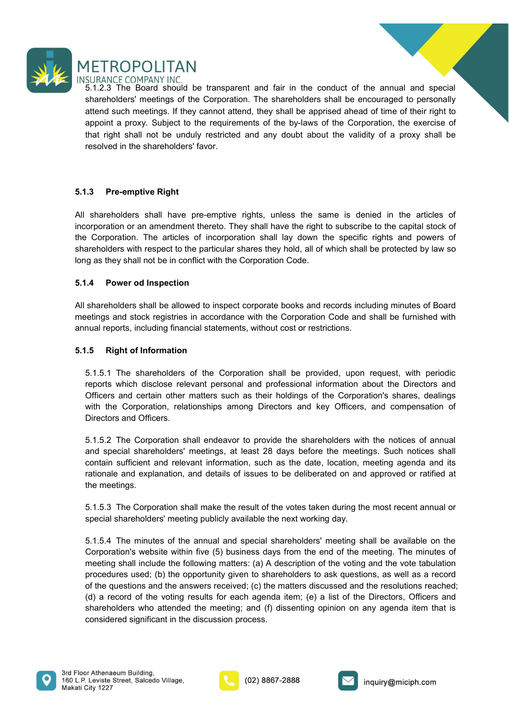

**SURANCE COMPANY INC.**<br>5.1.2.3 The Board should be transparent and fair in the conduct of the annual and special<br>shareholders' meetings of the Corporation. The shareholders shall be encouraged to personally<br>attend such mee **SURANCE COMPANY INC.**<br>SURANCE COMPANY INC.<br>5.1.2.3 The Board should be transparent and fair in the conduct of the annual and special<br>shareholders' meetings of the Corporation. The shareholders shall be encouraged to perso **ATTROPOLITAN**<br>S.1.2.3 The Board should be transparent and fair in the conduct of the annual and special<br>S.1.2.3 The Board should be transparent and fair in the conduct of the annual and special<br>shareholders' meetings. If **A PROPOLITAN**<br>
SURANCE COMPANY INC.<br>
S.1.2.3 The Board should be transparent and fair in the conduct of the annual and special<br>
shareholders' meetings of the Corporation. The shareholders shall be encouraged to personally THE SUPPOLITAN<br>S.1.2.3 The Board should be transparent and fair in the conduct of the annual and special<br>shareholders' meetings of the Corporation. The shareholders shall be encouraged to personally<br>attend such meetings. I **THETROPOLITAN**<br>S.1.2.3 The Board should be transparent and fair in the conduct of the annual and special<br>S.1.2.3 The Board should be transparent and fair in the conduct of the annual and special<br>shareholders' meetings. If METROPOLITAN<br>
INSURANCE COMPANY INC.<br>
5.1.2.3 The Board should be transparent and fair in the conduct of the annual and sp<br>
shareholders' meetings of the Corporation. The shareholders shall be encouraged to perse<br>
attend s METROPOLITAN<br>
INSURANCE COMPANY INC.<br>
S.1.2.3 The Board should be transparent and fair in the conduct of the annual and special<br>
shareholders meetings of the Corporation. The shareholders shall be enpouraged to personally<br> **INCROPOLITAN**<br>INSURANCE COMPANY INC.<br>INSURANCE COMPANY INCOLUTE STATES TO THE SAME STATES STATES STATES are found as a special shareholders' meetings of the Corporation. The shareholders shall be encouraged to personally METROPOLITAN<br>
INSURANCE COMPANY INC.<br>
ST.1.2. The Board should be transparent and fair in the conduct of the annual and special<br>
shareholders' meetings. If they cannot attend, they shall be apprised ahead of time of their METROPOLITAN<br>
INSURANCE COMPANY INC.<br>
INSURANCE COMPANY INC.<br>
S.1.2.3 The Board should be transparent and fair in the conductor of the annual and special<br>
shareholders "neetings of the Coproration. The shareholders shall b METROPOLITAN<br>
SIJRANCE COMPANY INC.<br>
ST-123 The Board should be transparent and fair in the conduct of the annual and special<br>
shareholders' meetings. If they cannot attend, they shall be apprised ahead of time of their ri The Board should be transparent and fair in the conduct of the annual and<br>
Insults the Doard should be transparent and fair in the conduct of the annual and<br>
shareholders' meetings of the Corporation. The shareholders shal

shareholders "neetings of the Corporation. The shareholders shall be encouraged to personally<br>appoint a proxy. Subject to the requirements of the by-laws of the Corporation, the exercise of<br>that right shall not be unduly r attend such meetings. If they cannot attend, they shall be apprised ahead of thier right to proportion, the servise of the corporation, the servise of the radium of the corporation, the servise of that right shall not be u appoint a proxy. Subject to the requirements of the by-laws of the Corporation, the exercise of<br>that right shall not be unduly restricted and any doubt about the validity of a proxy shall be<br>resolved in the shareholders fa 1.5.1.3 Pre-emptive Right<br>
All shareholders shall have pre-emptive rights, unless the same is denied in the air<br>
All shareholders shall have pre-emptive rights, unless the same is denied in the air<br>
incorporation or an ame 5.1.5. **Pre-emptive Right**<br>
Shareholders shall have pre-emptive rights, unless the same is denied in the articles of<br>
corporation or an amendment thereto. They shall have the right to subscribe to the capital stock of<br>
Eco **1.3 Pre-emptive Right**<br>
shareholders shall have pre-emptive rights, unless the same is denied in the articles of<br>
corporation or an amendment thereto. They shall have the right to subscribe to the capital stock of<br>
e Corp **13. Pre-emptive Right**<br>
shareholders shall have pre-emptive rights, unless the same is denied in the calicies of<br>
corporation or an amendment thereto. They shall have the right to subscribe to the capital stock of<br>
corpor shareholders shall have pre-emptive rights, unless the same is denied in the articles of<br>corporation or an amendment thereto. They shall have the right to subscribe to the capital stock of<br>corporation. The articles of inco shareholders shall have pre-emptive rights, unless the same is denied in the a<br>corporation or an amendment thereto. They shall have the right to subscribe to the capitor<br>accorporation. The articles of incorporation shall l

is Corporation. The articles of incorporation shall lay down the specific rights and powers of ereporations with respect to the particular shares they hold, all of which shall be protected by law so gras they shall not be areholders with respect to the particular shares they hold, all of which shall be protected by law so<br>g as they shall not be in conflict with the Corporation Code.<br>A<br>**A Power od Inspection**<br>shareholders shall be allowed g as they shall not be in conflict with the Corporation Code.<br>
1.4 Power od Inspection<br>
shareholders shall be allowed to inspect corporate books and records including minutes of Board<br>
tellings and stock registries in acco **1.4 Power od Inspection**<br> **shareholders shall be allowed to inspect corporate books and records including minutes of Board<br>
bettings and stock registries in accordance with the Corporation Code and shall be furnished with** 1.4 Power od Inspection<br>
shareholders shall be allowed to inspect corporate books and records includi<br>
eletings and stock registries in accordance with the Corporation Code and sh<br>
mual reports, including financial stateme shareholders shall be allowed to inspect corporate books and records including minutes of Board<br>ellings and stock registries in accordance with the Corporation Code and shall be furnished with<br>thual reports, including fina special shareholders' meeting mathemology methanic and the next with the restrictions,<br>the nual reports, including financial statements, without cost or restrictions.<br> **S. Right of Information**<br> **S.1.5.1** The shareholder

1.5. Right of Information statements, inherated and the provided, upon request, with periodic<br>5.1.5.1 The shareholders of the Corporation shall be provided, upon request, with periodic<br>reports which disclose relevant perso 1.5 **Right of Information**<br>
5.1.5.1 The shareholders of the Corporation shall be provided, upon request, with periodic<br>
ereports which disolose relevant personal and professional information about the Directors and<br>
Office 5.1.5.1 The shareholders of the Corporation shall be provided, upon request, with periodic<br>reports which disclose relevant personal and professional information about the Directors and<br>officers and certain other matters su 5.1.5.1 The shareholders of the Corporation shall be provided, upon request, with periodic<br>reports which disclose relevant personal and professional information about the Directors and<br>Officers and certain cheme treatrs su reports which disclose relevant personal and professional information about the Directors and<br>officers and certain other matters such as their holdings of the Corporation's shares, dealings<br>officers and certain other matte Officers and certain other matters such as their holdings of the Corporation's shares, dealings<br>of thicknows the Corporation, relationships among Directors and key Officers, and compensation of<br>Directors and Officers.<br>5.15 shareholders who attended the meeting; and considered significant in the discussion process.<br>
S.15.2 The Corporation shall endeavor to provide the shareholders with the notices of annual<br>
and special shareholders' meetings Directors and Officers.<br>
S.1.5.2 The Corporation shall endeavor to provide the shareholders with the notices of annual<br>
say a section shall endeavor to provide the shareholders wellther notices shall<br>
contain sufficient an





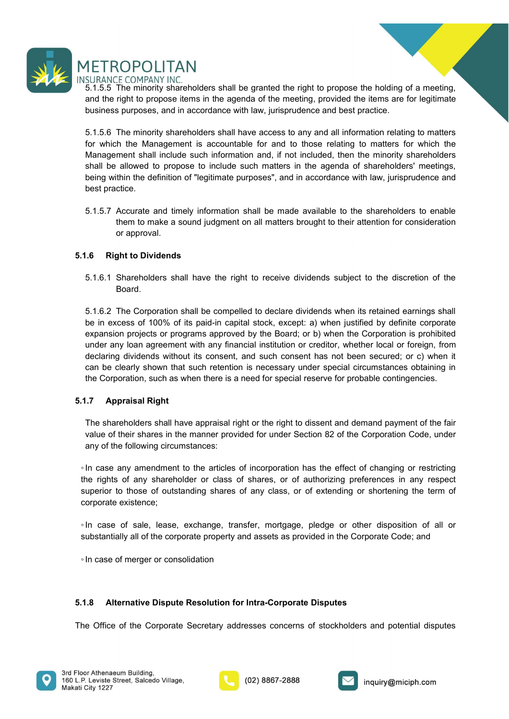

**SURANCE COMPANY INC.**<br>5.1.5.5 The minority shareholders shall be granted the right to propose the holding of a meeting,<br>5.1.5.5 The minority shareholders shall have access to any and all information relating to matters<br>5.

**ETROPOLITAN**<br>
SURANCE COMPANY INC.<br>
S.1.5.5 The minority shareholders shall be granted the right to propose the holding of a meeting,<br>
and the right to propose items in the agenda of the meeting, provided the items are fo **Solution**<br>SURANCE COMPANY INC.<br>SURANCE COMPANY INC.<br>A.5.5. The minority shareholders shall be granted the right to propose the holding of a meeting,<br>and the right to propose items in the agenda of the meeting, provided th **THETROPOLITAN**<br>S.1.5.5 The minority iNic.<br>S.1.5.5 The minority shareholders shall be granted the right to propose the holding of a meeting,<br>and the right to propose items in the agenda of the meeting, provided the items a FORPOLITAN<br>SURANCE COMPANY INC.<br>5.1.5.5 The minority shareholders shall be granted the right to propose the holding of a meeting,<br>and the right to propose items in the agenda of the meeting, provided the items are for legi **SET ROPOLITAN**<br>SURANCE COMPANY INC.<br>S.1.5.5 The minority shareholders shall be granted the right to propose the holding of a meeting,<br>and the right to propose items in the agenda of the meeting, provided the items are for **SET ROPOLITAN**<br>SURANCE COMPANY INC.<br>5.1.5.5 The minority shareholders shall be granted the right to propose the holding of a meeting,<br>and the right to propose tiems in the agenda of the meeting, provided the items are for THROPOLITAN<br>SURANCE COMPANY INC.<br>S.1.5.5 The minority shareholders shall be granted the right to propose the holding of a meeting,<br>and the right to propose items in the agenda of the meeting, provided the items are for leg **SET ROPOLITAN**<br>SURANCE COMPANY INC.<br>STARCE COMPANY INC.<br>STAS The minority shareholders shall be granted the right to propose the he<br>and the right to propose items in the agenda of the meeting, provided the item<br>business p Solution to the matter in the symbol of the matter of the meeting, provided the lemma of the meeting of a meeting shall be first to propose items in the agenda of the meeting, provided the litems are for legitimate busines The minority shareholders shall be granted the right to propose the holding of a meeting, and in the sound of the meeting, provided the items are for legitimate spurposes, and in accordance with haw, jurisprudence and best ROPOLITAN<br>
The minority shareholders shall be granted the right to propose the holding<br>
right to propose items in the agenda of the meteting, provided the items are<br>
spurposes, and in accordance with law, jurisprudence and METROPOLITAN<br>
INSURANCE COMPANY INC.<br>
5.1.5.5 The minority shareholders shall be granted the right to propose the holding of a<br>
5.1.5.6 The minority shareholders shall have access to any and all information relating<br>
to an 5.1.6.1 Shareholders shall have the right to receive dividends subject to the discretion of the

Board.

shall be in increased to the Mosar Corporation shall be competed to the Corporation shall information shall have access to any and all information relating to matter<br>S.1.5.6. The minority shareholders shall have access to be the molecules that the molecules of the molecules and all information relating to matters for which the Management is accountable for and to those relating to matters for which the Management shall included such informa 5.1.5.6 The minority shareholders shall have access to any and all information relating to matters<br>for which the Management Is alsocuutable for and to those relating to matters for which the Management shall include such i for which the Management is accountable for and to those relating to matters for which the Management is accountable for and to those relating to matters for which the Management shall includes uch information and, if not Management shall include such information and, if not included, then the minority shareholders<br>shall be allowed to propose to include such matters in the agenda of shareholders' meetings,<br>being within the definition of "le Shall be all the definite or popose to include such matters in the agenda of shareholders' meetings,<br>the shown the definition of "legitimate purposes", and in accordance with law, jurisprudence and<br>best practice.<br>5.1.5.7 A being within the definition of "legitimate purposes", and in accordance with law, jurisprudence and<br>best practice.<br>5.1.5.7 Accurate and timely information shall be made available to the shareholders to enable<br>them to make 5.1.5.7 Accurate and timely information shall be made available to the shareholders to<br>them to make a sound judgment on all matters brought to their attention for consic<br>or approval.<br>5.1.6. **Right to Dividends**<br>5.1.6.1 Sh The shareholders shall have approach in the shall of the right or the right or consideration or approval.<br> **The shareholders shall have the right to receive dividends subject to the discretion of the Board.**<br> **S.1.6.2 The** of the manner of the Dividends<br>
S.1.6.2 The Corporation shall have the right to receive dividends subject to the discretion of the<br>
Board.<br>
S.1.6.2 The Corporation shall be compelled to declare dividends when its retained any of the Dividends<br>
any of the following shall have the right to receive dividends subject to the discretion of<br>
Board.<br>
5.1.6.2 The Corporation shall be compelled to declare dividends when its retained earnings s<br>
be in **Example 12**<br> **Example 15.16.2** The Corporation shall have the right to receive dividends subject to the discretion of the<br>
Board.<br> **Example 16.6** The Corporation shall be compelled to declare dividends when its retained e 5.1.6.1 Shareholders shall have the right to receive dividends subject to the discretion of the<br>
Board.<br>
5.1.6.2 The Corporation shall be compelled to declare dividends when its retained earnings shall<br>
be in excess of 10 Superior to those of 100% of its paid-in capital stock, except: a) when list retained earnings shall<br>be in excess of 100% of its paid-in capital stock, except: a) when justified by definite coprorate<br>expansion projects or 5.1.6.2 The Corporation shall be compelled to declare dividends when its retained<br>be in excess of 100% of its paid-in capital stock, except: a) when justified by de<br>expansion projects or programs approved by the Board; or be in excess of 100% of its paid-in capital stock, except: a) when justified by definite corporate expansion projects or programs approved by the Board; or b) when the Corporation is prohibited under any loan agreement wit expansion projects or programs approved by the Board; or b) when the Corporation is prohibited under any loan agreement with any financial institution or readitor, whether local or foreign, from declaring dividends without

declaring dividends without its consent, and such consent has not been secured; or c) whe can be clearly shown that such retention is necessary under special circumstances obtaining the Corporation, such as when there is a **5.1.7 Appraisal regnt:**<br>
The shareholders shall have appraisal right or the right to dissent and demand payment of the fair<br>
The shareholders shall have appraisal right or under Section 82 of the Corporation Code, under<br> The shareholders shall have appraisal right or the right to dissent and demand payment of the fair<br>via use of the righares in the manner provided for under Section 82 of the Corporation Code, under<br>any of the following cir





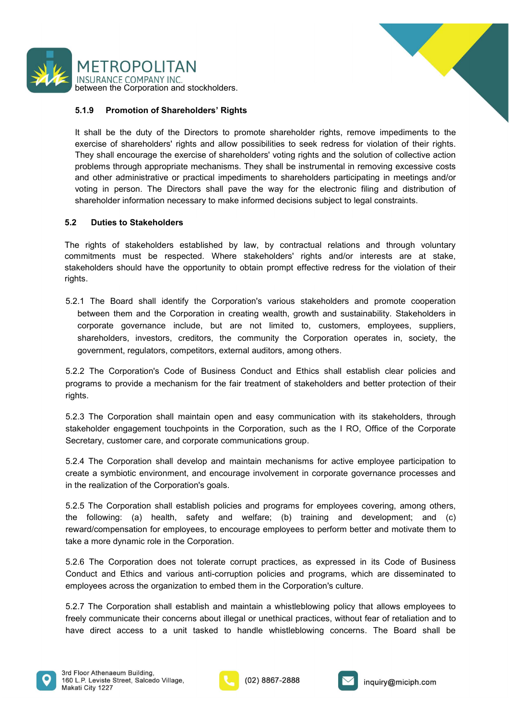



METROPOLITAN<br>
INSURANCE COMPANY INC.<br>
between the Corporation and stockholders.<br>
1.9 Promotion of Shareholders' Rights<br>
It shall be the duty of the Directors to promote shareholder rights, remove impediments to the<br>
exerci METROPOLITAN<br>
INSURANCE COMPANY INC.<br>
Setween the Corporation and stockholders.<br>
5.1.9 Promotion of Shareholders' Rights<br>
It shall be the duty of the Directors to promote shareholder rights, remove impediments to the<br>
exer METROPOLITAN<br>INSURANCE COMPANY INC.<br>Between the Corporation and stockholders.<br>1.1.9 Promotion of Shareholders' Rights<br>It shall be the duty of the Directors to promote shareholder rights, remove impediments to the<br>They shal METROPOLITAN<br>INSURANCE COMPANY INC.<br>5.1.9 Promotion of Shareholders' Rights<br>1.5.1.9 Promotion of Shareholders' rights and allow possibilities to seek redress for violation of their rights.<br>They shall encourage the exercise METROPOLITAN<br>
INSURANCE COMPANY INC.<br>
INSURANCE COMPANY INC.<br>
S.1.9 Promotion of Shareholders' Rights<br>
t shall be the cluy of the Directors to promote shareholder rights, remove impediments to the<br>
sexcrets of shareholders METROPOLITAN<br>
INSURANCE COMPANY INC.<br>
between the Corporation and stockholders.<br>
5.1.9 Promotion of Shareholders' Rights<br>
It shall be the duty of the Directors to promote shareholder rights, remove impediments to the<br>
exer METROPOLITAN<br>
INSURANCE COMPANY INC.<br>
5.1.9 Promotion of Shareholders Rights<br>
1.5.1.9 Promotion of Shareholders 'Rights<br>
It shall be the duty of the Directors to promote shareholder rights, remove impediments to the<br>
exerc VETROPOLITAN<br>
INSURANCE COMPANY INC.<br>
Shall be the duty of the Directors to promote shareholder rights, remove impediments to the<br>
sterctise of shareholders' rights and allow possibilities to seek redress for violation of Shareholder information and stockholders.<br>Shareholder information and stockholders in the Directors of the Directors of the Shareholder rights, remove impediments to the<br>sexecise of shareholders' rights and allow possibili METROPOLITAN<br>
EINSURANCE COMPANY INC.<br>
between the Corporation and stockholders.<br>
5.1.9 Promotion of Shareholders' Rights<br>
1. Sall be the duty of the Directors to promote shareholder rights, remove impedin<br>
exercise of sha METROPOLITAN<br>
INSURANCE COMPANY INC.<br>
SASE DERVIRONT INCE IS and and sockholders.<br>
SASE THE RIST PROPORTED and stockholders established by possibilities to seek redress for violation of their rights.<br>
They shall encourage **COLOGET SECONSTANUMENT CONSTANUMENT CONSTANT**<br> **COLOGET SECONSTANCE COMPANY INC.**<br> **S.1.9 Promotion of Shareholders' Rights**<br> **COLOGET SECONSTANCE COMPANY INC.**<br> **COLOGET SECONSTANUMENT AREAD CONSTANUES CONSTANT CONSTAN**  $\begin{array}{l} \textsf{METROPOCLITAN} \\ \textsf{INSLIMATE COMPANY INCC} \\ \textsf{BUCWeen the Corporation and stockholders.} \\ \textbf{5.1.9} \quad \textbf{Promotion of Starchbolders' Rights} \\ \textsf{SUCWene} \\ \textsf{SUCWene} \\ \textsf{SUCWene} \\ \textsf{SUCWene} \\ \textsf{SUCWane} \\ \textsf{SUCWane} \\ \textsf{SUCWane} \\ \textsf{SUCWane} \\ \textsf{SUCWane} \\ \textsf{SUCWane} \\ \textsf{SUCWane} \\ \textsf{SUCWane} \\ \textsf{SUCWane} \\ \textsf{SUCWane}$ 5.1.9 Promotion of Shareholders' Rights<br>
It shall be the duty of the Directors to promote shareholder rights, remove impediments to the<br>
exercise of shareholders' rights and allow possibilities to seek redress for violatio **5.1.9 Promotion of Shareholders' Rights**<br>
1. thall be the duty of the Directors to promote shareholder rights, remove impediments to the<br>
2. two-crossor of shareholders rights and allow possibilities to seek redress for v t shall be the duty of the Directors to promote shareholder rights, remove impediments to the vacerose of shareholders rights and allow possibilities to seek redress for violation of their rights.<br>They shall encourage the It shall be the duty of the Directors to promote shareholder rights, remove impediments to the common state and lengths and allow possibilities to seek redress for violation of their rights.<br>They shall encourage the exerci is are of shareholders, rights and allow possibilities to seek redress for violation of their rights.<br>They shall encourage the exercise of shareholders' voting rights and the solution of collective action-<br>problems through

rights.

problems through appropriate mechanisms. They shall be instrumental in removing excessive costs<br>
and other ardmistrative or practical impediments to shareholders participating in meetings and<br>
ording in person. The Directo and other ardministrative or practical impediments to shareholders participating in meetings and/or<br>script in person. The Directors shall pave the way for the electronic filing and distribution of<br>shareholder information n 5.2. Duties to Stakeholders<br>
5.2. Duties to Stakeholders established by law, by contractual relations and through voluntary<br>
commitments must be respected. Where stakeholders 'rights and/or interests are at stake,<br>
stakeho **5.2 Duties to Stakeholders**<br>The rights of stakeholders established by law, by contractual relations and trrough voluntary<br>commitments must be respected. Where stakeholders rights and/or interests are at stake,<br>stakehold The rights of stakeholders established by law, by contractual relations and through voluntary<br>commitments must be respected. Where stakeholders' rights and/or interests are at stake,<br>stakeholders should have the opportunit commitments must be respected. Where stakeholders' rights and/or interests are at stake,<br>stakeholders should have the opportunity to obtain prompt effective redress for the violation of their<br>stakeholders should have the o stakeholders should have the opportunity to obtain prompt effective redress for the violation of their<br>splits.<br>The Board shall identify the Corporation's various stakeholders and promote cooperation<br>between them and the Co rights.<br>
S.2.1 The Board shall identify the Corporation's various stakeholders and promote cooperation<br>
corporate mem and the Corporation in creating wealth, growth and sustainability. Stakeholders in<br>
corporate governance 5.2.1 The Board shall identify the Corporation's various stakeholders and promote cooperation<br>
ten them and the Corporation in creating wealth, growth and sustainability, Stakeholders in<br>
corporate governance include, but between them and the Corporation in creating wealth, growth and sustainability. Stakeholders in<br>scripteral governance include, but are not limited to, customers, employees, suppliers,<br>shareholders, investors, creditions, t

rights.

corporate governance include, but are not limited to, customers, employees, suppliers, shareholders, investors, creditors, the community the Corporation operatios in, society, the sovernment, regulators, competitors, exter shareholders, investors, creditors, the community the Corporation operates in, society, the government, regulators, competitors, external auditors, among others.<br>
5.2.2 The Corporation's Code of Business Conduct and Ethics sycemment, regulators, encrimations, caronic analoge corruptions, and the Sale stabilish clear policies and<br>Brograms to provide a mechanism for the fair treatment of stakeholders and better protection of their<br>rights.<br>5.2. 5.2.2 The Corporation's Code of Business Conduct and Ethics shall establish clear policies and<br>programs to provide a mechanism for the fair treatment of stakeholders and better protection of their<br>rights.<br>
S.2.3 The Corpor programs to provide a mechanism for the fair treatment of stakeholders and better protection of their rights.<br>
S.2.3 The Corporation shall maintain open and easy communication with its stakeholders, through<br>
stakeholder en nguis.<br>
5.2.3. The Corporation shall maintain open and easy communication with its stakeholders, through Stakeholder engagement touchpoints in the Corporation, such as the I RO, Office of the Corporate Secretary, customer 5.2.3 The Corporation shall maintain open and easy communication with its stakeholders, through<br>stakeholder engagement touchpoins in the Corporation, such as the I RO, Office of the Corporate<br>Secretary, customer care, and stakeholder engagement touchpoints in the Corporation, such as the I RO, Office of the Corporate<br>Secretary, customer care, and corporate communications group.<br>
S:2.4 The Corporation shall develop and maintain mechanisms fo





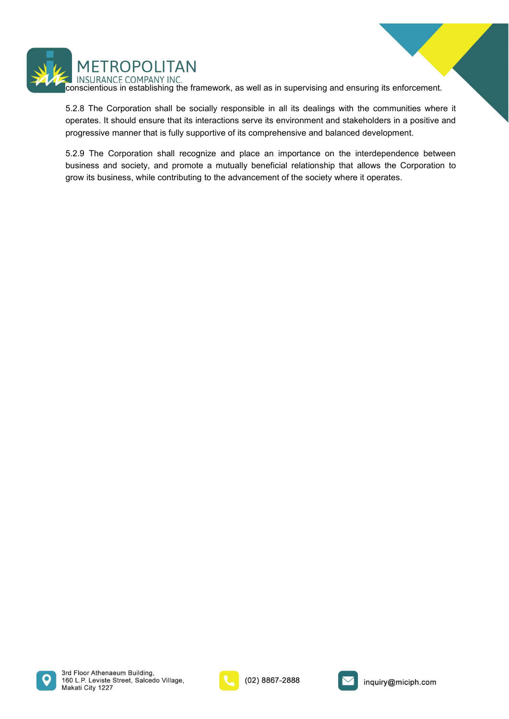

**CORPOLITAN**<br>
CONFANY INC.<br>
CONSURANCE COMPANY INC.<br>
S.2.8 The Corporation shall be socially responsible in all its dealings with the communities where it<br>
operates. It should ensure that its interactions serve its environ METROPOLITAN<br>
INSURANCE COMPANY INC.<br>
S.2.8 The Corporation shall be socially responsible in all its dealings with the communities where it<br>
sperates. It should ensure that its interactions serve its environment and stakeh

**CORPOLITAN**<br>
INSURANCE COMPANY INC.<br>
INSURANCE COMPANY INC.<br>
S.2.8 The Corporation shall be socially responsible in all its dealings with the communities where it<br>
operates. It should ensure that its interactions serve it METROPOLITAN<br>
INSURANCE COMPANY INC.<br>
INSURANCE COMPANY INC.<br>
5.2.8 The Corporation shall be socially responsible in all its dealings with the communities where it<br>
operates. It should ensure that its interactions serve it METROPOLITAN<br>
INSURANCE COMPANY INC.<br>
SOSE The Corporation shall be socially responsible in all its dealings with the communities where it<br>
operates. It should ensure that its interactions serve its environment and stakeho METROPOLITAN<br>
INSURANCE COMPANY INC.<br>
conscientious in establishing the framework, as well as in supervising and ensuring its enforcement.<br>
5.2.8 The Corporation shall be socially responsible in all its dealings with the c METROPOLITAN<br>
INSURANCE COMPANY INC.<br>
conscientious in establishing the framework, as well as in supervising and ensuring its enforcement.<br>
5.2.9 The Corporation shall be socially responsible in all its dealings with the c





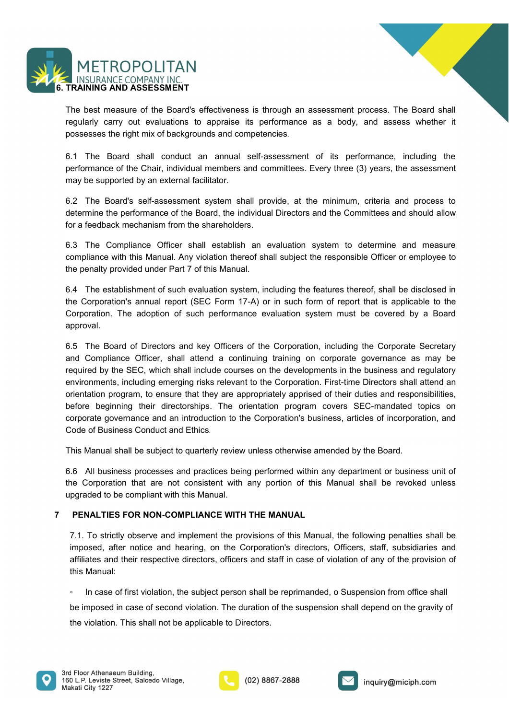



METROPOLITAN<br>
INSURANCE COMPANY INC.<br> **6. TRAINING AND ASSESSMENT**<br>
The best measure of the Board's effectiveness is through an assessment process. The<br>
regularly carry out evaluations to appraise its performance as a body METROPOLITAN<br>TRAINING AND ASSESSMENT<br>The best measure of the Board's effectiveness is through an assessment process. The Board shall<br>regularly carry out evaluations to appraise its performance as a body, and assess whether

**ETROPOLITAN**<br> **ENGING AND ASSESSMENT**<br>
TRAINING AND ASSESSMENT<br>
The best measure of the Board's effectiveness is through an assessment process. The Board shall<br>
regularly carry out evaluations to appraise its performance **POSET MIX TRANT THE ROPOLITAN**<br> **TRANNING AND ASSESSMENT**<br>
The best measure of the Board's effectiveness is through an assessment process. The Board shall<br>
regularly carry out evaluations to appraise its performance as a

METROPOLITAN<br>TRAINING AND ASSESSMENT<br>The best measure of the Board's effectiveness is through an assessment process. The Board shall<br>regularly carry out evaluations to appraise its performance as a body, and assess whether **METROPOLITAN**<br>
INSURANCE COMPANY INC.<br> **TRAINING AND ASSESSMENT**<br>
The best measure of the Board's effectiveness is through an assessment process. The Board shall<br>
regularly carry out evaluations to appraise its performanc **EXERCPOLITAN**<br> **EXERVIGRANCE COMPANY INC.**<br>
TRAINING AND ASSESSMENT<br>
Treputarly carry out evaluations to appraise its performance as a body, and assess whether it<br>
regularly carry out evaluations to appraise its performan METROPOLITAN<br>
TRANING AND ASSESSMENT<br>
The best measure of the Board's effectiveness is through an assessment process. The Board shall<br>
regularly carry out evaluations to appraise its performance as a body, and assess wheth **FORMING AND ASSESSMENT**<br>TRAINING AND ASSESSMENT<br>The best measure of the Board's effectiveness is through an assessment process. The Board shall<br>regularly carry out evaluations to appraise its performance as a body, and as **EXERCPOLITAN**<br> **EXERVIBRANCE COMPANY INC.**<br> **EXERVIBRANCE TRANCE TRANCE TRANCE SERVIGITS**<br> **EXERCISE TRANCE TRANCE SERVIGITS**<br> **EXERCISE TRANCE TRANCE SERVIGITS**<br> **EXERCISE TRANCE TRANCE CONSISTS**<br> **EXERCISE TRANCE TRANCE** 

**EXECUTE ANN**<br>
INSURANCE COMPANY INC.<br>
TRAINING AND ASSESSMENT<br>
The best measure of the Board's effectiveness is through an assessment process. The Board shall<br>
regularly canry out evaluations to appraise its performance a **METROPOLITAN**<br> **TRANNING AND ASSESSMENT**<br> **TRANSIRANCE COMPANY INC.**<br>
THE best measure of the Board's effectiveness is through an assessment process. The Board shall<br>
regularly carry out evaluations to appraise its perfor **ETHEN INTERNATIC CONTERTS INTERNATION**<br>TRAINING AND ASSESSMENT<br>The best measure of the Board's effectiveness is through an assessment process. The Board shall<br>regularly carry out evaluations to appraise its performance as The best measure of the Board's effectiveness is through an assessment process. The Board shall<br>regularly carry out evaluations to appraise its performance as a body, and assess whether it<br>possesses the right mix of backgr The best measure of the Board's effectiveness is through an assessment process. The Board shall<br>regularly carry out evaluations to appraise its performance as a body, and assess whether it<br>gossesses the right mix of backgr approval.

broad of the Board of Chair method of the Board of the Corporation annual self-assessment of its performance, including the Berformance of the Chair, individual members and committees. Every three (3) years, the assessment 6.1 The Board shall conduct an annual self-assessment of its performance, including the proformance of the Chair, individual members and committees. Every three (3) years, the assessment may be supported by an external fac performance of the Chair, individual members and committees. Every three (3) years, the assessment<br>
may be supported by an external facilitator.<br>
6.2 The Board's self-assessment system shall provide, at the minimum, criter may be supported by an external facilitator.<br>
6.2 The Board's self-assessment system shall provide, at the minimum, criteria and process to<br>
determine the performance of the Board, the Individual Directors and the Committe 6.2 The Board's self-assessment system shall provide, at the minimum, criteria and process to determine the performance of the Board, the individual Directors and the Committees and shoud allow<br>for a feedback mechanism fro 6.2 The Board's self-assessment system shall provide, at the minimum, criteria and process to<br>determine the performance of the Board, the individual Directors and the Committees and should allow<br>for a feedback mechanism fr determine the performance of the Board, the individual Directors and the Committees and should allow<br>
for a feedback mechanism from the shareholders.<br>
E.3 The Compliance with this Manual. Any violation thereof shall subjec for a feedback mechanism from the shareholders.<br>
6.3 The Compliance Officer shall establish an evaluation system to determine and measure<br>
compliance with this Manual. Any violation thereof shall subject the responsible Of the penalty provided under Part 7 of this Manual.<br>6.4 The establishment of such evaluation system, including the features thereof, shall be disclosed in<br>the Corporation's annual report (SEC Form 17-A) or in such form of re 6.4 The establishment of such evaluation system, including the features thereof, shall be disclosed in<br>the Corporation's annual report (SEC Form 17-A) or in such form of report that is applicable to the<br>Corporation. The ad 6.4 The establishment of such evaluation system, including the features thereof, shall be disclosed in<br>the Corporation's annual report (SEC Form 17-A) or in such form of report that is applicable to the<br>Corporation. The ad Corporation. I he adoption of such performance evaluation system must be covered by a Board<br>
approval.<br>
8.5 The Board of Directors and key Officers of the Corporation, including the Corporate Secretary<br>
and Compliance Offi 1.5. The Board of Directors and key Officers of the Corporation, including the Corporate Secretary<br>
2.5. The Board of Corpilance Officer, shall attend a continuing training on corporate governance as may be<br>
equired by the i.5 The Board of Directors and key Officers of the Corporation, including the Corporate Secretary<br>ed Compliance Officer, shall attend a continuing training on corporate governance as may be<br>equired by the SEC, which shall nd Compliance Officer, shall attend a continuing training on corporate governance as may be equived by the SEC, which shall include courses on the developments in the business and regulatory privionments, including emergin equired by the SEC, which shall include courses on the developments in the invironments, including emerging risks relevant to the Corporation. First-time I<br>trientation program, to ensure that they are appropriately apprise molumients, including emerying tas selecting to the Coppletian propertion shall attention program, to ensure that they are appropriately apprised of their duties and responsibilities, effore beginning their directorships.

efore beginning their directorships. The orientation program covers SEC-mandated topics on<br>orporate governance and an introduction to the Corporation's business, articles of incorporation, and<br>code of Business Conduct and orporate governance and an introduction to the Corporation's business, articles of incorporation, and<br>
the visions conduct and Ethics.<br>
This Manual shall be subject to quarterly review unless otherwise amended by the Board